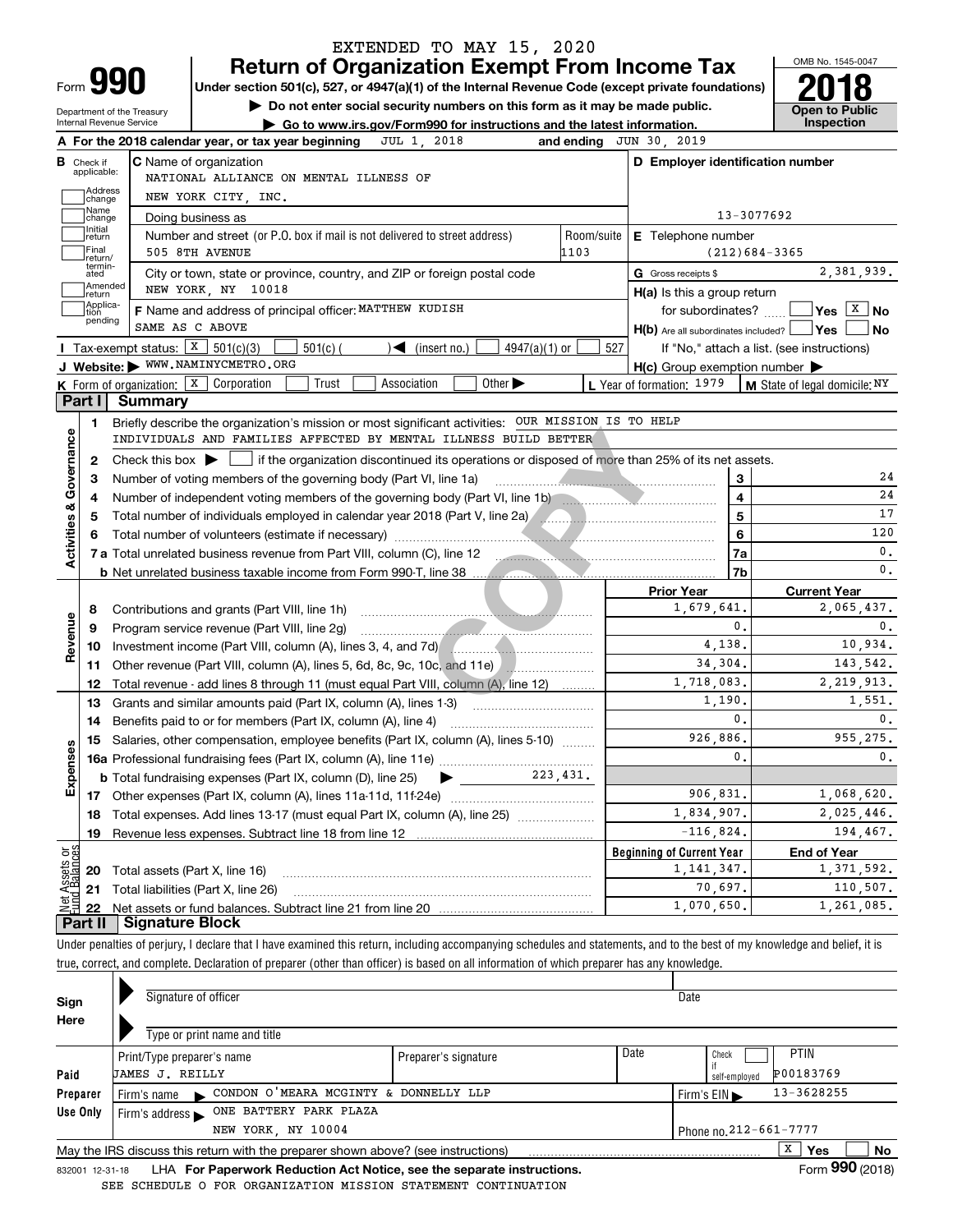|                                                                         |                                  |                                                                         | <b>Return of Organization Exempt From Income Tax</b>                                                                                                                   |                             |                    |                                                                                                                    |                         | OMB No. 1545-0047                                                                                               |
|-------------------------------------------------------------------------|----------------------------------|-------------------------------------------------------------------------|------------------------------------------------------------------------------------------------------------------------------------------------------------------------|-----------------------------|--------------------|--------------------------------------------------------------------------------------------------------------------|-------------------------|-----------------------------------------------------------------------------------------------------------------|
| Form <b>990</b>                                                         |                                  |                                                                         | Under section 501(c), 527, or 4947(a)(1) of the Internal Revenue Code (except private foundations)                                                                     |                             |                    |                                                                                                                    |                         |                                                                                                                 |
| Department of the Treasury                                              |                                  |                                                                         | Do not enter social security numbers on this form as it may be made public.                                                                                            |                             |                    |                                                                                                                    |                         | <b>Open to Public</b>                                                                                           |
| Internal Revenue Service                                                |                                  |                                                                         | Go to www.irs.gov/Form990 for instructions and the latest information.                                                                                                 |                             |                    |                                                                                                                    |                         | Inspection                                                                                                      |
|                                                                         |                                  | A For the 2018 calendar year, or tax year beginning                     | JUL 1, 2018                                                                                                                                                            |                             | and ending         | JUN 30, 2019                                                                                                       |                         |                                                                                                                 |
| <b>B</b> Check if<br>applicable:                                        |                                  | <b>C</b> Name of organization<br>NATIONAL ALLIANCE ON MENTAL ILLNESS OF |                                                                                                                                                                        |                             |                    | D Employer identification number                                                                                   |                         |                                                                                                                 |
| Address                                                                 |                                  |                                                                         |                                                                                                                                                                        |                             |                    |                                                                                                                    |                         |                                                                                                                 |
| change<br>Name                                                          |                                  | NEW YORK CITY, INC.                                                     |                                                                                                                                                                        |                             |                    |                                                                                                                    | 13-3077692              |                                                                                                                 |
| change<br>Initial                                                       |                                  | Doing business as                                                       |                                                                                                                                                                        |                             |                    |                                                                                                                    |                         |                                                                                                                 |
| return<br>Final                                                         |                                  | 505 8TH AVENUE                                                          | Number and street (or P.O. box if mail is not delivered to street address)                                                                                             |                             | Room/suite<br>1103 | E Telephone number                                                                                                 |                         | $(212)684-3365$                                                                                                 |
| lreturn/<br>termin-                                                     |                                  |                                                                         |                                                                                                                                                                        |                             |                    |                                                                                                                    |                         | 2,381,939.                                                                                                      |
| ated<br> Amended                                                        |                                  | NEW YORK, NY 10018                                                      | City or town, state or province, country, and ZIP or foreign postal code                                                                                               |                             |                    | G Gross receipts \$                                                                                                |                         |                                                                                                                 |
| return<br>Applica-                                                      |                                  |                                                                         |                                                                                                                                                                        |                             |                    | H(a) Is this a group return                                                                                        |                         | Yes   X   No                                                                                                    |
| tion<br>pending                                                         | SAME AS C ABOVE                  | F Name and address of principal officer: MATTHEW KUDISH                 |                                                                                                                                                                        |                             |                    | for subordinates?                                                                                                  |                         |                                                                                                                 |
|                                                                         | Tax-exempt status: $X$ 501(c)(3) |                                                                         |                                                                                                                                                                        |                             |                    | $H(b)$ Are all subordinates included? $\Box$ Yes                                                                   |                         | No                                                                                                              |
|                                                                         |                                  | $501(c)$ (<br>J Website: WWW.NAMINYCMETRO.ORG                           | $\sqrt{\bullet}$ (insert no.)                                                                                                                                          | $4947(a)(1)$ or             | 527                |                                                                                                                    |                         | If "No," attach a list. (see instructions)                                                                      |
|                                                                         |                                  | K Form of organization: $\boxed{\textbf{X}}$ Corporation<br>Trust       | Association                                                                                                                                                            | Other $\blacktriangleright$ |                    | $H(c)$ Group exemption number $\blacktriangleright$<br>L Year of formation: $1979$   M State of legal domicile: NY |                         |                                                                                                                 |
| Part I                                                                  | <b>Summary</b>                   |                                                                         |                                                                                                                                                                        |                             |                    |                                                                                                                    |                         |                                                                                                                 |
|                                                                         |                                  |                                                                         |                                                                                                                                                                        |                             |                    |                                                                                                                    |                         |                                                                                                                 |
| 1.                                                                      |                                  |                                                                         | Briefly describe the organization's mission or most significant activities: OUR MISSION IS TO HELP<br>INDIVIDUALS AND FAMILIES AFFECTED BY MENTAL ILLNESS BUILD BETTER |                             |                    |                                                                                                                    |                         |                                                                                                                 |
|                                                                         |                                  |                                                                         |                                                                                                                                                                        |                             |                    |                                                                                                                    |                         |                                                                                                                 |
| 2                                                                       |                                  |                                                                         | Check this box $\blacktriangleright$ $\Box$ if the organization discontinued its operations or disposed of more than 25% of its net assets.                            |                             |                    |                                                                                                                    |                         |                                                                                                                 |
| 3                                                                       |                                  |                                                                         |                                                                                                                                                                        |                             |                    |                                                                                                                    | 3                       |                                                                                                                 |
|                                                                         |                                  |                                                                         |                                                                                                                                                                        |                             |                    |                                                                                                                    |                         |                                                                                                                 |
|                                                                         |                                  |                                                                         | Number of independent voting members of the governing body (Part VI, line 1b) manufactured in the manufactured                                                         |                             |                    |                                                                                                                    | $\overline{\mathbf{4}}$ |                                                                                                                 |
|                                                                         |                                  |                                                                         | Total number of individuals employed in calendar year 2018 (Part V, line 2a) [[[[[[[[[[[[[[[[[[[[[[]]]]]]]]]]                                                          |                             |                    |                                                                                                                    | $\overline{\mathbf{5}}$ |                                                                                                                 |
|                                                                         |                                  |                                                                         |                                                                                                                                                                        |                             |                    |                                                                                                                    | 6                       |                                                                                                                 |
|                                                                         |                                  |                                                                         | 7 a Total unrelated business revenue from Part VIII, column (C), line 12                                                                                               |                             |                    |                                                                                                                    | 7a                      |                                                                                                                 |
|                                                                         |                                  |                                                                         |                                                                                                                                                                        |                             |                    |                                                                                                                    | 7b                      |                                                                                                                 |
|                                                                         |                                  |                                                                         |                                                                                                                                                                        |                             |                    | <b>Prior Year</b>                                                                                                  |                         | <b>Current Year</b>                                                                                             |
| 8                                                                       |                                  | Contributions and grants (Part VIII, line 1h)                           |                                                                                                                                                                        |                             |                    | 1,679,641.                                                                                                         |                         |                                                                                                                 |
| 9                                                                       |                                  | Program service revenue (Part VIII, line 2g)                            |                                                                                                                                                                        |                             |                    |                                                                                                                    | 0.                      |                                                                                                                 |
| 10                                                                      |                                  |                                                                         | Investment income (Part VIII, column (A), lines 3, 4, and 7d)                                                                                                          |                             |                    | 4,138.                                                                                                             |                         |                                                                                                                 |
| 11                                                                      |                                  |                                                                         | Other revenue (Part VIII, column (A), lines 5, 6d, 8c, 9c, 10c, and 11e)                                                                                               |                             |                    | 34,304.                                                                                                            |                         |                                                                                                                 |
| 12                                                                      |                                  |                                                                         | Total revenue - add lines 8 through 11 (must equal Part VIII, column (A), line 12)                                                                                     |                             |                    | 1,718,083.                                                                                                         |                         |                                                                                                                 |
| 13                                                                      |                                  | Grants and similar amounts paid (Part IX, column (A), lines 1-3)        |                                                                                                                                                                        |                             |                    | 1,190.                                                                                                             |                         |                                                                                                                 |
|                                                                         |                                  | 14 Benefits paid to or for members (Part IX, column (A), line 4)        |                                                                                                                                                                        |                             |                    |                                                                                                                    | 0.                      |                                                                                                                 |
|                                                                         |                                  |                                                                         | 15 Salaries, other compensation, employee benefits (Part IX, column (A), lines 5-10)                                                                                   |                             |                    | 926,886.                                                                                                           |                         |                                                                                                                 |
|                                                                         |                                  |                                                                         |                                                                                                                                                                        |                             |                    |                                                                                                                    | $\mathbf{0}$            |                                                                                                                 |
|                                                                         |                                  | <b>b</b> Total fundraising expenses (Part IX, column (D), line 25)      | ▶                                                                                                                                                                      | 223, 431.                   |                    |                                                                                                                    |                         |                                                                                                                 |
|                                                                         |                                  |                                                                         |                                                                                                                                                                        |                             |                    | 906,831.                                                                                                           |                         |                                                                                                                 |
| 18                                                                      |                                  |                                                                         | Total expenses. Add lines 13-17 (must equal Part IX, column (A), line 25)                                                                                              |                             |                    | 1,834,907.                                                                                                         |                         |                                                                                                                 |
| 19                                                                      |                                  | Revenue less expenses. Subtract line 18 from line 12                    |                                                                                                                                                                        |                             |                    | $-116,824.$                                                                                                        |                         | 2,065,437.<br>10,934.<br>143,542.<br>2, 219, 913.<br>1,551.<br>955,275.<br>1,068,620.<br>2,025,446.<br>194,467. |
|                                                                         |                                  |                                                                         |                                                                                                                                                                        |                             |                    | <b>Beginning of Current Year</b>                                                                                   |                         | <b>End of Year</b>                                                                                              |
| 20                                                                      |                                  | Total assets (Part X, line 16)                                          |                                                                                                                                                                        |                             |                    | 1, 141, 347.                                                                                                       |                         | 1,371,592.                                                                                                      |
| Activities & Governance<br>Revenue<br>Expenses<br>Assets or<br>21<br>22 |                                  | Total liabilities (Part X, line 26)                                     |                                                                                                                                                                        |                             |                    | 70,697.<br>1,070,650.                                                                                              |                         | 110,507.<br>1,261,085.                                                                                          |

| Sign<br>Here | Signature of officer<br>Type or print name and title                                                               |                                                | Date                                               |                        |  |  |  |  |  |  |  |
|--------------|--------------------------------------------------------------------------------------------------------------------|------------------------------------------------|----------------------------------------------------|------------------------|--|--|--|--|--|--|--|
| Paid         | Print/Type preparer's name<br><b>JAMES J. REILLY</b>                                                               | Date                                           | <b>PTIN</b><br>Check<br>P00183769<br>self-employed |                        |  |  |  |  |  |  |  |
| Preparer     | CONDON O'MEARA MCGINTY & DONNELLY LLP<br>Firm's name<br>$\blacksquare$                                             | 13-3628255<br>Firm's $EIN \blacktriangleright$ |                                                    |                        |  |  |  |  |  |  |  |
| Use Only     | ONE BATTERY PARK PLAZA<br>Firm's address $\blacktriangleright$                                                     |                                                |                                                    |                        |  |  |  |  |  |  |  |
|              | NEW YORK NY 10004                                                                                                  |                                                |                                                    | Phone no. 212-661-7777 |  |  |  |  |  |  |  |
|              | х<br>No.<br><b>Yes</b><br>May the IRS discuss this return with the preparer shown above? (see instructions)<br>--- |                                                |                                                    |                        |  |  |  |  |  |  |  |

832001\_12-31-18 LHA **For Paperwork Reduction Act Notice, see the separate instructions.** Form 990 (2018) SEE SCHEDULE O FOR ORGANIZATION MISSION STATEMENT CONTINUATION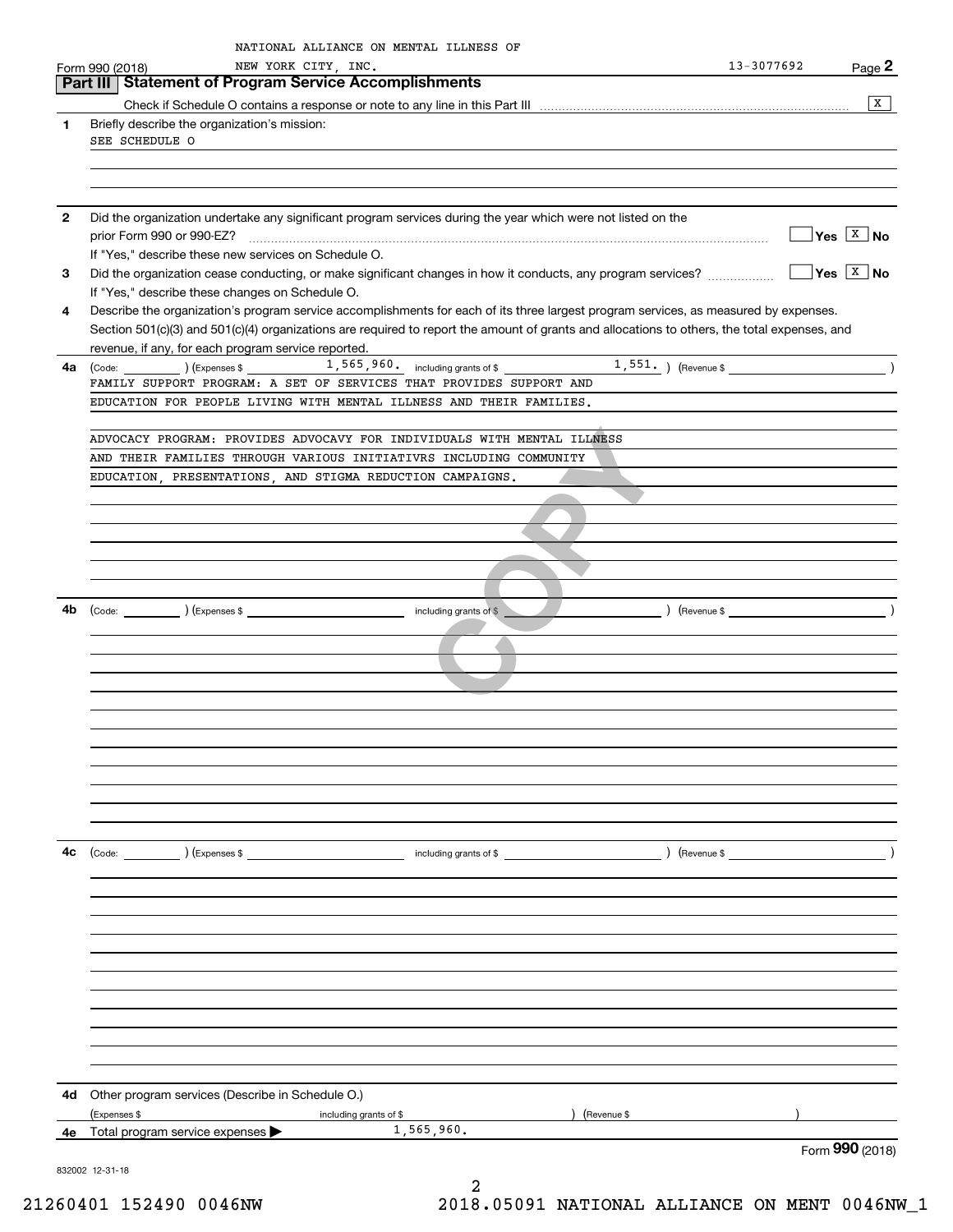| 1<br>$\mathbf{2}$<br>3<br>4 | Part III   Statement of Program Service Accomplishments<br>Briefly describe the organization's mission:<br>SEE SCHEDULE O<br>Did the organization undertake any significant program services during the year which were not listed on the<br>If "Yes," describe these new services on Schedule O.<br>Did the organization cease conducting, or make significant changes in how it conducts, any program services? |                                                                                                                              | x                           |
|-----------------------------|-------------------------------------------------------------------------------------------------------------------------------------------------------------------------------------------------------------------------------------------------------------------------------------------------------------------------------------------------------------------------------------------------------------------|------------------------------------------------------------------------------------------------------------------------------|-----------------------------|
|                             |                                                                                                                                                                                                                                                                                                                                                                                                                   |                                                                                                                              |                             |
|                             |                                                                                                                                                                                                                                                                                                                                                                                                                   |                                                                                                                              |                             |
|                             |                                                                                                                                                                                                                                                                                                                                                                                                                   |                                                                                                                              |                             |
|                             |                                                                                                                                                                                                                                                                                                                                                                                                                   |                                                                                                                              | $\sqrt{}$ Yes $\sqrt{X}$ No |
|                             |                                                                                                                                                                                                                                                                                                                                                                                                                   |                                                                                                                              | $\sqrt{}$ Yes $\sqrt{X}$ No |
|                             | If "Yes," describe these changes on Schedule O.<br>Describe the organization's program service accomplishments for each of its three largest program services, as measured by expenses.                                                                                                                                                                                                                           |                                                                                                                              |                             |
|                             | Section 501(c)(3) and 501(c)(4) organizations are required to report the amount of grants and allocations to others, the total expenses, and<br>revenue, if any, for each program service reported.                                                                                                                                                                                                               |                                                                                                                              |                             |
| 4a                          |                                                                                                                                                                                                                                                                                                                                                                                                                   |                                                                                                                              | $\rightarrow$               |
|                             | FAMILY SUPPORT PROGRAM: A SET OF SERVICES THAT PROVIDES SUPPORT AND                                                                                                                                                                                                                                                                                                                                               |                                                                                                                              |                             |
|                             | EDUCATION FOR PEOPLE LIVING WITH MENTAL ILLNESS AND THEIR FAMILIES.                                                                                                                                                                                                                                                                                                                                               |                                                                                                                              |                             |
|                             | ADVOCACY PROGRAM: PROVIDES ADVOCAVY FOR INDIVIDUALS WITH MENTAL ILLNESS                                                                                                                                                                                                                                                                                                                                           |                                                                                                                              |                             |
|                             | AND THEIR FAMILIES THROUGH VARIOUS INITIATIVRS INCLUDING COMMUNITY                                                                                                                                                                                                                                                                                                                                                |                                                                                                                              |                             |
|                             | EDUCATION, PRESENTATIONS, AND STIGMA REDUCTION CAMPAIGNS.                                                                                                                                                                                                                                                                                                                                                         |                                                                                                                              |                             |
|                             |                                                                                                                                                                                                                                                                                                                                                                                                                   |                                                                                                                              |                             |
|                             |                                                                                                                                                                                                                                                                                                                                                                                                                   |                                                                                                                              |                             |
|                             |                                                                                                                                                                                                                                                                                                                                                                                                                   |                                                                                                                              |                             |
|                             |                                                                                                                                                                                                                                                                                                                                                                                                                   |                                                                                                                              |                             |
|                             |                                                                                                                                                                                                                                                                                                                                                                                                                   |                                                                                                                              |                             |
|                             |                                                                                                                                                                                                                                                                                                                                                                                                                   |                                                                                                                              |                             |
| 4b                          | ) (Revenue \$                                                                                                                                                                                                                                                                                                                                                                                                     | $\overline{\phantom{a}}$ $\overline{\phantom{a}}$ $\overline{\phantom{a}}$ $\overline{\phantom{a}}$ $\overline{\phantom{a}}$ |                             |
|                             |                                                                                                                                                                                                                                                                                                                                                                                                                   |                                                                                                                              |                             |
|                             |                                                                                                                                                                                                                                                                                                                                                                                                                   |                                                                                                                              |                             |
|                             |                                                                                                                                                                                                                                                                                                                                                                                                                   |                                                                                                                              |                             |
|                             |                                                                                                                                                                                                                                                                                                                                                                                                                   |                                                                                                                              |                             |
|                             |                                                                                                                                                                                                                                                                                                                                                                                                                   |                                                                                                                              |                             |
|                             |                                                                                                                                                                                                                                                                                                                                                                                                                   |                                                                                                                              |                             |
|                             |                                                                                                                                                                                                                                                                                                                                                                                                                   |                                                                                                                              |                             |
|                             |                                                                                                                                                                                                                                                                                                                                                                                                                   |                                                                                                                              |                             |
|                             |                                                                                                                                                                                                                                                                                                                                                                                                                   |                                                                                                                              |                             |
|                             |                                                                                                                                                                                                                                                                                                                                                                                                                   |                                                                                                                              |                             |
|                             |                                                                                                                                                                                                                                                                                                                                                                                                                   |                                                                                                                              |                             |
| 4c                          | (Code: ) (Expenses \$<br>including grants of $$$<br>) (Revenue \$                                                                                                                                                                                                                                                                                                                                                 |                                                                                                                              | $\overline{\phantom{a}}$    |
|                             |                                                                                                                                                                                                                                                                                                                                                                                                                   |                                                                                                                              |                             |
|                             |                                                                                                                                                                                                                                                                                                                                                                                                                   |                                                                                                                              |                             |
|                             |                                                                                                                                                                                                                                                                                                                                                                                                                   |                                                                                                                              |                             |
|                             |                                                                                                                                                                                                                                                                                                                                                                                                                   |                                                                                                                              |                             |
|                             |                                                                                                                                                                                                                                                                                                                                                                                                                   |                                                                                                                              |                             |
|                             |                                                                                                                                                                                                                                                                                                                                                                                                                   |                                                                                                                              |                             |
|                             |                                                                                                                                                                                                                                                                                                                                                                                                                   |                                                                                                                              |                             |
|                             |                                                                                                                                                                                                                                                                                                                                                                                                                   |                                                                                                                              |                             |
|                             |                                                                                                                                                                                                                                                                                                                                                                                                                   |                                                                                                                              |                             |
|                             |                                                                                                                                                                                                                                                                                                                                                                                                                   |                                                                                                                              |                             |
|                             |                                                                                                                                                                                                                                                                                                                                                                                                                   |                                                                                                                              |                             |
| 4d                          | Other program services (Describe in Schedule O.)                                                                                                                                                                                                                                                                                                                                                                  |                                                                                                                              |                             |
|                             | (Expenses \$<br>including grants of \$<br>(Revenue \$                                                                                                                                                                                                                                                                                                                                                             |                                                                                                                              |                             |
| 4e                          | 1,565,960.<br>Total program service expenses                                                                                                                                                                                                                                                                                                                                                                      |                                                                                                                              |                             |
|                             | 832002 12-31-18                                                                                                                                                                                                                                                                                                                                                                                                   |                                                                                                                              | Form 990 (2018)             |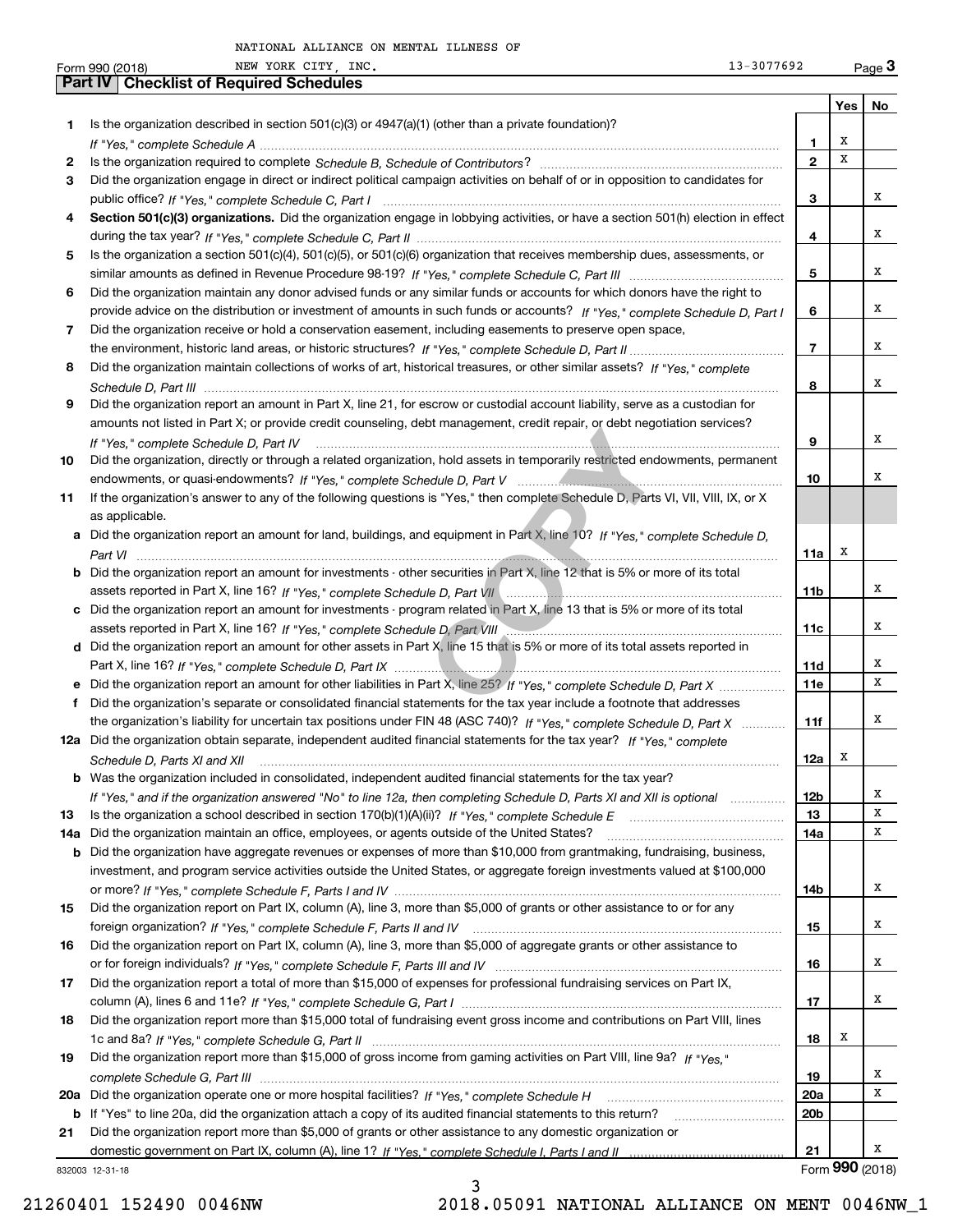|     | NEW YORK CITY, INC.<br>13-3077692<br>Form 990 (2018)                                                                                 |                 |     | Page $3$        |
|-----|--------------------------------------------------------------------------------------------------------------------------------------|-----------------|-----|-----------------|
|     | <b>Part IV   Checklist of Required Schedules</b>                                                                                     |                 |     |                 |
|     |                                                                                                                                      |                 | Yes | No              |
| 1   | Is the organization described in section $501(c)(3)$ or $4947(a)(1)$ (other than a private foundation)?                              |                 |     |                 |
|     |                                                                                                                                      | 1               | х   |                 |
| 2   |                                                                                                                                      | $\overline{2}$  | x   |                 |
| З   | Did the organization engage in direct or indirect political campaign activities on behalf of or in opposition to candidates for      |                 |     |                 |
|     |                                                                                                                                      | 3               |     | x               |
| 4   | Section 501(c)(3) organizations. Did the organization engage in lobbying activities, or have a section 501(h) election in effect     |                 |     |                 |
|     |                                                                                                                                      | 4               |     | x               |
| 5   | Is the organization a section 501(c)(4), 501(c)(5), or 501(c)(6) organization that receives membership dues, assessments, or         |                 |     |                 |
|     |                                                                                                                                      | 5               |     | х               |
| 6   | Did the organization maintain any donor advised funds or any similar funds or accounts for which donors have the right to            |                 |     |                 |
|     |                                                                                                                                      |                 |     | х               |
|     | provide advice on the distribution or investment of amounts in such funds or accounts? If "Yes," complete Schedule D, Part I         | 6               |     |                 |
| 7   | Did the organization receive or hold a conservation easement, including easements to preserve open space,                            |                 |     | х               |
|     |                                                                                                                                      | $\overline{7}$  |     |                 |
| 8   | Did the organization maintain collections of works of art, historical treasures, or other similar assets? If "Yes," complete         |                 |     |                 |
|     |                                                                                                                                      | 8               |     | x               |
| 9   | Did the organization report an amount in Part X, line 21, for escrow or custodial account liability, serve as a custodian for        |                 |     |                 |
|     | amounts not listed in Part X; or provide credit counseling, debt management, credit repair, or debt negotiation services?            |                 |     |                 |
|     | If "Yes." complete Schedule D. Part IV                                                                                               | 9               |     | х               |
| 10  | Did the organization, directly or through a related organization, hold assets in temporarily restricted endowments, permanent        |                 |     |                 |
|     |                                                                                                                                      | 10              |     | x               |
| 11  | If the organization's answer to any of the following questions is "Yes," then complete Schedule D, Parts VI, VII, VIII, IX, or X     |                 |     |                 |
|     | as applicable.                                                                                                                       |                 |     |                 |
|     | a Did the organization report an amount for land, buildings, and equipment in Part X, line 10? If "Yes," complete Schedule D,        |                 |     |                 |
|     |                                                                                                                                      | 11a             | х   |                 |
|     | <b>b</b> Did the organization report an amount for investments - other securities in Part X, line 12 that is 5% or more of its total |                 |     |                 |
|     |                                                                                                                                      | 11 <sub>b</sub> |     | х               |
|     | c Did the organization report an amount for investments - program related in Part X, line 13 that is 5% or more of its total         |                 |     |                 |
|     |                                                                                                                                      | 11c             |     | x               |
|     | d Did the organization report an amount for other assets in Part X, line 15 that is 5% or more of its total assets reported in       |                 |     |                 |
|     |                                                                                                                                      | 11d             |     | х               |
|     | e Did the organization report an amount for other liabilities in Part X, line 25? If "Yes," complete Schedule D, Part X              | 11e             |     | х               |
|     |                                                                                                                                      |                 |     |                 |
| f   | Did the organization's separate or consolidated financial statements for the tax year include a footnote that addresses              |                 |     | х               |
|     | the organization's liability for uncertain tax positions under FIN 48 (ASC 740)? If "Yes," complete Schedule D, Part X               | 11f             |     |                 |
|     | 12a Did the organization obtain separate, independent audited financial statements for the tax year? If "Yes," complete              |                 | x   |                 |
|     | Schedule D, Parts XI and XII <i>maching and continuum continuum continuum continuum continuum continuum continuum</i>                | 12a             |     |                 |
| b   | Was the organization included in consolidated, independent audited financial statements for the tax year?                            |                 |     |                 |
|     | If "Yes," and if the organization answered "No" to line 12a, then completing Schedule D, Parts XI and XII is optional                | 12 <sub>b</sub> |     | x               |
| 13  |                                                                                                                                      | 13              |     | х               |
| 14a | Did the organization maintain an office, employees, or agents outside of the United States?                                          | 14a             |     | x               |
| b   | Did the organization have aggregate revenues or expenses of more than \$10,000 from grantmaking, fundraising, business,              |                 |     |                 |
|     | investment, and program service activities outside the United States, or aggregate foreign investments valued at \$100,000           |                 |     |                 |
|     |                                                                                                                                      | 14b             |     | х               |
| 15  | Did the organization report on Part IX, column (A), line 3, more than \$5,000 of grants or other assistance to or for any            |                 |     |                 |
|     |                                                                                                                                      | 15              |     | x               |
| 16  | Did the organization report on Part IX, column (A), line 3, more than \$5,000 of aggregate grants or other assistance to             |                 |     |                 |
|     |                                                                                                                                      | 16              |     | х               |
| 17  | Did the organization report a total of more than \$15,000 of expenses for professional fundraising services on Part IX,              |                 |     |                 |
|     |                                                                                                                                      | 17              |     | х               |
| 18  | Did the organization report more than \$15,000 total of fundraising event gross income and contributions on Part VIII, lines         |                 |     |                 |
|     |                                                                                                                                      | 18              | x   |                 |
| 19  | Did the organization report more than \$15,000 of gross income from gaming activities on Part VIII, line 9a? If "Yes."               |                 |     |                 |
|     |                                                                                                                                      | 19              |     | x               |
|     |                                                                                                                                      |                 |     | х               |
|     | 20a Did the organization operate one or more hospital facilities? If "Yes," complete Schedule H                                      | 20a             |     |                 |
| b   | If "Yes" to line 20a, did the organization attach a copy of its audited financial statements to this return?                         | 20 <sub>b</sub> |     |                 |
| 21  | Did the organization report more than \$5,000 of grants or other assistance to any domestic organization or                          |                 |     |                 |
|     |                                                                                                                                      | 21              |     | x               |
|     | 832003 12-31-18                                                                                                                      |                 |     | Form 990 (2018) |

3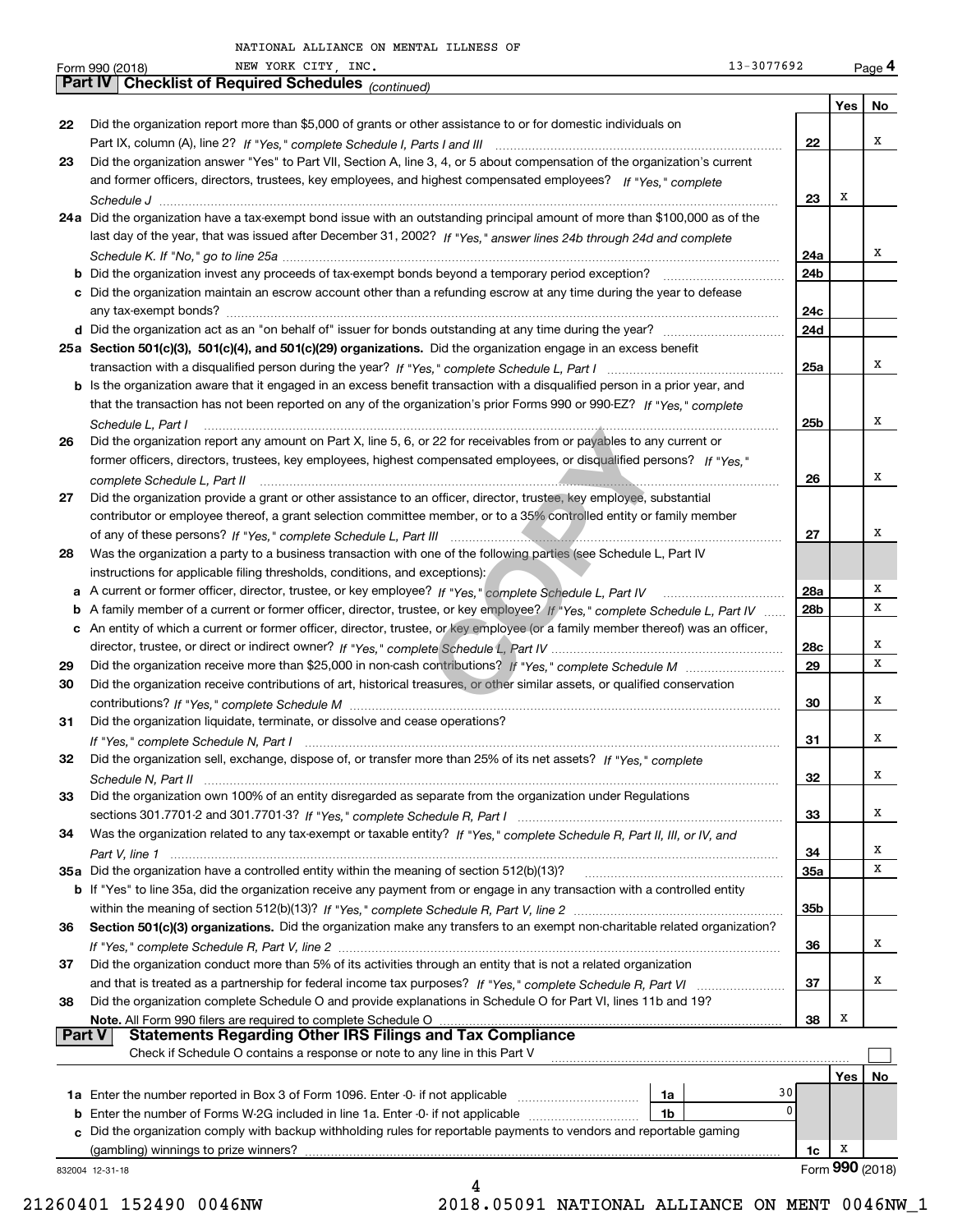|               | 13-3077692<br>NEW YORK CITY, INC.<br>Form 990 (2018)                                                                                                                                                                                                              |                        |      | Page 4          |
|---------------|-------------------------------------------------------------------------------------------------------------------------------------------------------------------------------------------------------------------------------------------------------------------|------------------------|------|-----------------|
|               | Part IV   Checklist of Required Schedules (continued)                                                                                                                                                                                                             |                        |      |                 |
|               |                                                                                                                                                                                                                                                                   |                        | Yes  | No              |
| 22            | Did the organization report more than \$5,000 of grants or other assistance to or for domestic individuals on                                                                                                                                                     |                        |      |                 |
|               |                                                                                                                                                                                                                                                                   | 22                     |      | х               |
| 23            | Did the organization answer "Yes" to Part VII, Section A, line 3, 4, or 5 about compensation of the organization's current                                                                                                                                        |                        |      |                 |
|               | and former officers, directors, trustees, key employees, and highest compensated employees? If "Yes," complete                                                                                                                                                    |                        |      |                 |
|               |                                                                                                                                                                                                                                                                   | 23                     | х    |                 |
|               | 24a Did the organization have a tax-exempt bond issue with an outstanding principal amount of more than \$100,000 as of the                                                                                                                                       |                        |      |                 |
|               | last day of the year, that was issued after December 31, 2002? If "Yes," answer lines 24b through 24d and complete                                                                                                                                                |                        |      | х               |
|               |                                                                                                                                                                                                                                                                   | 24a<br>24b             |      |                 |
|               | c Did the organization maintain an escrow account other than a refunding escrow at any time during the year to defease                                                                                                                                            |                        |      |                 |
|               |                                                                                                                                                                                                                                                                   | 24c                    |      |                 |
|               |                                                                                                                                                                                                                                                                   | 24d                    |      |                 |
|               | 25a Section 501(c)(3), 501(c)(4), and 501(c)(29) organizations. Did the organization engage in an excess benefit                                                                                                                                                  |                        |      |                 |
|               |                                                                                                                                                                                                                                                                   | 25a                    |      | x               |
|               | b Is the organization aware that it engaged in an excess benefit transaction with a disqualified person in a prior year, and                                                                                                                                      |                        |      |                 |
|               | that the transaction has not been reported on any of the organization's prior Forms 990 or 990-EZ? If "Yes," complete                                                                                                                                             |                        |      |                 |
|               | Schedule L, Part I                                                                                                                                                                                                                                                | 25b                    |      | х               |
| 26            | Did the organization report any amount on Part X, line 5, 6, or 22 for receivables from or payables to any current or                                                                                                                                             |                        |      |                 |
|               | former officers, directors, trustees, key employees, highest compensated employees, or disqualified persons? If "Yes."                                                                                                                                            |                        |      |                 |
|               | complete Schedule L, Part II                                                                                                                                                                                                                                      | 26                     |      | х               |
| 27            | Did the organization provide a grant or other assistance to an officer, director, trustee, key employee, substantial                                                                                                                                              |                        |      |                 |
|               | contributor or employee thereof, a grant selection committee member, or to a 35% controlled entity or family member                                                                                                                                               |                        |      |                 |
|               |                                                                                                                                                                                                                                                                   | 27                     |      | х               |
| 28            | Was the organization a party to a business transaction with one of the following parties (see Schedule L, Part IV                                                                                                                                                 |                        |      |                 |
|               | instructions for applicable filing thresholds, conditions, and exceptions):                                                                                                                                                                                       |                        |      | Х               |
|               |                                                                                                                                                                                                                                                                   | 28a<br>28 <sub>b</sub> |      | х               |
|               | b A family member of a current or former officer, director, trustee, or key employee? If "Yes," complete Schedule L, Part IV<br>c An entity of which a current or former officer, director, trustee, or key employee (or a family member thereof) was an officer, |                        |      |                 |
|               |                                                                                                                                                                                                                                                                   | 28c                    |      | х               |
| 29            |                                                                                                                                                                                                                                                                   | 29                     |      | х               |
| 30            | Did the organization receive contributions of art, historical treasures, or other similar assets, or qualified conservation                                                                                                                                       |                        |      |                 |
|               |                                                                                                                                                                                                                                                                   | 30                     |      | х               |
| 31            | Did the organization liquidate, terminate, or dissolve and cease operations?                                                                                                                                                                                      |                        |      |                 |
|               |                                                                                                                                                                                                                                                                   | 31                     |      | х               |
| 32            | Did the organization sell, exchange, dispose of, or transfer more than 25% of its net assets? If "Yes," complete                                                                                                                                                  |                        |      |                 |
|               | Schedule N, Part II                                                                                                                                                                                                                                               | 32                     |      | х               |
| 33            | Did the organization own 100% of an entity disregarded as separate from the organization under Regulations                                                                                                                                                        |                        |      |                 |
|               |                                                                                                                                                                                                                                                                   | 33                     |      | х               |
| 34            | Was the organization related to any tax-exempt or taxable entity? If "Yes," complete Schedule R, Part II, III, or IV, and                                                                                                                                         |                        |      |                 |
|               |                                                                                                                                                                                                                                                                   | 34                     |      | х<br>х          |
|               | 35a Did the organization have a controlled entity within the meaning of section 512(b)(13)?                                                                                                                                                                       | 35a                    |      |                 |
|               | <b>b</b> If "Yes" to line 35a, did the organization receive any payment from or engage in any transaction with a controlled entity                                                                                                                                | 35b                    |      |                 |
| 36            | Section 501(c)(3) organizations. Did the organization make any transfers to an exempt non-charitable related organization?                                                                                                                                        |                        |      |                 |
|               |                                                                                                                                                                                                                                                                   | 36                     |      | х               |
| 37            | Did the organization conduct more than 5% of its activities through an entity that is not a related organization                                                                                                                                                  |                        |      |                 |
|               |                                                                                                                                                                                                                                                                   | 37                     |      | х               |
| 38            | Did the organization complete Schedule O and provide explanations in Schedule O for Part VI, lines 11b and 19?                                                                                                                                                    |                        |      |                 |
|               |                                                                                                                                                                                                                                                                   | 38                     | х    |                 |
| <b>Part V</b> |                                                                                                                                                                                                                                                                   |                        |      |                 |
|               | Check if Schedule O contains a response or note to any line in this Part V                                                                                                                                                                                        |                        |      |                 |
|               |                                                                                                                                                                                                                                                                   |                        | Yes∣ | No.             |
|               | 1a                                                                                                                                                                                                                                                                | 30                     |      |                 |
|               | <b>b</b> Enter the number of Forms W-2G included in line 1a. Enter -0- if not applicable<br>1b                                                                                                                                                                    | 0                      |      |                 |
|               | c Did the organization comply with backup withholding rules for reportable payments to vendors and reportable gaming                                                                                                                                              |                        |      |                 |
|               | (gambling) winnings to prize winners?                                                                                                                                                                                                                             | 1c                     | x    | Form 990 (2018) |
|               | 832004 12-31-18<br>4                                                                                                                                                                                                                                              |                        |      |                 |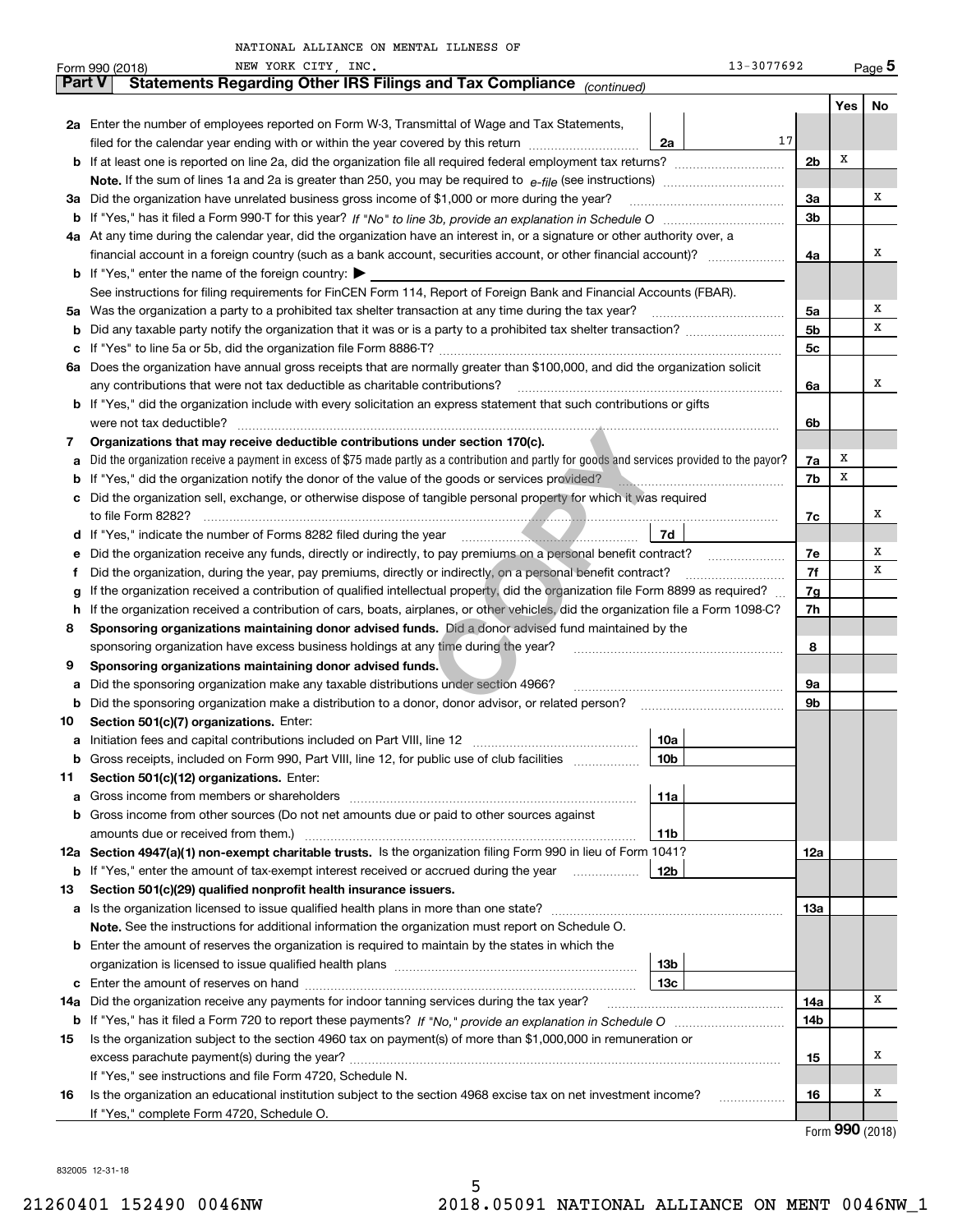|               | 13-3077692<br>NEW YORK CITY, INC.<br>Form 990 (2018)                                                                                            |     |     | $_{\text{Page}}$ 5 |
|---------------|-------------------------------------------------------------------------------------------------------------------------------------------------|-----|-----|--------------------|
| <b>Part V</b> | Statements Regarding Other IRS Filings and Tax Compliance (continued)                                                                           |     |     |                    |
|               |                                                                                                                                                 |     | Yes | No                 |
|               | 2a Enter the number of employees reported on Form W-3, Transmittal of Wage and Tax Statements,                                                  |     |     |                    |
|               | 17<br>filed for the calendar year ending with or within the year covered by this return <i>manumumumum</i><br>2a                                |     |     |                    |
|               |                                                                                                                                                 | 2b  | х   |                    |
|               |                                                                                                                                                 |     |     |                    |
| За            | Did the organization have unrelated business gross income of \$1,000 or more during the year?                                                   | За  |     | х                  |
|               |                                                                                                                                                 | 3b  |     |                    |
|               | 4a At any time during the calendar year, did the organization have an interest in, or a signature or other authority over, a                    |     |     |                    |
|               |                                                                                                                                                 | 4a  |     | х                  |
|               | <b>b</b> If "Yes," enter the name of the foreign country: $\blacktriangleright$                                                                 |     |     |                    |
|               | See instructions for filing requirements for FinCEN Form 114, Report of Foreign Bank and Financial Accounts (FBAR).                             |     |     |                    |
| 5а            |                                                                                                                                                 | 5a  |     | Χ                  |
| b             | Did any taxable party notify the organization that it was or is a party to a prohibited tax shelter transaction?                                | 5b  |     | х                  |
| с             |                                                                                                                                                 | 5c  |     |                    |
| 6а            | Does the organization have annual gross receipts that are normally greater than \$100,000, and did the organization solicit                     |     |     |                    |
|               | any contributions that were not tax deductible as charitable contributions?                                                                     | 6a  |     | Χ                  |
|               | b If "Yes," did the organization include with every solicitation an express statement that such contributions or gifts                          |     |     |                    |
|               | were not tax deductible?                                                                                                                        | 6b  |     |                    |
| 7             | Organizations that may receive deductible contributions under section 170(c).                                                                   |     |     |                    |
| а             | Did the organization receive a payment in excess of \$75 made partly as a contribution and partly for goods and services provided to the payor? | 7a  | x   |                    |
|               | If "Yes," did the organization notify the donor of the value of the goods or services provided?                                                 | 7b  | X   |                    |
|               | Did the organization sell, exchange, or otherwise dispose of tangible personal property for which it was required                               |     |     |                    |
|               |                                                                                                                                                 | 7с  |     | х                  |
| d             | 7d                                                                                                                                              |     |     |                    |
| е             |                                                                                                                                                 | 7e  |     | Х                  |
|               | Did the organization, during the year, pay premiums, directly or indirectly, on a personal benefit contract?                                    | 7f  |     | х                  |
|               | If the organization received a contribution of qualified intellectual property, did the organization file Form 8899 as required?                | 7g  |     |                    |
| h             | If the organization received a contribution of cars, boats, airplanes, or other vehicles, did the organization file a Form 1098-C?              | 7h  |     |                    |
| 8             | Sponsoring organizations maintaining donor advised funds. Did a donor advised fund maintained by the                                            |     |     |                    |
|               | sponsoring organization have excess business holdings at any time during the year?                                                              | 8   |     |                    |
| 9             | Sponsoring organizations maintaining donor advised funds.                                                                                       |     |     |                    |
| а             | Did the sponsoring organization make any taxable distributions under section 4966?                                                              | 9а  |     |                    |
| b             | Did the sponsoring organization make a distribution to a donor, donor advisor, or related person?                                               | 9b  |     |                    |
| 10            | Section 501(c)(7) organizations. Enter:                                                                                                         |     |     |                    |
| а             | 10a                                                                                                                                             |     |     |                    |
|               | Gross receipts, included on Form 990, Part VIII, line 12, for public use of club facilities<br>10 <sub>b</sub>                                  |     |     |                    |
| 11            | Section 501(c)(12) organizations. Enter:                                                                                                        |     |     |                    |
| a             | 11a<br>Gross income from members or shareholders                                                                                                |     |     |                    |
|               | <b>b</b> Gross income from other sources (Do not net amounts due or paid to other sources against                                               |     |     |                    |
|               | amounts due or received from them.)<br>11b                                                                                                      |     |     |                    |
|               | 12a Section 4947(a)(1) non-exempt charitable trusts. Is the organization filing Form 990 in lieu of Form 1041?                                  | 12a |     |                    |
|               | 12 <sub>b</sub><br><b>b</b> If "Yes," enter the amount of tax-exempt interest received or accrued during the year <i>manument</i>               |     |     |                    |
| 13            | Section 501(c)(29) qualified nonprofit health insurance issuers.                                                                                |     |     |                    |
| а             | Is the organization licensed to issue qualified health plans in more than one state?                                                            | 13а |     |                    |
|               | Note. See the instructions for additional information the organization must report on Schedule O.                                               |     |     |                    |
| b             | Enter the amount of reserves the organization is required to maintain by the states in which the<br>13 <sub>b</sub>                             |     |     |                    |
|               | 13c                                                                                                                                             |     |     |                    |
| с<br>14a      | Did the organization receive any payments for indoor tanning services during the tax year?                                                      | 14a |     | Χ                  |
|               |                                                                                                                                                 | 14b |     |                    |
| 15            | Is the organization subject to the section 4960 tax on payment(s) of more than \$1,000,000 in remuneration or                                   |     |     |                    |
|               |                                                                                                                                                 | 15  |     | х                  |
|               | If "Yes," see instructions and file Form 4720, Schedule N.                                                                                      |     |     |                    |
| 16            | Is the organization an educational institution subject to the section 4968 excise tax on net investment income?                                 | 16  |     | х                  |
|               | If "Yes," complete Form 4720, Schedule O.                                                                                                       |     |     |                    |
|               |                                                                                                                                                 |     |     |                    |

Form (2018) **990**

832005 12-31-18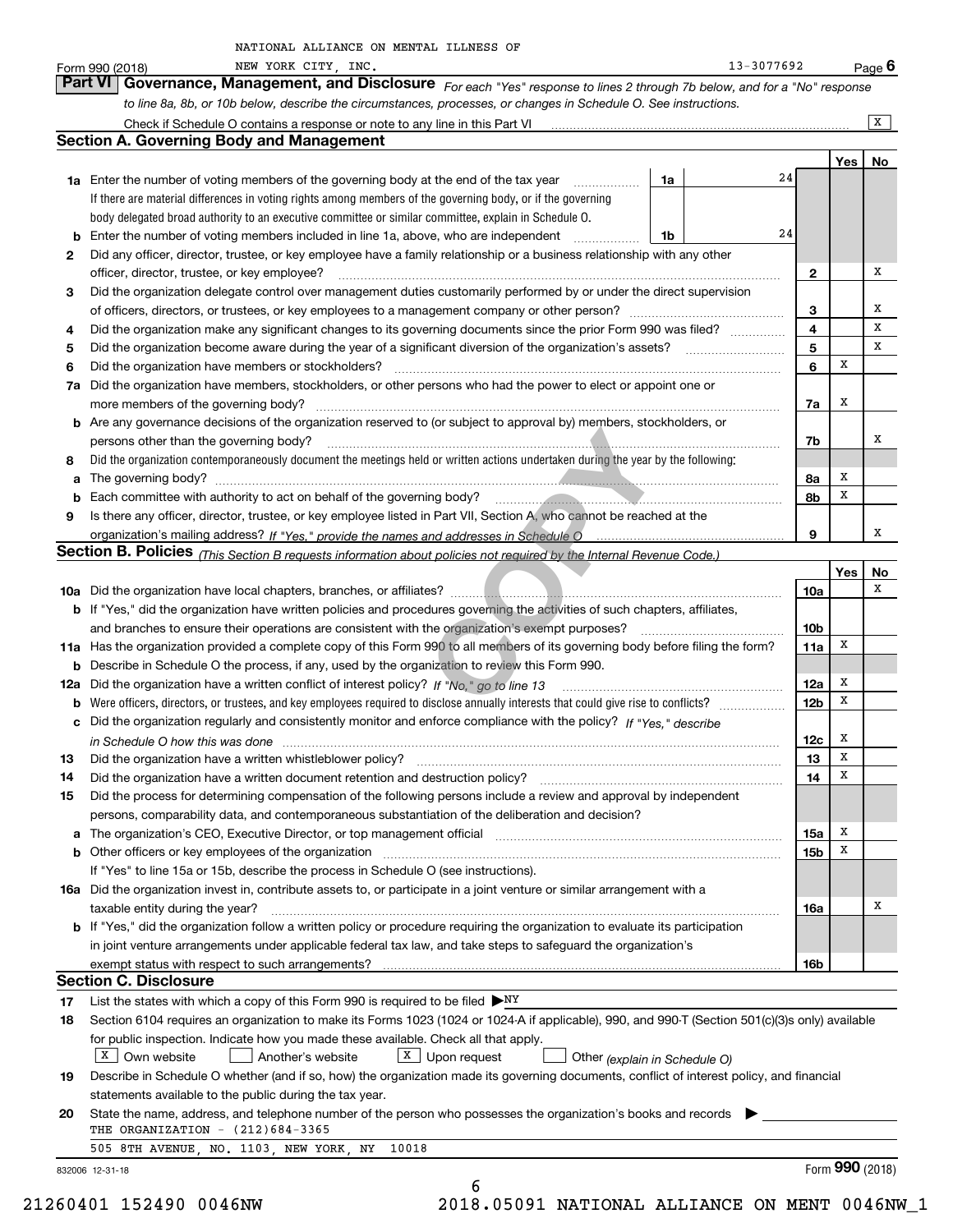|    | NEW YORK CITY, INC.<br>Form 990 (2018)                                                                                                                                                                                         |    | 13-3077692 |                 |                 | Page $6$     |
|----|--------------------------------------------------------------------------------------------------------------------------------------------------------------------------------------------------------------------------------|----|------------|-----------------|-----------------|--------------|
|    | Governance, Management, and Disclosure For each "Yes" response to lines 2 through 7b below, and for a "No" response<br><b>Part VI</b>                                                                                          |    |            |                 |                 |              |
|    | to line 8a, 8b, or 10b below, describe the circumstances, processes, or changes in Schedule O. See instructions.                                                                                                               |    |            |                 |                 |              |
|    |                                                                                                                                                                                                                                |    |            |                 |                 | $\mathbf{x}$ |
|    | <b>Section A. Governing Body and Management</b>                                                                                                                                                                                |    |            |                 |                 |              |
|    |                                                                                                                                                                                                                                |    |            |                 | Yes             | No           |
|    | <b>1a</b> Enter the number of voting members of the governing body at the end of the tax year<br>.                                                                                                                             | 1a | 24         |                 |                 |              |
|    | If there are material differences in voting rights among members of the governing body, or if the governing                                                                                                                    |    |            |                 |                 |              |
|    | body delegated broad authority to an executive committee or similar committee, explain in Schedule O.                                                                                                                          |    |            |                 |                 |              |
|    | <b>b</b> Enter the number of voting members included in line 1a, above, who are independent <i>manumum</i>                                                                                                                     | 1b | 24         |                 |                 |              |
| 2  | Did any officer, director, trustee, or key employee have a family relationship or a business relationship with any other                                                                                                       |    |            |                 |                 |              |
|    | officer, director, trustee, or key employee?                                                                                                                                                                                   |    |            | $\mathbf{2}$    |                 | х            |
| 3  | Did the organization delegate control over management duties customarily performed by or under the direct supervision                                                                                                          |    |            |                 |                 |              |
|    |                                                                                                                                                                                                                                |    |            | 3               |                 | x            |
| 4  | Did the organization make any significant changes to its governing documents since the prior Form 990 was filed?                                                                                                               |    |            | 4               |                 | x            |
| 5  |                                                                                                                                                                                                                                |    |            | 5               |                 | x            |
| 6  | Did the organization have members or stockholders?                                                                                                                                                                             |    |            | 6               | х               |              |
| 7a | Did the organization have members, stockholders, or other persons who had the power to elect or appoint one or                                                                                                                 |    |            |                 |                 |              |
|    | more members of the governing body?                                                                                                                                                                                            |    |            | 7a              | х               |              |
|    | <b>b</b> Are any governance decisions of the organization reserved to (or subject to approval by) members, stockholders, or                                                                                                    |    |            |                 |                 |              |
|    | persons other than the governing body?                                                                                                                                                                                         |    |            | 7b              |                 | х            |
| 8  | Did the organization contemporaneously document the meetings held or written actions undertaken during the year by the following:                                                                                              |    |            |                 |                 |              |
|    |                                                                                                                                                                                                                                |    |            | 8a              | х               |              |
| b  | Each committee with authority to act on behalf of the governing body?<br>Fach committee with authority to act on behalf of the governing body?                                                                                 |    |            | 8b              | x               |              |
| 9  | Is there any officer, director, trustee, or key employee listed in Part VII, Section A, who cannot be reached at the                                                                                                           |    |            |                 |                 |              |
|    |                                                                                                                                                                                                                                |    |            | 9               |                 | х            |
|    | Section B. Policies (This Section B requests information about policies not required by the Internal Revenue Code.)                                                                                                            |    |            |                 |                 |              |
|    |                                                                                                                                                                                                                                |    |            |                 | <b>Yes</b>      | No<br>x      |
|    |                                                                                                                                                                                                                                |    |            | 10a             |                 |              |
|    | b If "Yes," did the organization have written policies and procedures governing the activities of such chapters, affiliates,                                                                                                   |    |            |                 |                 |              |
|    | and branches to ensure their operations are consistent with the organization's exempt purposes?                                                                                                                                |    |            | 10 <sub>b</sub> | х               |              |
|    | 11a Has the organization provided a complete copy of this Form 990 to all members of its governing body before filing the form?                                                                                                |    |            | 11a             |                 |              |
|    | <b>b</b> Describe in Schedule O the process, if any, used by the organization to review this Form 990.                                                                                                                         |    |            |                 | х               |              |
|    | 12a Did the organization have a written conflict of interest policy? If "No," go to line 13                                                                                                                                    |    |            | 12a             | Х               |              |
|    |                                                                                                                                                                                                                                |    |            | 12 <sub>b</sub> |                 |              |
|    | c Did the organization regularly and consistently monitor and enforce compliance with the policy? If "Yes," describe                                                                                                           |    |            |                 | x               |              |
|    | in Schedule O how this was done manufactured and continuum control of the Schedule O how this was done manufactured and continuum control of the Schedule O how this was done                                                  |    |            | 12c             | x               |              |
| 13 | Did the organization have a written whistleblower policy?                                                                                                                                                                      |    |            | 13<br>14        | Х               |              |
| 14 | Did the organization have a written document retention and destruction policy?                                                                                                                                                 |    |            |                 |                 |              |
| 15 | Did the process for determining compensation of the following persons include a review and approval by independent<br>persons, comparability data, and contemporaneous substantiation of the deliberation and decision?        |    |            |                 |                 |              |
|    |                                                                                                                                                                                                                                |    |            |                 | х               |              |
|    | b Other officers or key employees of the organization manufactured content to the organization manufactured by Other officers or key employees of the organization manufactured content of the organization manufactured by Ot |    |            | 15a<br>15b      | х               |              |
|    | If "Yes" to line 15a or 15b, describe the process in Schedule O (see instructions).                                                                                                                                            |    |            |                 |                 |              |
|    | 16a Did the organization invest in, contribute assets to, or participate in a joint venture or similar arrangement with a                                                                                                      |    |            |                 |                 |              |
|    | taxable entity during the year?                                                                                                                                                                                                |    |            | 16a             |                 | х            |
|    | <b>b</b> If "Yes," did the organization follow a written policy or procedure requiring the organization to evaluate its participation                                                                                          |    |            |                 |                 |              |
|    | in joint venture arrangements under applicable federal tax law, and take steps to safeguard the organization's                                                                                                                 |    |            |                 |                 |              |
|    |                                                                                                                                                                                                                                |    |            | <b>16b</b>      |                 |              |
|    | <b>Section C. Disclosure</b>                                                                                                                                                                                                   |    |            |                 |                 |              |
| 17 | List the states with which a copy of this Form 990 is required to be filed $\triangleright_{\text{NY}}$                                                                                                                        |    |            |                 |                 |              |
| 18 | Section 6104 requires an organization to make its Forms 1023 (1024 or 1024 A if applicable), 990, and 990 T (Section 501(c)(3)s only) available                                                                                |    |            |                 |                 |              |
|    | for public inspection. Indicate how you made these available. Check all that apply.                                                                                                                                            |    |            |                 |                 |              |
|    | $X$ Own website<br>$X$ Upon request<br>Another's website<br>Other (explain in Schedule O)                                                                                                                                      |    |            |                 |                 |              |
| 19 | Describe in Schedule O whether (and if so, how) the organization made its governing documents, conflict of interest policy, and financial                                                                                      |    |            |                 |                 |              |
|    | statements available to the public during the tax year.                                                                                                                                                                        |    |            |                 |                 |              |
| 20 | State the name, address, and telephone number of the person who possesses the organization's books and records                                                                                                                 |    |            |                 |                 |              |
|    | THE ORGANIZATION $-$ (212)684-3365                                                                                                                                                                                             |    |            |                 |                 |              |
|    | 505 8TH AVENUE, NO. 1103, NEW YORK, NY<br>10018                                                                                                                                                                                |    |            |                 |                 |              |
|    | 832006 12-31-18                                                                                                                                                                                                                |    |            |                 | Form 990 (2018) |              |
|    | 6                                                                                                                                                                                                                              |    |            |                 |                 |              |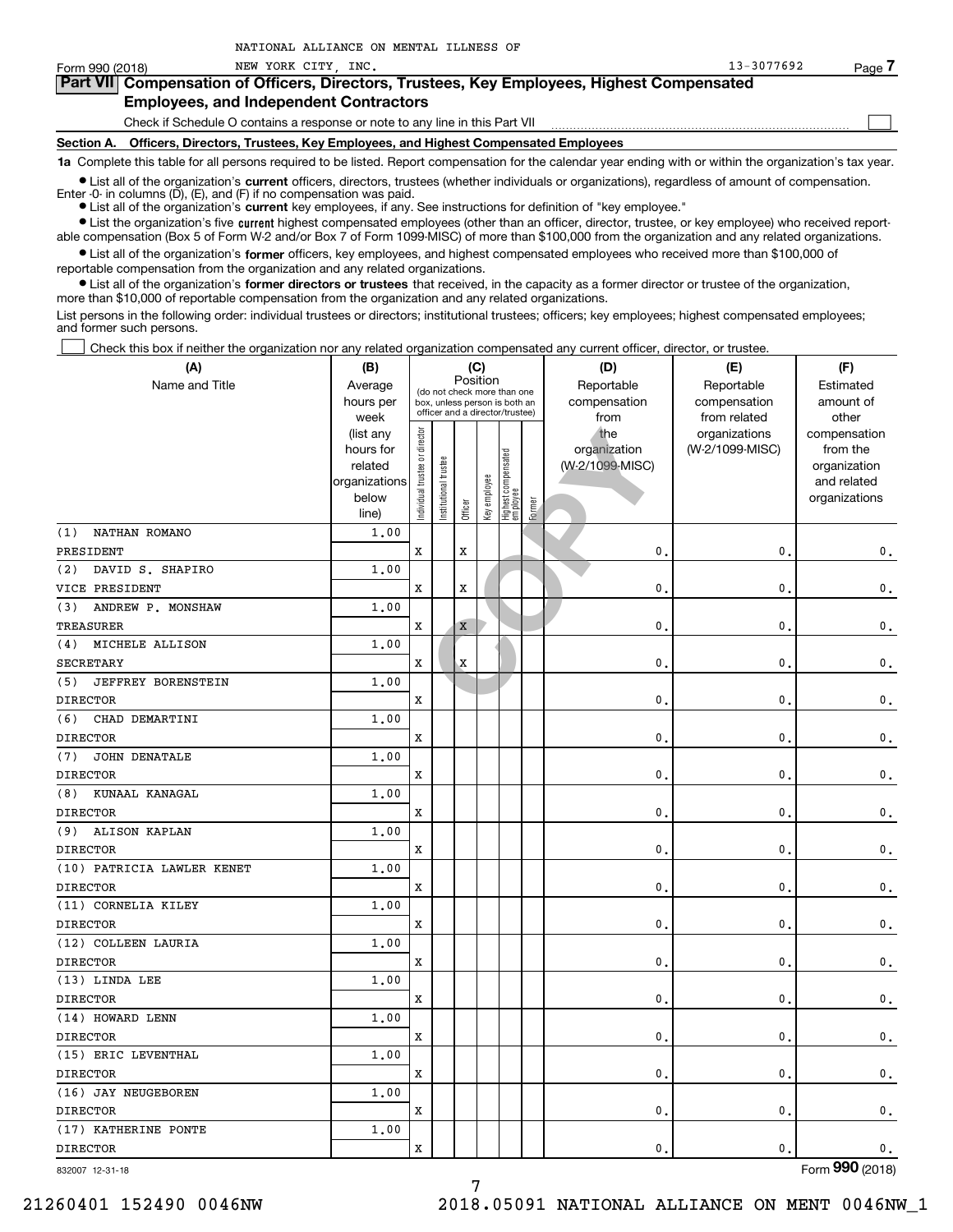**•** List all of the organization's current officers, directors, trustees (whether individuals or organizations), regardless of amount of compensation.

Enter -0- in columns  $(D)$ ,  $(E)$ , and  $(F)$  if no compensation was paid.

● List all of the organization's **current** key employees, if any. See instructions for definition of "key employee."

NATIONAL ALLIANCE ON MENTAL ILLNESS OF

**•** List the organization's five current highest compensated employees (other than an officer, director, trustee, or key employee) who received reportable compensation (Box 5 of Form W-2 and/or Box 7 of Form 1099-MISC) of more than \$100,000 from the organization and any related organizations.

 $\bullet$  List all of the organization's **former** officers, key employees, and highest compensated employees who received more than \$100,000 of reportable compensation from the organization and any related organizations.

**•** List all of the organization's former directors or trustees that received, in the capacity as a former director or trustee of the organization, more than \$10,000 of reportable compensation from the organization and any related organizations.

List persons in the following order: individual trustees or directors; institutional trustees; officers; key employees; highest compensated employees; and former such persons.

Check this box if neither the organization nor any related organization compensated any current officer, director, or trustee.  $\mathcal{L}^{\text{max}}$ 

| (A)                              | (B)               |                                |                                                                  |             | (C)          |                                   |        | (D)                  | (E)                          | (F)                |
|----------------------------------|-------------------|--------------------------------|------------------------------------------------------------------|-------------|--------------|-----------------------------------|--------|----------------------|------------------------------|--------------------|
| Name and Title                   | Average           |                                |                                                                  | Position    |              | (do not check more than one       |        | Reportable           | Reportable                   | Estimated          |
|                                  | hours per<br>week |                                | box, unless person is both an<br>officer and a director/trustee) |             |              |                                   |        | compensation<br>from | compensation<br>from related | amount of<br>other |
|                                  | (list any         |                                |                                                                  |             |              |                                   |        | the                  | organizations                | compensation       |
|                                  | hours for         |                                |                                                                  |             |              |                                   |        | organization         | (W-2/1099-MISC)              | from the           |
|                                  | related           |                                |                                                                  |             |              |                                   |        | (W-2/1099-MISC)      |                              | organization       |
|                                  | organizations     |                                |                                                                  |             |              |                                   |        |                      |                              | and related        |
|                                  | below             | Individual trustee or director | Institutional trustee                                            | Officer     | Key employee | Highest compensated<br>  employee | Former |                      |                              | organizations      |
| NATHAN ROMANO<br>(1)             | line)<br>1.00     |                                |                                                                  |             |              |                                   |        |                      |                              |                    |
| PRESIDENT                        |                   | $\mathbf x$                    |                                                                  | $\mathbf x$ |              |                                   |        | $\mathbf{0}$ .       | $\mathbf{0}$                 | $\mathbf 0$ .      |
| DAVID S. SHAPIRO<br>(2)          | 1.00              |                                |                                                                  |             |              |                                   |        |                      |                              |                    |
| VICE PRESIDENT                   |                   | $\mathbf x$                    |                                                                  | $\mathbf x$ |              |                                   |        | $\mathbf{0}$         | 0                            | $\mathfrak o$ .    |
| ANDREW P. MONSHAW<br>(3)         | 1,00              |                                |                                                                  |             |              |                                   |        |                      |                              |                    |
| <b>TREASURER</b>                 |                   | $\mathbf x$                    |                                                                  | $\mathbf X$ |              |                                   |        | $\mathbf{0}$         | 0                            | $\mathbf 0$ .      |
| MICHELE ALLISON<br>(4)           | 1,00              |                                |                                                                  |             |              |                                   |        |                      |                              |                    |
| <b>SECRETARY</b>                 |                   | $\mathbf x$                    |                                                                  | $\mathbf X$ |              |                                   |        | $\mathbf{0}$         | 0                            | $\mathbf 0$ .      |
| <b>JEFFREY BORENSTEIN</b><br>(5) | 1,00              |                                |                                                                  |             |              |                                   |        |                      |                              |                    |
| <b>DIRECTOR</b>                  |                   | $\mathbf x$                    |                                                                  |             |              |                                   |        | $\mathbf{0}$         | $\mathbf{0}$                 | $\mathbf 0$ .      |
| (6)<br>CHAD DEMARTINI            | 1,00              |                                |                                                                  |             |              |                                   |        |                      |                              |                    |
| <b>DIRECTOR</b>                  |                   | X                              |                                                                  |             |              |                                   |        | $\mathbf{0}$         | 0                            | $\mathbf 0$ .      |
| <b>JOHN DENATALE</b><br>(7)      | 1.00              |                                |                                                                  |             |              |                                   |        |                      |                              |                    |
| <b>DIRECTOR</b>                  |                   | X                              |                                                                  |             |              |                                   |        | $\mathbf{0}$         | 0                            | $\mathbf 0$ .      |
| KUNAAL KANAGAL<br>(8)            | 1.00              |                                |                                                                  |             |              |                                   |        |                      |                              |                    |
| <b>DIRECTOR</b>                  |                   | X                              |                                                                  |             |              |                                   |        | $\mathbf{0}$         | 0                            | $\mathbf 0$ .      |
| ALISON KAPLAN<br>(9)             | 1,00              |                                |                                                                  |             |              |                                   |        |                      |                              |                    |
| <b>DIRECTOR</b>                  |                   | X                              |                                                                  |             |              |                                   |        | $\mathbf{0}$         | 0                            | $\mathbf 0$ .      |
| (10) PATRICIA LAWLER KENET       | 1.00              |                                |                                                                  |             |              |                                   |        |                      |                              |                    |
| <b>DIRECTOR</b>                  |                   | X                              |                                                                  |             |              |                                   |        | $\mathbf{0}$         | 0                            | $\mathbf{0}$ .     |
| (11) CORNELIA KILEY              | 1.00              |                                |                                                                  |             |              |                                   |        |                      |                              |                    |
| <b>DIRECTOR</b>                  |                   | X                              |                                                                  |             |              |                                   |        | $\mathbf{0}$         | 0                            | $\mathbf{0}$ .     |
| (12) COLLEEN LAURIA              | 1.00              |                                |                                                                  |             |              |                                   |        |                      |                              |                    |
| <b>DIRECTOR</b>                  |                   | $\mathbf x$                    |                                                                  |             |              |                                   |        | $\mathbf{0}$         | 0                            | $\mathbf{0}$ .     |
| (13) LINDA LEE                   | 1.00              |                                |                                                                  |             |              |                                   |        |                      |                              |                    |
| <b>DIRECTOR</b>                  |                   | X                              |                                                                  |             |              |                                   |        | $\mathbf{0}$         | $\mathbf{0}$                 | $\mathbf 0$ .      |
| (14) HOWARD LENN                 | 1.00              |                                |                                                                  |             |              |                                   |        |                      |                              |                    |
| <b>DIRECTOR</b>                  |                   | $\mathbf x$                    |                                                                  |             |              |                                   |        | $\mathbf{0}$         | 0                            | $\mathbf{0}$ .     |
| (15) ERIC LEVENTHAL              | 1.00              |                                |                                                                  |             |              |                                   |        |                      |                              |                    |
| <b>DIRECTOR</b>                  |                   | $\mathbf x$                    |                                                                  |             |              |                                   |        | $\mathbf{0}$         | 0                            | $\mathbf{0}$ .     |
| (16) JAY NEUGEBOREN              | 1.00              |                                |                                                                  |             |              |                                   |        |                      |                              |                    |
| <b>DIRECTOR</b>                  |                   | $\mathbf x$                    |                                                                  |             |              |                                   |        | $\mathbf{0}$         | 0                            | $\mathfrak o$ .    |
| (17) KATHERINE PONTE             | 1.00              |                                |                                                                  |             |              |                                   |        |                      |                              |                    |
| <b>DIRECTOR</b>                  |                   | $\mathbf x$                    |                                                                  |             |              |                                   |        | $\mathbf{0}$         | $\mathbf{0}$ .               | 0.                 |

832007 12-31-18

Form (2018) **990**

7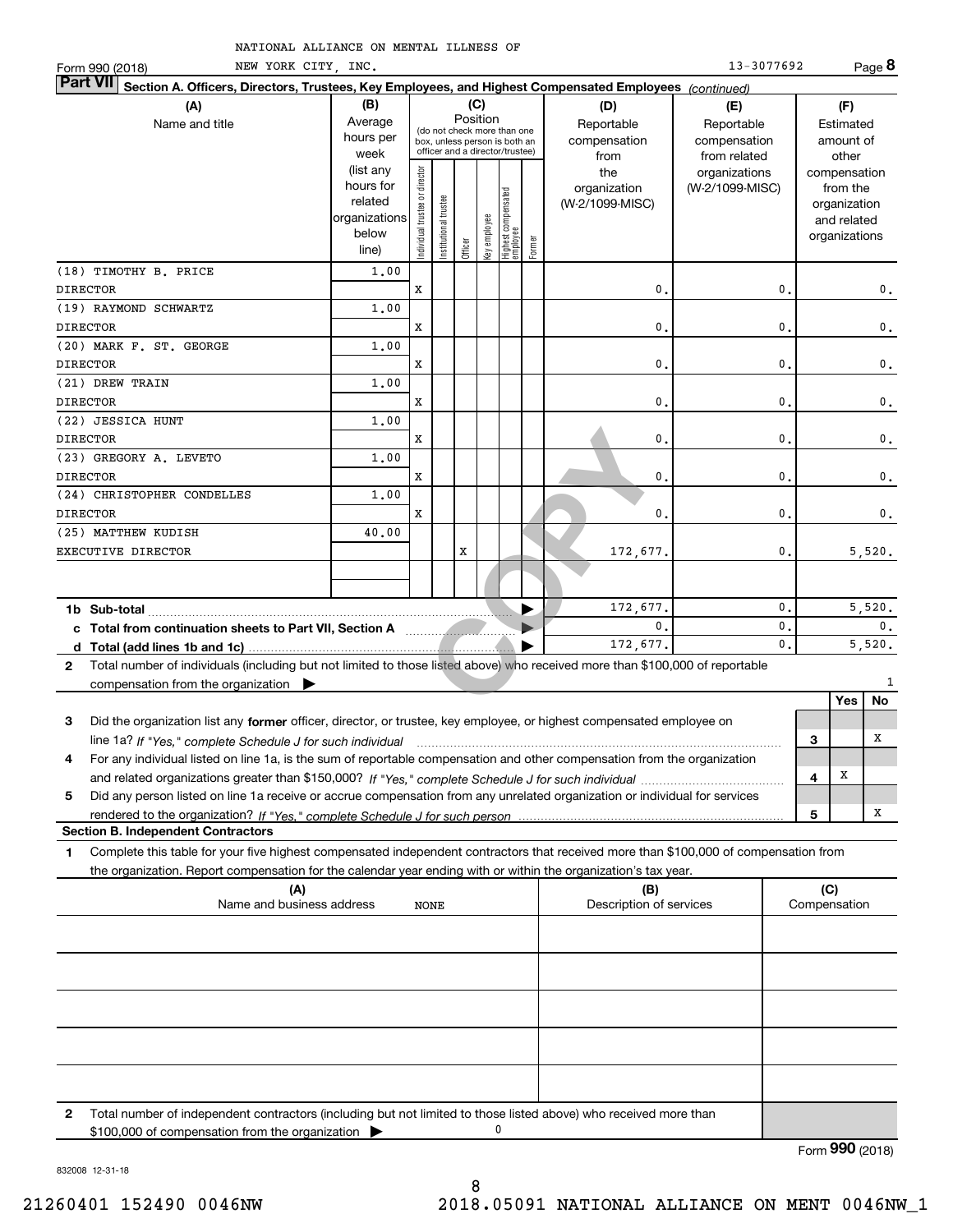| NEW YORK CITY, INC.<br>Form 990 (2018)                                                                                                       |                                                                              |                                |                       |         |                 |                                                                        |        |                                                | 13-3077692                                       |                |                     |                                                                                   | Page 8         |
|----------------------------------------------------------------------------------------------------------------------------------------------|------------------------------------------------------------------------------|--------------------------------|-----------------------|---------|-----------------|------------------------------------------------------------------------|--------|------------------------------------------------|--------------------------------------------------|----------------|---------------------|-----------------------------------------------------------------------------------|----------------|
| <b>Part VII</b><br>Section A. Officers, Directors, Trustees, Key Employees, and Highest Compensated Employees (continued)                    |                                                                              |                                |                       |         |                 |                                                                        |        |                                                |                                                  |                |                     |                                                                                   |                |
| (A)<br>Name and title                                                                                                                        | (B)<br>Average<br>hours per                                                  |                                |                       |         | (C)<br>Position | (do not check more than one<br>box, unless person is both an           |        | (D)<br>Reportable<br>compensation              | (E)<br>Reportable<br>compensation                |                |                     | (F)<br>Estimated<br>amount of                                                     |                |
|                                                                                                                                              | week<br>(list any<br>hours for<br>related<br>organizations<br>below<br>line) | Individual trustee or director | Institutional trustee | Officer | key employee    | officer and a director/trustee)<br>  Highest compensated<br>  employee | Former | from<br>the<br>organization<br>(W-2/1099-MISC) | from related<br>organizations<br>(W-2/1099-MISC) |                |                     | other<br>compensation<br>from the<br>organization<br>and related<br>organizations |                |
| (18) TIMOTHY B. PRICE                                                                                                                        | 1,00                                                                         |                                |                       |         |                 |                                                                        |        |                                                |                                                  |                |                     |                                                                                   |                |
| <b>DIRECTOR</b>                                                                                                                              |                                                                              | x                              |                       |         |                 |                                                                        |        | $\mathbf{0}$                                   |                                                  | $\mathbf 0$    |                     |                                                                                   | $\mathbf{0}$ . |
| (19) RAYMOND SCHWARTZ                                                                                                                        | 1,00                                                                         |                                |                       |         |                 |                                                                        |        |                                                |                                                  |                |                     |                                                                                   |                |
| <b>DIRECTOR</b>                                                                                                                              |                                                                              | x                              |                       |         |                 |                                                                        |        | $\mathbf{0}$                                   |                                                  | $\mathbf{0}$   |                     |                                                                                   | 0.             |
| (20) MARK F. ST. GEORGE                                                                                                                      | 1,00                                                                         |                                |                       |         |                 |                                                                        |        |                                                |                                                  |                |                     |                                                                                   |                |
| <b>DIRECTOR</b>                                                                                                                              |                                                                              | x                              |                       |         |                 |                                                                        |        | $\mathbf{0}$                                   |                                                  | $\mathbf 0$    |                     |                                                                                   | 0.             |
| (21) DREW TRAIN                                                                                                                              | 1,00                                                                         |                                |                       |         |                 |                                                                        |        |                                                |                                                  |                |                     |                                                                                   |                |
| <b>DIRECTOR</b>                                                                                                                              |                                                                              | x                              |                       |         |                 |                                                                        |        | $\mathbf{0}$                                   |                                                  | $\mathbf 0$    |                     |                                                                                   | 0.             |
| (22) JESSICA HUNT                                                                                                                            | 1,00                                                                         |                                |                       |         |                 |                                                                        |        |                                                |                                                  |                |                     |                                                                                   |                |
| <b>DIRECTOR</b>                                                                                                                              |                                                                              | x                              |                       |         |                 |                                                                        |        | $\mathbf{0}$                                   |                                                  | $\mathbf 0$    |                     |                                                                                   | $\mathbf 0$ .  |
| (23) GREGORY A. LEVETO                                                                                                                       | 1,00                                                                         |                                |                       |         |                 |                                                                        |        |                                                |                                                  |                |                     |                                                                                   |                |
| <b>DIRECTOR</b>                                                                                                                              |                                                                              | x                              |                       |         |                 |                                                                        |        | 0.                                             |                                                  | $\mathbf 0$    |                     |                                                                                   | $\mathbf 0$ .  |
| (24) CHRISTOPHER CONDELLES                                                                                                                   | 1,00                                                                         |                                |                       |         |                 |                                                                        |        |                                                |                                                  |                |                     |                                                                                   |                |
| <b>DIRECTOR</b>                                                                                                                              |                                                                              | x                              |                       |         |                 |                                                                        |        | $\mathbf{0}$                                   |                                                  | $\mathbf 0$    |                     |                                                                                   | $\mathbf{0}$ . |
| (25) MATTHEW KUDISH                                                                                                                          | 40.00                                                                        |                                |                       |         |                 |                                                                        |        |                                                |                                                  |                |                     |                                                                                   |                |
| EXECUTIVE DIRECTOR                                                                                                                           |                                                                              |                                |                       | x       |                 |                                                                        |        | 172,677.                                       |                                                  | $\mathbf{0}$   |                     |                                                                                   | 5,520.         |
|                                                                                                                                              |                                                                              |                                |                       |         |                 |                                                                        |        |                                                |                                                  |                |                     |                                                                                   |                |
|                                                                                                                                              |                                                                              |                                |                       |         |                 |                                                                        |        | 172,677.                                       |                                                  | $\mathbf{0}$ . |                     |                                                                                   | 5,520.         |
|                                                                                                                                              |                                                                              |                                |                       |         |                 |                                                                        |        | 0.                                             |                                                  | $\mathbf{0}$ . |                     |                                                                                   | 0.             |
|                                                                                                                                              |                                                                              |                                |                       |         |                 |                                                                        |        | 172,677.                                       |                                                  | $\mathbf{0}$ . |                     |                                                                                   | 5,520.         |
| Total number of individuals (including but not limited to those listed above) who received more than \$100,000 of reportable<br>$\mathbf{2}$ |                                                                              |                                |                       |         |                 |                                                                        |        |                                                |                                                  |                |                     |                                                                                   |                |
| compensation from the organization $\blacktriangleright$                                                                                     |                                                                              |                                |                       |         |                 |                                                                        |        |                                                |                                                  |                |                     |                                                                                   | 1              |
|                                                                                                                                              |                                                                              |                                |                       |         |                 |                                                                        |        |                                                |                                                  |                |                     | Yes                                                                               | No             |
| Did the organization list any former officer, director, or trustee, key employee, or highest compensated employee on<br>3                    |                                                                              |                                |                       |         |                 |                                                                        |        |                                                |                                                  |                |                     |                                                                                   |                |
| line 1a? If "Yes," complete Schedule J for such individual manufactured contained and the Ves," complete Schedule J for such individual      |                                                                              |                                |                       |         |                 |                                                                        |        |                                                |                                                  |                | З                   |                                                                                   | x              |
| For any individual listed on line 1a, is the sum of reportable compensation and other compensation from the organization<br>4                |                                                                              |                                |                       |         |                 |                                                                        |        |                                                |                                                  |                |                     |                                                                                   |                |
|                                                                                                                                              |                                                                              |                                |                       |         |                 |                                                                        |        |                                                |                                                  |                | 4                   | х                                                                                 |                |
| 5<br>Did any person listed on line 1a receive or accrue compensation from any unrelated organization or individual for services              |                                                                              |                                |                       |         |                 |                                                                        |        |                                                |                                                  |                |                     |                                                                                   |                |
|                                                                                                                                              |                                                                              |                                |                       |         |                 |                                                                        |        |                                                |                                                  |                | 5                   |                                                                                   | x              |
| <b>Section B. Independent Contractors</b>                                                                                                    |                                                                              |                                |                       |         |                 |                                                                        |        |                                                |                                                  |                |                     |                                                                                   |                |
| 1<br>Complete this table for your five highest compensated independent contractors that received more than \$100,000 of compensation from    |                                                                              |                                |                       |         |                 |                                                                        |        |                                                |                                                  |                |                     |                                                                                   |                |
| the organization. Report compensation for the calendar year ending with or within the organization's tax year.                               |                                                                              |                                |                       |         |                 |                                                                        |        |                                                |                                                  |                |                     |                                                                                   |                |
| (A)<br>Name and business address                                                                                                             |                                                                              | NONE                           |                       |         |                 |                                                                        |        | (B)<br>Description of services                 |                                                  |                | (C)<br>Compensation |                                                                                   |                |

|              | w<br>Name and business address<br>NONE                                                                                                                                                     | ι-σ<br>Description of services | $\sim$<br>Compensation |  |  |  |  |  |
|--------------|--------------------------------------------------------------------------------------------------------------------------------------------------------------------------------------------|--------------------------------|------------------------|--|--|--|--|--|
|              |                                                                                                                                                                                            |                                |                        |  |  |  |  |  |
|              |                                                                                                                                                                                            |                                |                        |  |  |  |  |  |
|              |                                                                                                                                                                                            |                                |                        |  |  |  |  |  |
|              |                                                                                                                                                                                            |                                |                        |  |  |  |  |  |
|              |                                                                                                                                                                                            |                                |                        |  |  |  |  |  |
| $\mathbf{2}$ | Total number of independent contractors (including but not limited to those listed above) who received more than<br>0<br>$$100,000$ of compensation from the organization $\triangleright$ |                                |                        |  |  |  |  |  |

Form (2018) **990**

832008 12-31-18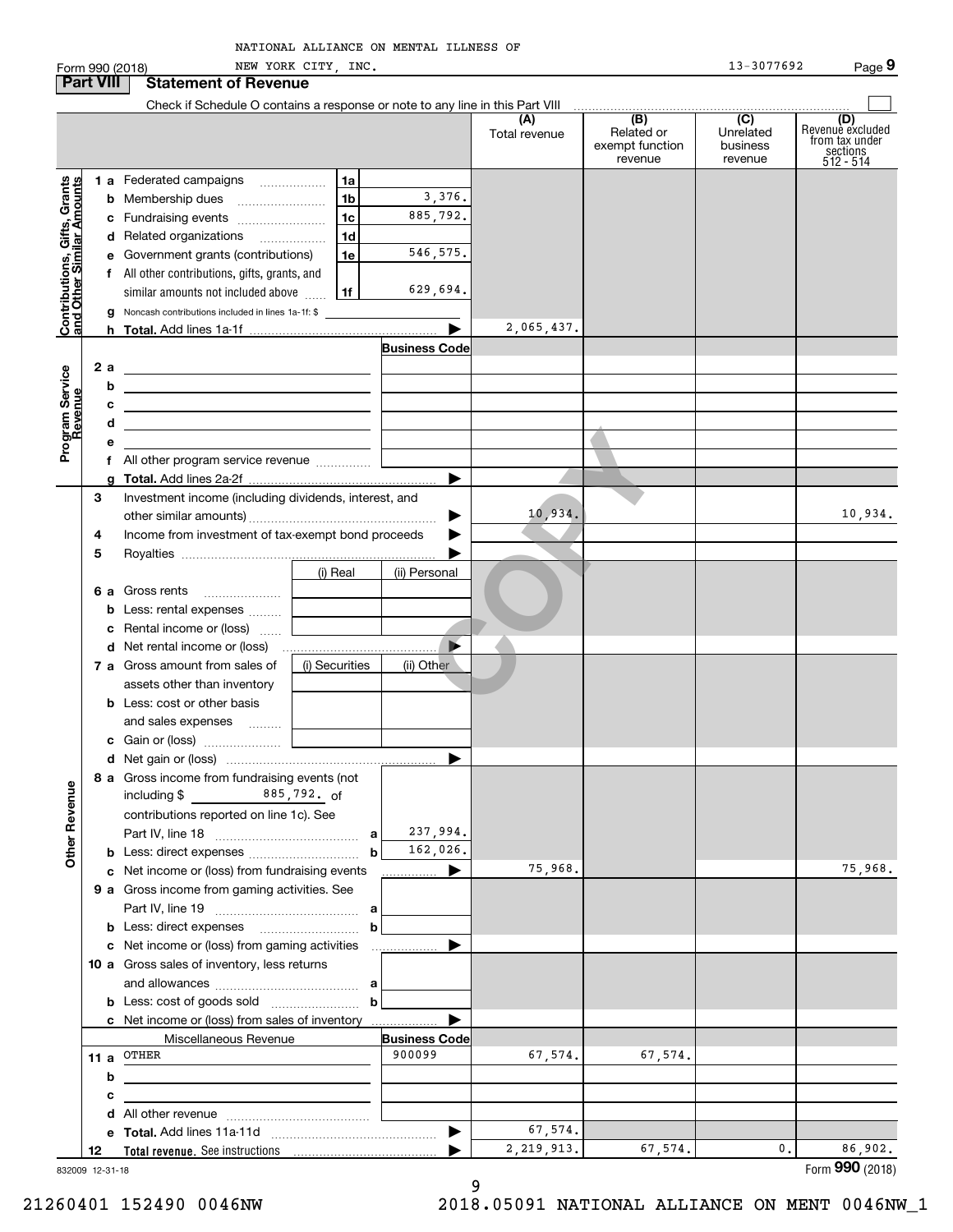| Form 990 (2018)                                           |                  |                                                                                            | NEW YORK CITY, INC. |                       |                      |                                                 | 13-3077692                                           | Page 9                                                               |
|-----------------------------------------------------------|------------------|--------------------------------------------------------------------------------------------|---------------------|-----------------------|----------------------|-------------------------------------------------|------------------------------------------------------|----------------------------------------------------------------------|
|                                                           | <b>Part VIII</b> | <b>Statement of Revenue</b>                                                                |                     |                       |                      |                                                 |                                                      |                                                                      |
|                                                           |                  |                                                                                            |                     |                       | (A)<br>Total revenue | (B)<br>Related or<br>exempt function<br>revenue | $\overline{(C)}$<br>Unrelated<br>business<br>revenue | (D)<br>Revenue excluded<br>from tax under<br>sections<br>$512 - 514$ |
|                                                           |                  | 1 a Federated campaigns                                                                    | 1a                  |                       |                      |                                                 |                                                      |                                                                      |
|                                                           |                  | <b>b</b> Membership dues                                                                   | 1 <sub>b</sub>      | 3,376.                |                      |                                                 |                                                      |                                                                      |
|                                                           | с                | Fundraising events                                                                         | 1 <sub>c</sub>      | 885,792.              |                      |                                                 |                                                      |                                                                      |
|                                                           |                  | d Related organizations                                                                    | 1 <sub>d</sub>      |                       |                      |                                                 |                                                      |                                                                      |
|                                                           |                  | e Government grants (contributions)                                                        | 1e                  | 546, 575.             |                      |                                                 |                                                      |                                                                      |
|                                                           |                  | f All other contributions, gifts, grants, and                                              |                     | 629,694.              |                      |                                                 |                                                      |                                                                      |
|                                                           |                  | similar amounts not included above<br>Noncash contributions included in lines 1a-1f: \$    | 1f                  |                       |                      |                                                 |                                                      |                                                                      |
| Contributions, Gifts, Grants<br>and Other Similar Amounts |                  |                                                                                            |                     |                       | 2,065,437.           |                                                 |                                                      |                                                                      |
|                                                           |                  |                                                                                            |                     | <b>Business Code</b>  |                      |                                                 |                                                      |                                                                      |
|                                                           | 2a               |                                                                                            |                     |                       |                      |                                                 |                                                      |                                                                      |
|                                                           | b                |                                                                                            |                     |                       |                      |                                                 |                                                      |                                                                      |
|                                                           | c                | the control of the control of the control of the control of the control of                 |                     |                       |                      |                                                 |                                                      |                                                                      |
|                                                           | d                | the control of the control of the control of the control of the control of                 |                     |                       |                      |                                                 |                                                      |                                                                      |
| Program Service<br>Revenue                                | е                |                                                                                            |                     |                       |                      |                                                 |                                                      |                                                                      |
|                                                           |                  | f All other program service revenue                                                        |                     |                       |                      |                                                 |                                                      |                                                                      |
|                                                           | 3                | Investment income (including dividends, interest, and                                      |                     | $\blacktriangleright$ |                      |                                                 |                                                      |                                                                      |
|                                                           |                  |                                                                                            |                     | ▶                     | 10,934.              |                                                 |                                                      | 10,934.                                                              |
|                                                           | 4                | Income from investment of tax-exempt bond proceeds                                         |                     |                       |                      |                                                 |                                                      |                                                                      |
|                                                           | 5                |                                                                                            |                     |                       |                      |                                                 |                                                      |                                                                      |
|                                                           |                  |                                                                                            | (i) Real            | (ii) Personal         |                      |                                                 |                                                      |                                                                      |
|                                                           | 6а               | Gross rents                                                                                |                     |                       |                      |                                                 |                                                      |                                                                      |
|                                                           | b                | Less: rental expenses                                                                      |                     |                       |                      |                                                 |                                                      |                                                                      |
|                                                           | с                | Rental income or (loss)                                                                    |                     |                       |                      |                                                 |                                                      |                                                                      |
|                                                           | d                | Net rental income or (loss)                                                                |                     |                       |                      |                                                 |                                                      |                                                                      |
|                                                           |                  | 7 a Gross amount from sales of                                                             | (i) Securities      | (ii) Other            |                      |                                                 |                                                      |                                                                      |
|                                                           |                  | assets other than inventory                                                                |                     |                       |                      |                                                 |                                                      |                                                                      |
|                                                           |                  | <b>b</b> Less: cost or other basis                                                         |                     |                       |                      |                                                 |                                                      |                                                                      |
|                                                           |                  | and sales expenses                                                                         |                     |                       |                      |                                                 |                                                      |                                                                      |
|                                                           |                  | c Gain or (loss)                                                                           |                     |                       |                      |                                                 |                                                      |                                                                      |
|                                                           |                  | 8 a Gross income from fundraising events (not                                              |                     |                       |                      |                                                 |                                                      |                                                                      |
|                                                           |                  | $885,792.$ of<br>including \$                                                              |                     |                       |                      |                                                 |                                                      |                                                                      |
|                                                           |                  | contributions reported on line 1c). See                                                    |                     |                       |                      |                                                 |                                                      |                                                                      |
|                                                           |                  |                                                                                            |                     | 237,994.              |                      |                                                 |                                                      |                                                                      |
| <b>Other Revenue</b>                                      |                  |                                                                                            |                     | 162,026.              |                      |                                                 |                                                      |                                                                      |
|                                                           | с                | Net income or (loss) from fundraising events                                               |                     | .                     | 75,968.              |                                                 |                                                      | 75,968.                                                              |
|                                                           |                  | 9 a Gross income from gaming activities. See                                               |                     |                       |                      |                                                 |                                                      |                                                                      |
|                                                           |                  |                                                                                            |                     |                       |                      |                                                 |                                                      |                                                                      |
|                                                           |                  |                                                                                            | b                   |                       |                      |                                                 |                                                      |                                                                      |
|                                                           | с                | Net income or (loss) from gaming activities<br>10 a Gross sales of inventory, less returns |                     | .                     |                      |                                                 |                                                      |                                                                      |
|                                                           |                  |                                                                                            |                     |                       |                      |                                                 |                                                      |                                                                      |
|                                                           |                  |                                                                                            | b                   |                       |                      |                                                 |                                                      |                                                                      |
|                                                           |                  | c Net income or (loss) from sales of inventory                                             |                     |                       |                      |                                                 |                                                      |                                                                      |
|                                                           |                  | Miscellaneous Revenue                                                                      |                     | <b>Business Code</b>  |                      |                                                 |                                                      |                                                                      |
|                                                           | 11 a             | OTHER                                                                                      |                     | 900099                | 67,574.              | 67,574.                                         |                                                      |                                                                      |
|                                                           | b                |                                                                                            |                     |                       |                      |                                                 |                                                      |                                                                      |
|                                                           | c                |                                                                                            |                     |                       |                      |                                                 |                                                      |                                                                      |
|                                                           | d                |                                                                                            |                     |                       |                      |                                                 |                                                      |                                                                      |
|                                                           |                  |                                                                                            |                     | ▶                     | 67,574.              |                                                 |                                                      |                                                                      |
|                                                           | е<br>12          |                                                                                            |                     |                       | 2, 219, 913.         | 67,574.                                         | 0.                                                   | 86,902.                                                              |

832009 12-31-18

9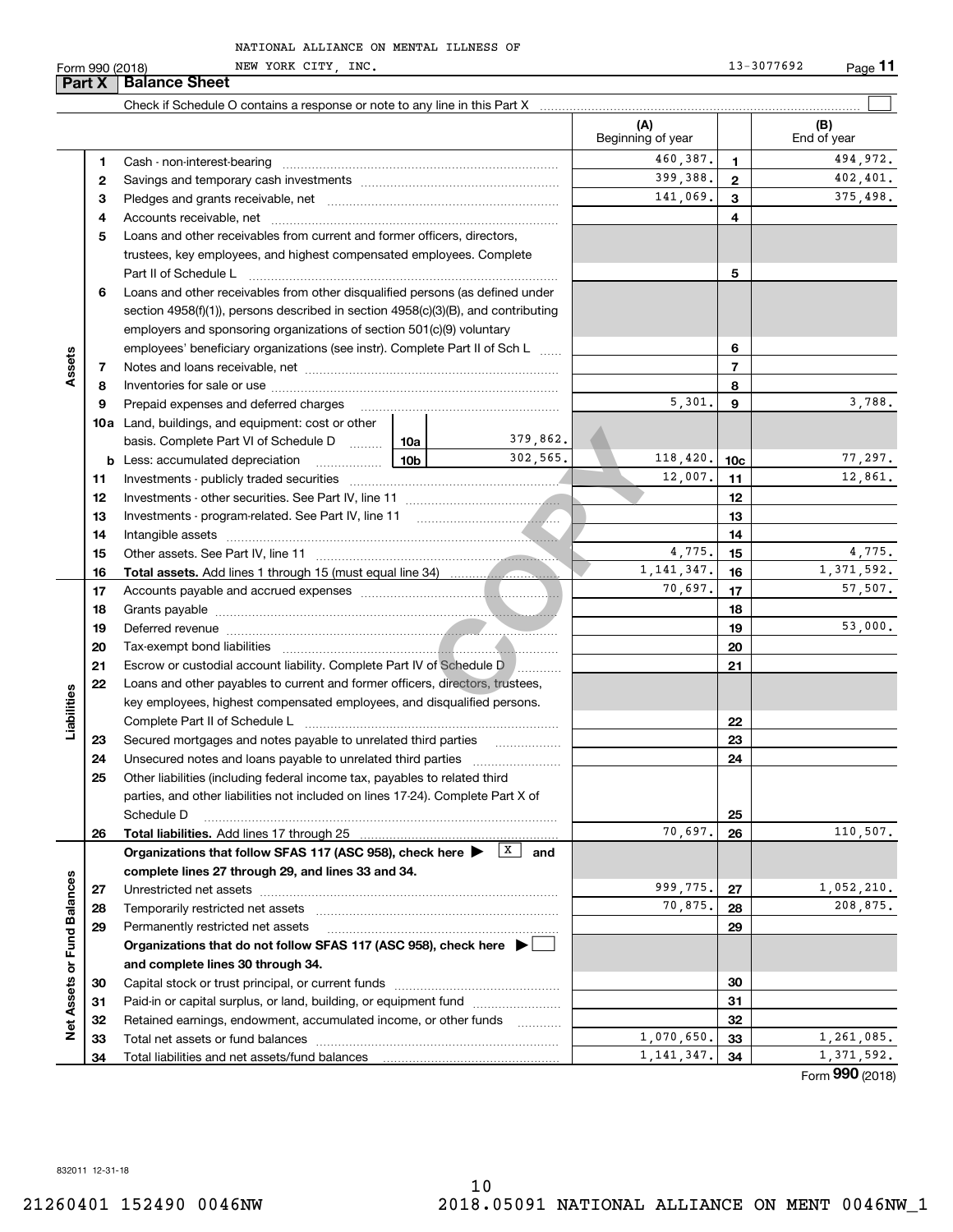| Part X                      |          | <b>Balance Sheet</b>                                                                                  |  |                   |                          |                 |                        |
|-----------------------------|----------|-------------------------------------------------------------------------------------------------------|--|-------------------|--------------------------|-----------------|------------------------|
|                             |          |                                                                                                       |  |                   |                          |                 |                        |
|                             |          |                                                                                                       |  |                   | (A)<br>Beginning of year |                 | (B)<br>End of year     |
|                             | 1        |                                                                                                       |  |                   | 460,387.                 | 1               | 494,972.               |
|                             | 2        |                                                                                                       |  |                   | 399,388.                 | $\mathbf{2}$    | 402, 401.              |
|                             | 3        |                                                                                                       |  |                   | 141,069.                 | 3               | 375,498.               |
|                             | 4        |                                                                                                       |  |                   |                          | 4               |                        |
|                             | 5        | Loans and other receivables from current and former officers, directors,                              |  |                   |                          |                 |                        |
|                             |          | trustees, key employees, and highest compensated employees. Complete                                  |  |                   |                          |                 |                        |
|                             |          |                                                                                                       |  |                   |                          | 5               |                        |
|                             | 6        | Loans and other receivables from other disqualified persons (as defined under                         |  |                   |                          |                 |                        |
|                             |          | section $4958(f)(1)$ , persons described in section $4958(c)(3)(B)$ , and contributing                |  |                   |                          |                 |                        |
|                             |          | employers and sponsoring organizations of section 501(c)(9) voluntary                                 |  |                   |                          |                 |                        |
|                             |          | employees' beneficiary organizations (see instr). Complete Part II of Sch L                           |  |                   |                          | 6               |                        |
| Assets                      | 7        |                                                                                                       |  |                   |                          | $\overline{7}$  |                        |
|                             | 8        |                                                                                                       |  |                   |                          | 8               |                        |
|                             | 9        | Prepaid expenses and deferred charges                                                                 |  |                   | 5,301.                   | 9               | 3,788.                 |
|                             |          | <b>10a</b> Land, buildings, and equipment: cost or other                                              |  |                   |                          |                 |                        |
|                             |          | basis. Complete Part VI of Schedule D  10a                                                            |  | 379,862.          |                          |                 |                        |
|                             | b        | $\frac{10b}{10b}$<br>Less: accumulated depreciation                                                   |  | 302,565.          | 118,420.                 | 10 <sub>c</sub> | 77,297.                |
|                             | 11       |                                                                                                       |  |                   | 12,007.                  | 11              | 12,861.                |
|                             | 12       |                                                                                                       |  |                   |                          | 12              |                        |
|                             | 13       |                                                                                                       |  |                   |                          | 13              |                        |
|                             | 14       |                                                                                                       |  |                   |                          | 14              |                        |
|                             | 15       |                                                                                                       |  |                   | 4,775.                   | 15              | 4,775.                 |
|                             | 16       |                                                                                                       |  |                   | 1, 141, 347.             | 16              | 1,371,592.             |
|                             | 17       |                                                                                                       |  |                   | 70,697.                  | 17              | 57,507.                |
|                             | 18       |                                                                                                       |  |                   |                          | 18              |                        |
|                             | 19       |                                                                                                       |  |                   |                          | 19              | 53,000.                |
|                             | 20       |                                                                                                       |  |                   |                          | 20              |                        |
|                             | 21       | Escrow or custodial account liability. Complete Part IV of Schedule D                                 |  |                   |                          | 21              |                        |
|                             | 22       | Loans and other payables to current and former officers, directors, trustees,                         |  |                   |                          |                 |                        |
|                             |          | key employees, highest compensated employees, and disqualified persons.                               |  |                   |                          |                 |                        |
| Liabilities                 |          | Complete Part II of Schedule L                                                                        |  |                   |                          | 22              |                        |
|                             | 23       | Secured mortgages and notes payable to unrelated third parties                                        |  |                   |                          | 23              |                        |
|                             | 24       |                                                                                                       |  |                   |                          | 24              |                        |
|                             | 25       | Other liabilities (including federal income tax, payables to related third                            |  |                   |                          |                 |                        |
|                             |          | parties, and other liabilities not included on lines 17-24). Complete Part X of                       |  |                   |                          |                 |                        |
|                             |          | Schedule D                                                                                            |  |                   |                          | 25              |                        |
|                             | 26       | Total liabilities. Add lines 17 through 25                                                            |  | X                 | 70,697.                  | 26              | 110,507.               |
|                             |          | Organizations that follow SFAS 117 (ASC 958), check here >                                            |  | and               |                          |                 |                        |
|                             |          | complete lines 27 through 29, and lines 33 and 34.                                                    |  |                   | 999,775.                 |                 |                        |
|                             | 27       |                                                                                                       |  |                   | 70,875.                  | 27              | 1,052,210.<br>208,875. |
|                             | 28       | Temporarily restricted net assets                                                                     |  |                   |                          | 28              |                        |
|                             | 29       | Permanently restricted net assets                                                                     |  |                   |                          | 29              |                        |
| Net Assets or Fund Balances |          | Organizations that do not follow SFAS 117 (ASC 958), check here ▶ □                                   |  |                   |                          |                 |                        |
|                             |          | and complete lines 30 through 34.                                                                     |  |                   |                          |                 |                        |
|                             | 30       | Paid-in or capital surplus, or land, building, or equipment fund                                      |  |                   |                          | 30<br>31        |                        |
|                             | 31       |                                                                                                       |  |                   |                          | 32              |                        |
|                             | 32<br>33 | Retained earnings, endowment, accumulated income, or other funds<br>Total net assets or fund balances |  | 1.1.1.1.1.1.1.1.1 | 1,070,650.               | 33              | 1,261,085.             |
|                             |          |                                                                                                       |  |                   | 1, 141, 347.             | 34              | 1,371,592.             |
|                             | 34       |                                                                                                       |  |                   |                          |                 | $\overline{2}$         |

Form (2018) **990**

832011 12-31-18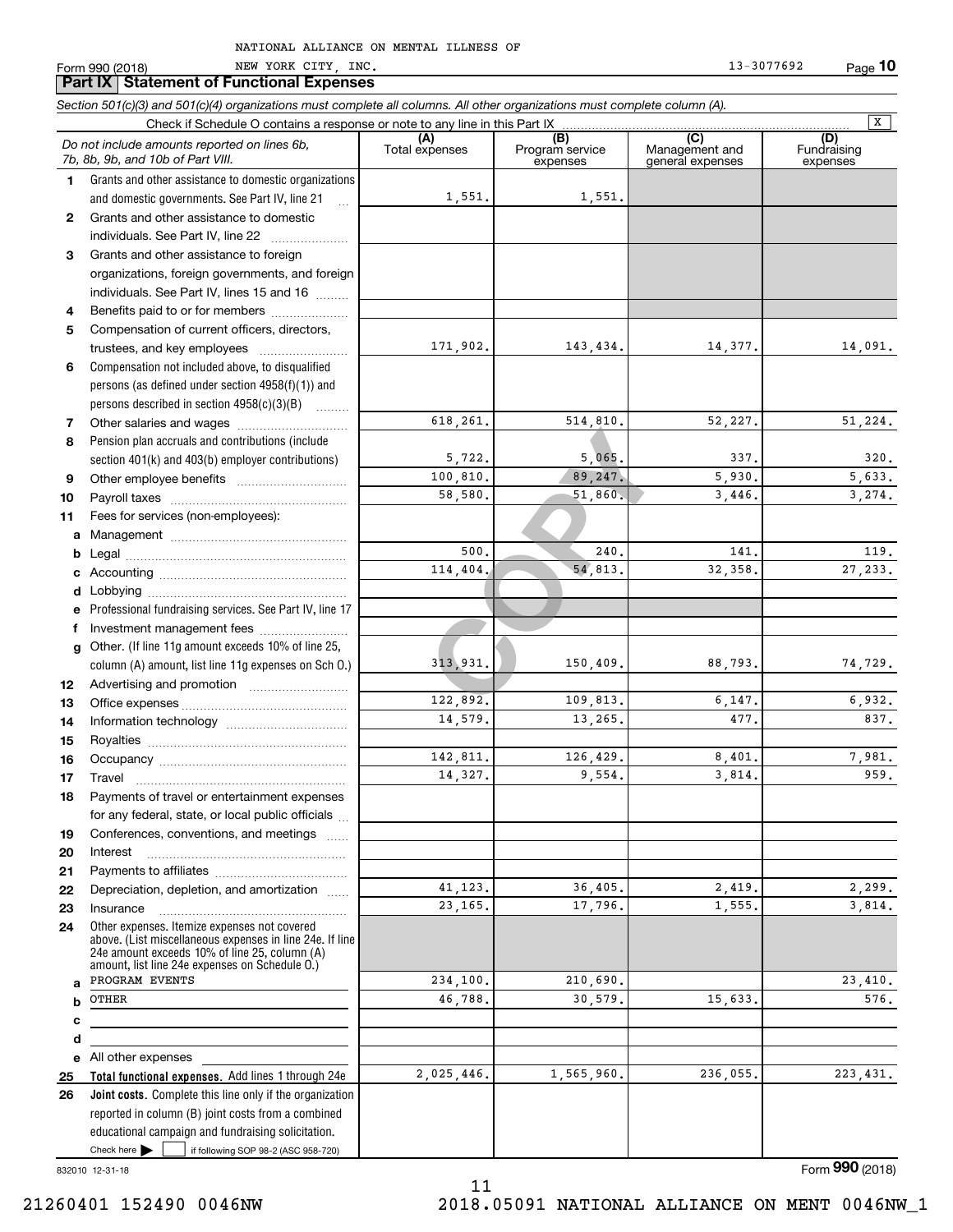Form 990 (2018) Page NEW YORK CITY, INC. 13-3077692

|          | <b>Part IX   Statement of Functional Expenses</b>                                                                                                                                                           |                       |                                    |                                           |                                |
|----------|-------------------------------------------------------------------------------------------------------------------------------------------------------------------------------------------------------------|-----------------------|------------------------------------|-------------------------------------------|--------------------------------|
|          | Section 501(c)(3) and 501(c)(4) organizations must complete all columns. All other organizations must complete column (A).                                                                                  |                       |                                    |                                           |                                |
|          | Check if Schedule O contains a response or note to any line in this Part IX                                                                                                                                 |                       |                                    |                                           | x                              |
|          | Do not include amounts reported on lines 6b,<br>7b, 8b, 9b, and 10b of Part VIII.                                                                                                                           | (A)<br>Total expenses | (B)<br>Program service<br>expenses | (C)<br>Management and<br>general expenses | (D)<br>Fundraising<br>expenses |
| 1.       | Grants and other assistance to domestic organizations                                                                                                                                                       |                       |                                    |                                           |                                |
|          | and domestic governments. See Part IV, line 21                                                                                                                                                              | 1,551.                | 1,551.                             |                                           |                                |
| 2        | Grants and other assistance to domestic                                                                                                                                                                     |                       |                                    |                                           |                                |
|          | individuals. See Part IV, line 22                                                                                                                                                                           |                       |                                    |                                           |                                |
| 3        | Grants and other assistance to foreign                                                                                                                                                                      |                       |                                    |                                           |                                |
|          | organizations, foreign governments, and foreign                                                                                                                                                             |                       |                                    |                                           |                                |
|          | individuals. See Part IV, lines 15 and 16                                                                                                                                                                   |                       |                                    |                                           |                                |
| 4        | Benefits paid to or for members                                                                                                                                                                             |                       |                                    |                                           |                                |
| 5        | Compensation of current officers, directors,                                                                                                                                                                |                       |                                    |                                           |                                |
|          | trustees, and key employees                                                                                                                                                                                 | 171,902.              | 143, 434.                          | 14,377.                                   | 14,091.                        |
| 6        | Compensation not included above, to disqualified                                                                                                                                                            |                       |                                    |                                           |                                |
|          | persons (as defined under section 4958(f)(1)) and                                                                                                                                                           |                       |                                    |                                           |                                |
|          | persons described in section $4958(c)(3)(B)$                                                                                                                                                                | 618,261.              |                                    |                                           | 51, 224.                       |
| 7        |                                                                                                                                                                                                             |                       | 514,810.                           | 52,227.                                   |                                |
| 8        | Pension plan accruals and contributions (include                                                                                                                                                            | 5,722.                | 5,065.                             | 337.                                      | 320.                           |
| 9        | section 401(k) and 403(b) employer contributions)                                                                                                                                                           | 100,810.              | 89, 247.                           | 5,930.                                    | 5,633.                         |
| 10       |                                                                                                                                                                                                             | 58,580.               | 51,860.                            | 3,446.                                    | 3,274.                         |
| 11       | Fees for services (non-employees):                                                                                                                                                                          |                       |                                    |                                           |                                |
| a        |                                                                                                                                                                                                             |                       |                                    |                                           |                                |
| b        |                                                                                                                                                                                                             | 500                   | 240.                               | 141.                                      | 119.                           |
| c        |                                                                                                                                                                                                             | 114,404.              | 54,813.                            | 32,358.                                   | 27, 233.                       |
| d        |                                                                                                                                                                                                             |                       |                                    |                                           |                                |
| е        | Professional fundraising services. See Part IV, line 17                                                                                                                                                     |                       |                                    |                                           |                                |
| f        | Investment management fees                                                                                                                                                                                  |                       |                                    |                                           |                                |
| g        | Other. (If line 11g amount exceeds 10% of line 25,                                                                                                                                                          |                       |                                    |                                           |                                |
|          | column (A) amount, list line 11g expenses on Sch O.)                                                                                                                                                        | 313,931.              | 150, 409.                          | 88,793.                                   | 74,729.                        |
| 12       |                                                                                                                                                                                                             |                       |                                    |                                           |                                |
| 13       |                                                                                                                                                                                                             | 122,892.              | 109,813.                           | 6,147.                                    | 6,932.                         |
| 14       |                                                                                                                                                                                                             | 14,579.               | 13,265.                            | 477.                                      | 837.                           |
| 15       |                                                                                                                                                                                                             |                       |                                    |                                           |                                |
| 16       |                                                                                                                                                                                                             | 142,811.              | 126,429.                           | 8,401.                                    | 7,981.                         |
| 17       | <b>I</b> ravel                                                                                                                                                                                              | 14,327.               | 9,554.                             | 3,814.                                    | 959.                           |
| 18       | Payments of travel or entertainment expenses                                                                                                                                                                |                       |                                    |                                           |                                |
|          | for any federal, state, or local public officials                                                                                                                                                           |                       |                                    |                                           |                                |
| 19       | Conferences, conventions, and meetings                                                                                                                                                                      |                       |                                    |                                           |                                |
| 20       | Interest                                                                                                                                                                                                    |                       |                                    |                                           |                                |
| 21       |                                                                                                                                                                                                             |                       |                                    |                                           |                                |
| 22       | Depreciation, depletion, and amortization                                                                                                                                                                   | 41,123.<br>23,165.    | 36,405.<br>17,796.                 | 2,419.<br>1,555.                          | 2,299.<br>3,814.               |
| 23       | Insurance                                                                                                                                                                                                   |                       |                                    |                                           |                                |
| 24       | Other expenses. Itemize expenses not covered<br>above. (List miscellaneous expenses in line 24e. If line<br>24e amount exceeds 10% of line 25, column (A)<br>amount, list line 24e expenses on Schedule O.) |                       |                                    |                                           |                                |
| a        | PROGRAM EVENTS                                                                                                                                                                                              | 234,100.              | 210,690.                           |                                           | 23,410.                        |
| b        | OTHER                                                                                                                                                                                                       | 46.788.               | 30,579.                            | 15,633.                                   | 576.                           |
| с        |                                                                                                                                                                                                             |                       |                                    |                                           |                                |
| d        |                                                                                                                                                                                                             |                       |                                    |                                           |                                |
| е        | All other expenses                                                                                                                                                                                          | 2,025,446.            | 1,565,960.                         | 236,055.                                  | 223,431.                       |
| 25<br>26 | Total functional expenses. Add lines 1 through 24e<br><b>Joint costs.</b> Complete this line only if the organization                                                                                       |                       |                                    |                                           |                                |
|          | reported in column (B) joint costs from a combined                                                                                                                                                          |                       |                                    |                                           |                                |
|          | educational campaign and fundraising solicitation.                                                                                                                                                          |                       |                                    |                                           |                                |
|          | Check here $\blacktriangleright$<br>if following SOP 98-2 (ASC 958-720)                                                                                                                                     |                       |                                    |                                           |                                |

11

832010 12-31-18

Form (2018) **990**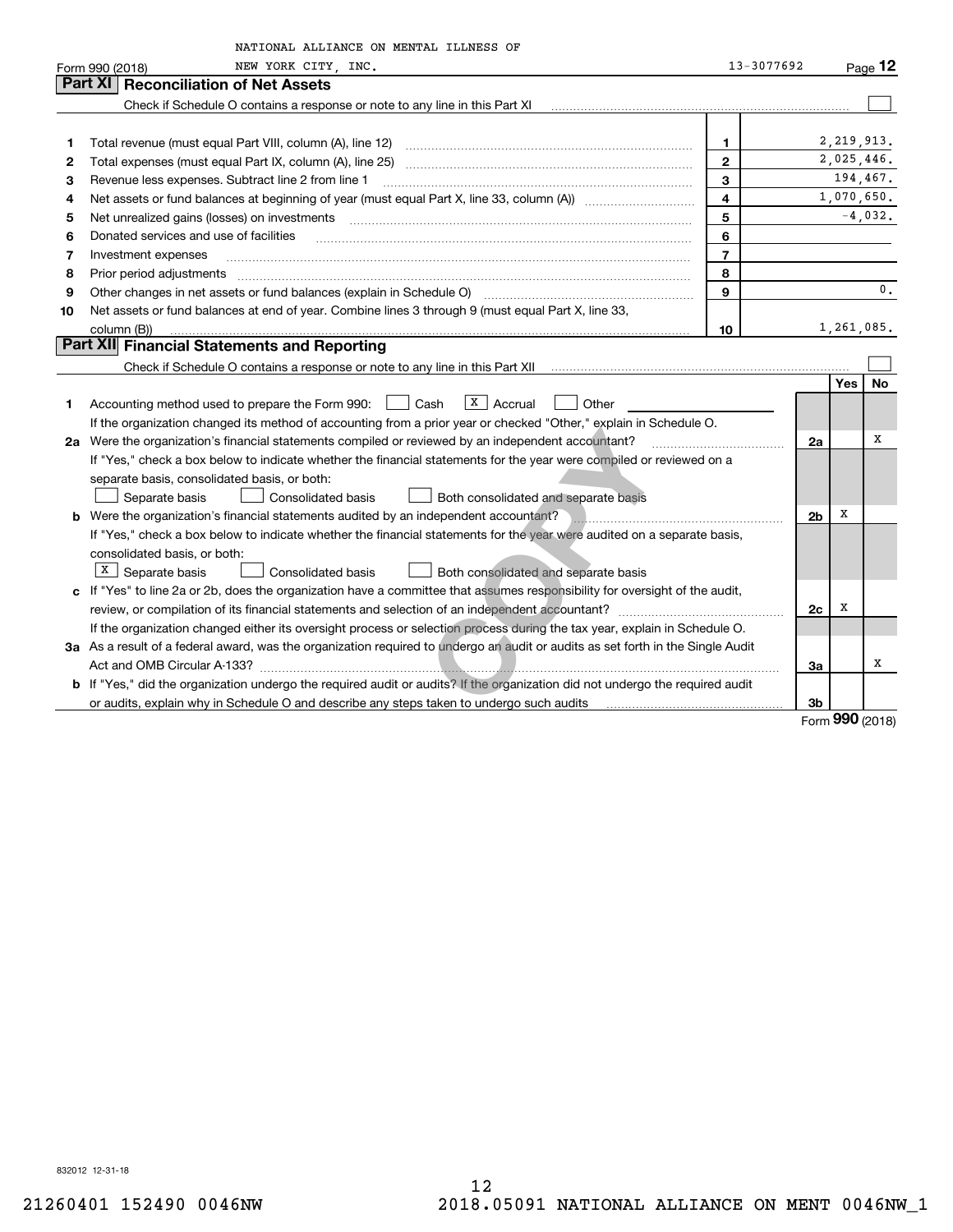|    | NATIONAL ALLIANCE ON MENTAL ILLNESS OF                                                                                                                                                                                         |                |                |                    |                     |
|----|--------------------------------------------------------------------------------------------------------------------------------------------------------------------------------------------------------------------------------|----------------|----------------|--------------------|---------------------|
|    | NEW YORK CITY INC.<br>Form 990 (2018)                                                                                                                                                                                          | 13-3077692     |                |                    | $P_{\text{aqe}}$ 12 |
|    | <b>Reconciliation of Net Assets</b><br>Part XI                                                                                                                                                                                 |                |                |                    |                     |
|    | Check if Schedule O contains a response or note to any line in this Part XI                                                                                                                                                    |                |                |                    |                     |
|    |                                                                                                                                                                                                                                |                |                |                    |                     |
| 1  | Total revenue (must equal Part VIII, column (A), line 12) manufactured contract controller manufactured manufactured manufactured manufactured manufactured manufactured manufactured manufactured manufactured manufactured m | 1              |                | 2, 219, 913.       |                     |
| 2  |                                                                                                                                                                                                                                | $\mathbf{2}$   |                | 2,025,446.         |                     |
| 3  | Revenue less expenses. Subtract line 2 from line 1                                                                                                                                                                             | 3              |                | 194,467.           |                     |
| 4  |                                                                                                                                                                                                                                | 4              |                | 1,070,650.         |                     |
| 5  | Net unrealized gains (losses) on investments                                                                                                                                                                                   | 5              |                |                    | $-4,032.$           |
| 6  | Donated services and use of facilities                                                                                                                                                                                         | 6              |                |                    |                     |
| 7  | Investment expenses                                                                                                                                                                                                            | $\overline{7}$ |                |                    |                     |
| 8  | Prior period adjustments                                                                                                                                                                                                       | 8              |                |                    |                     |
| 9  | Other changes in net assets or fund balances (explain in Schedule O) [11] manufacture changes in net assets or fund balances (explain in Schedule O)                                                                           | 9              |                |                    | 0.                  |
| 10 | Net assets or fund balances at end of year. Combine lines 3 through 9 (must equal Part X, line 33,                                                                                                                             |                |                |                    |                     |
|    | column (B))                                                                                                                                                                                                                    | 10             |                | 1,261,085.         |                     |
|    | Part XII Financial Statements and Reporting                                                                                                                                                                                    |                |                |                    |                     |
|    |                                                                                                                                                                                                                                |                |                |                    |                     |
|    |                                                                                                                                                                                                                                |                |                | Yes                | <b>No</b>           |
| 1  | Accounting method used to prepare the Form 990: <u>[</u> Cash<br>$X$ Accrual<br>Other                                                                                                                                          |                |                |                    |                     |
|    | If the organization changed its method of accounting from a prior year or checked "Other," explain in Schedule O.                                                                                                              |                |                |                    |                     |
|    | 2a Were the organization's financial statements compiled or reviewed by an independent accountant?                                                                                                                             |                | 2a             |                    | x                   |
|    | If "Yes," check a box below to indicate whether the financial statements for the year were compiled or reviewed on a                                                                                                           |                |                |                    |                     |
|    | separate basis, consolidated basis, or both:                                                                                                                                                                                   |                |                |                    |                     |
|    | Separate basis<br><b>Consolidated basis</b><br>Both consolidated and separate basis                                                                                                                                            |                |                |                    |                     |
|    | <b>b</b> Were the organization's financial statements audited by an independent accountant?                                                                                                                                    |                | 2 <sub>b</sub> | х                  |                     |
|    | If "Yes," check a box below to indicate whether the financial statements for the year were audited on a separate basis,                                                                                                        |                |                |                    |                     |
|    | consolidated basis, or both:                                                                                                                                                                                                   |                |                |                    |                     |
|    | $\boxed{\textbf{X}}$ Separate basis<br>Both consolidated and separate basis<br>Consolidated basis                                                                                                                              |                |                |                    |                     |
|    | c If "Yes" to line 2a or 2b, does the organization have a committee that assumes responsibility for oversight of the audit,                                                                                                    |                |                | х                  |                     |
|    |                                                                                                                                                                                                                                |                | 2c             |                    |                     |
|    | If the organization changed either its oversight process or selection process during the tax year, explain in Schedule O.                                                                                                      |                |                |                    |                     |
|    | 3a As a result of a federal award, was the organization required to undergo an audit or audits as set forth in the Single Audit                                                                                                |                |                |                    | x                   |
|    |                                                                                                                                                                                                                                |                | За             |                    |                     |
|    | <b>b</b> If "Yes," did the organization undergo the required audit or audits? If the organization did not undergo the required audit                                                                                           |                |                |                    |                     |
|    |                                                                                                                                                                                                                                |                | 3b             | $000 \text{ days}$ |                     |

Form (2018) **990**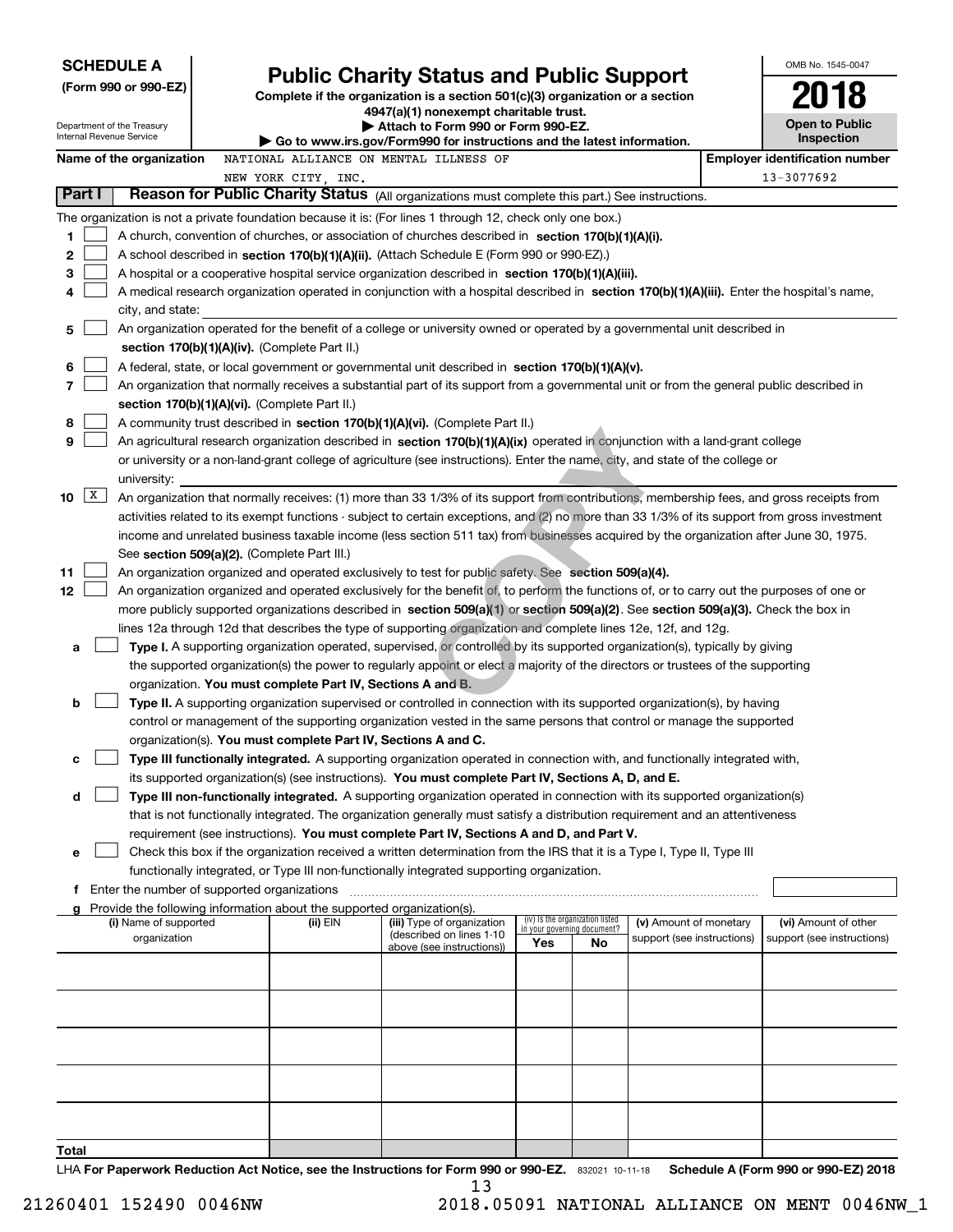| <b>SCHEDULE A</b>           |                                                                                                                                                                                                                                                                                            |                                                                                                                         |                                 |    |                            |  | OMB No. 1545-0047                     |  |
|-----------------------------|--------------------------------------------------------------------------------------------------------------------------------------------------------------------------------------------------------------------------------------------------------------------------------------------|-------------------------------------------------------------------------------------------------------------------------|---------------------------------|----|----------------------------|--|---------------------------------------|--|
| (Form 990 or 990-EZ)        |                                                                                                                                                                                                                                                                                            | <b>Public Charity Status and Public Support</b>                                                                         |                                 |    |                            |  |                                       |  |
|                             |                                                                                                                                                                                                                                                                                            | Complete if the organization is a section 501(c)(3) organization or a section<br>4947(a)(1) nonexempt charitable trust. |                                 |    |                            |  |                                       |  |
| Department of the Treasury  |                                                                                                                                                                                                                                                                                            | Attach to Form 990 or Form 990-EZ.                                                                                      |                                 |    |                            |  | <b>Open to Public</b>                 |  |
| Internal Revenue Service    |                                                                                                                                                                                                                                                                                            | Go to www.irs.gov/Form990 for instructions and the latest information.                                                  |                                 |    |                            |  | Inspection                            |  |
| Name of the organization    | NATIONAL ALLIANCE ON MENTAL ILLNESS OF                                                                                                                                                                                                                                                     |                                                                                                                         |                                 |    |                            |  | <b>Employer identification number</b> |  |
| Part I                      | NEW YORK CITY, INC.                                                                                                                                                                                                                                                                        |                                                                                                                         |                                 |    |                            |  | 13-3077692                            |  |
|                             | Reason for Public Charity Status (All organizations must complete this part.) See instructions.                                                                                                                                                                                            |                                                                                                                         |                                 |    |                            |  |                                       |  |
|                             | The organization is not a private foundation because it is: (For lines 1 through 12, check only one box.)                                                                                                                                                                                  |                                                                                                                         |                                 |    |                            |  |                                       |  |
| 1<br>2                      | A church, convention of churches, or association of churches described in section 170(b)(1)(A)(i).<br>A school described in section 170(b)(1)(A)(ii). (Attach Schedule E (Form 990 or 990-EZ).)                                                                                            |                                                                                                                         |                                 |    |                            |  |                                       |  |
| 3                           | A hospital or a cooperative hospital service organization described in section $170(b)(1)(A)(iii)$ .                                                                                                                                                                                       |                                                                                                                         |                                 |    |                            |  |                                       |  |
| 4                           |                                                                                                                                                                                                                                                                                            |                                                                                                                         |                                 |    |                            |  |                                       |  |
|                             | A medical research organization operated in conjunction with a hospital described in section 170(b)(1)(A)(iii). Enter the hospital's name,<br>city, and state:                                                                                                                             |                                                                                                                         |                                 |    |                            |  |                                       |  |
| 5                           | An organization operated for the benefit of a college or university owned or operated by a governmental unit described in                                                                                                                                                                  |                                                                                                                         |                                 |    |                            |  |                                       |  |
|                             | section 170(b)(1)(A)(iv). (Complete Part II.)                                                                                                                                                                                                                                              |                                                                                                                         |                                 |    |                            |  |                                       |  |
| 6                           | A federal, state, or local government or governmental unit described in section 170(b)(1)(A)(v).                                                                                                                                                                                           |                                                                                                                         |                                 |    |                            |  |                                       |  |
| 7                           | An organization that normally receives a substantial part of its support from a governmental unit or from the general public described in                                                                                                                                                  |                                                                                                                         |                                 |    |                            |  |                                       |  |
|                             | section 170(b)(1)(A)(vi). (Complete Part II.)                                                                                                                                                                                                                                              |                                                                                                                         |                                 |    |                            |  |                                       |  |
| 8                           | A community trust described in section 170(b)(1)(A)(vi). (Complete Part II.)                                                                                                                                                                                                               |                                                                                                                         |                                 |    |                            |  |                                       |  |
| 9                           | An agricultural research organization described in section 170(b)(1)(A)(ix) operated in conjunction with a land-grant college                                                                                                                                                              |                                                                                                                         |                                 |    |                            |  |                                       |  |
|                             | or university or a non-land-grant college of agriculture (see instructions). Enter the name, city, and state of the college or                                                                                                                                                             |                                                                                                                         |                                 |    |                            |  |                                       |  |
| university:<br>$\mathbf{X}$ |                                                                                                                                                                                                                                                                                            |                                                                                                                         |                                 |    |                            |  |                                       |  |
| 10                          | An organization that normally receives: (1) more than 33 1/3% of its support from contributions, membership fees, and gross receipts from<br>activities related to its exempt functions - subject to certain exceptions, and (2) no more than 33 1/3% of its support from gross investment |                                                                                                                         |                                 |    |                            |  |                                       |  |
|                             | income and unrelated business taxable income (less section 511 tax) from businesses acquired by the organization after June 30, 1975.                                                                                                                                                      |                                                                                                                         |                                 |    |                            |  |                                       |  |
|                             | See section 509(a)(2). (Complete Part III.)                                                                                                                                                                                                                                                |                                                                                                                         |                                 |    |                            |  |                                       |  |
| 11                          | An organization organized and operated exclusively to test for public safety. See section 509(a)(4).                                                                                                                                                                                       |                                                                                                                         |                                 |    |                            |  |                                       |  |
| 12                          | An organization organized and operated exclusively for the benefit of, to perform the functions of, or to carry out the purposes of one or                                                                                                                                                 |                                                                                                                         |                                 |    |                            |  |                                       |  |
|                             | more publicly supported organizations described in section 509(a)(1) or section 509(a)(2). See section 509(a)(3). Check the box in                                                                                                                                                         |                                                                                                                         |                                 |    |                            |  |                                       |  |
|                             | lines 12a through 12d that describes the type of supporting organization and complete lines 12e, 12f, and 12g.                                                                                                                                                                             |                                                                                                                         |                                 |    |                            |  |                                       |  |
| a                           | Type I. A supporting organization operated, supervised, or controlled by its supported organization(s), typically by giving                                                                                                                                                                |                                                                                                                         |                                 |    |                            |  |                                       |  |
|                             | the supported organization(s) the power to regularly appoint or elect a majority of the directors or trustees of the supporting                                                                                                                                                            |                                                                                                                         |                                 |    |                            |  |                                       |  |
|                             | organization. You must complete Part IV, Sections A and B.                                                                                                                                                                                                                                 |                                                                                                                         |                                 |    |                            |  |                                       |  |
| b                           | Type II. A supporting organization supervised or controlled in connection with its supported organization(s), by having                                                                                                                                                                    |                                                                                                                         |                                 |    |                            |  |                                       |  |
|                             | control or management of the supporting organization vested in the same persons that control or manage the supported                                                                                                                                                                       |                                                                                                                         |                                 |    |                            |  |                                       |  |
| с                           | organization(s). You must complete Part IV, Sections A and C.<br>Type III functionally integrated. A supporting organization operated in connection with, and functionally integrated with,                                                                                                |                                                                                                                         |                                 |    |                            |  |                                       |  |
|                             | its supported organization(s) (see instructions). You must complete Part IV, Sections A, D, and E.                                                                                                                                                                                         |                                                                                                                         |                                 |    |                            |  |                                       |  |
| d                           | Type III non-functionally integrated. A supporting organization operated in connection with its supported organization(s)                                                                                                                                                                  |                                                                                                                         |                                 |    |                            |  |                                       |  |
|                             | that is not functionally integrated. The organization generally must satisfy a distribution requirement and an attentiveness                                                                                                                                                               |                                                                                                                         |                                 |    |                            |  |                                       |  |
|                             | requirement (see instructions). You must complete Part IV, Sections A and D, and Part V.                                                                                                                                                                                                   |                                                                                                                         |                                 |    |                            |  |                                       |  |
| е                           | Check this box if the organization received a written determination from the IRS that it is a Type I, Type II, Type III                                                                                                                                                                    |                                                                                                                         |                                 |    |                            |  |                                       |  |
|                             | functionally integrated, or Type III non-functionally integrated supporting organization.                                                                                                                                                                                                  |                                                                                                                         |                                 |    |                            |  |                                       |  |
|                             | <b>f</b> Enter the number of supported organizations                                                                                                                                                                                                                                       |                                                                                                                         |                                 |    |                            |  |                                       |  |
| g<br>(i) Name of supported  | Provide the following information about the supported organization(s).<br>(ii) EIN                                                                                                                                                                                                         | (iii) Type of organization                                                                                              | (iv) Is the organization listed |    | (v) Amount of monetary     |  | (vi) Amount of other                  |  |
| organization                |                                                                                                                                                                                                                                                                                            | (described on lines 1-10                                                                                                | in your governing document?     |    | support (see instructions) |  | support (see instructions)            |  |
|                             |                                                                                                                                                                                                                                                                                            | above (see instructions))                                                                                               | Yes                             | No |                            |  |                                       |  |
|                             |                                                                                                                                                                                                                                                                                            |                                                                                                                         |                                 |    |                            |  |                                       |  |
|                             |                                                                                                                                                                                                                                                                                            |                                                                                                                         |                                 |    |                            |  |                                       |  |
|                             |                                                                                                                                                                                                                                                                                            |                                                                                                                         |                                 |    |                            |  |                                       |  |
|                             |                                                                                                                                                                                                                                                                                            |                                                                                                                         |                                 |    |                            |  |                                       |  |
|                             |                                                                                                                                                                                                                                                                                            |                                                                                                                         |                                 |    |                            |  |                                       |  |
|                             |                                                                                                                                                                                                                                                                                            |                                                                                                                         |                                 |    |                            |  |                                       |  |
|                             |                                                                                                                                                                                                                                                                                            |                                                                                                                         |                                 |    |                            |  |                                       |  |
|                             |                                                                                                                                                                                                                                                                                            |                                                                                                                         |                                 |    |                            |  |                                       |  |
|                             |                                                                                                                                                                                                                                                                                            |                                                                                                                         |                                 |    |                            |  |                                       |  |
| Total                       | $\pm$ HA For Danorwork Reduction Act Notice, see the Instructions for Form 000 or 000-F7 $\pm$ 222021, 10, 11, 12                                                                                                                                                                          |                                                                                                                         |                                 |    |                            |  | Schodule A (Form 990 or 990-F7) 2018  |  |

832021 10-11-18 **For Paperwork Reduction Act Notice, see the Instructions for Form 990 or 990-EZ. Schedule A (Form 990 or 990-EZ) 2018 LHA For Paperwork Reduction Act Notice, see the Instructions for** m 990<br>13

 <sup>21260401 152490 0046</sup>NW 2018.05091 NATIONAL ALLIANCE ON MENT 0046NW\_1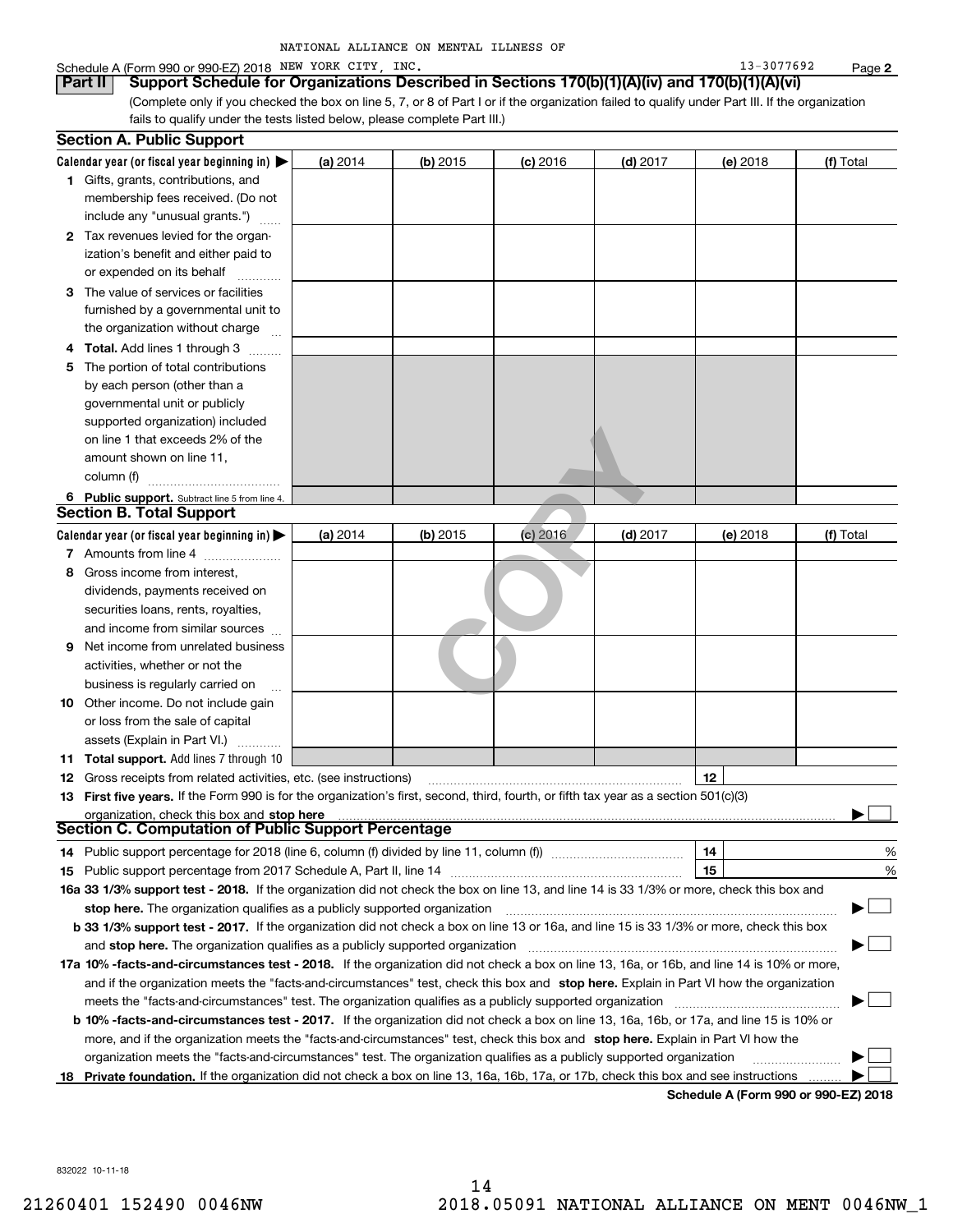| NATIONAL ALLIANCE ON MENTAL ILLNESS OF |  |
|----------------------------------------|--|
|----------------------------------------|--|

#### Schedule A (Form 990 or 990-EZ) 2018 Page NEW YORK CITY, INC. 13-3077692

(Complete only if you checked the box on line 5, 7, or 8 of Part I or if the organization failed to qualify under Part III. If the organization **Part II Support Schedule for Organizations Described in Sections 170(b)(1)(A)(iv) and 170(b)(1)(A)(vi)**

fails to qualify under the tests listed below, please complete Part III.)

| Calendar year (or fiscal year beginning in) $\blacktriangleright$<br>(a) 2014<br>$(d)$ 2017<br>$(b)$ 2015<br>$(c)$ 2016<br>(e) 2018<br>(f) Total<br><b>1</b> Gifts, grants, contributions, and<br>membership fees received. (Do not<br>include any "unusual grants.")<br><b>2</b> Tax revenues levied for the organ-<br>ization's benefit and either paid to<br>or expended on its behalf<br>3 The value of services or facilities<br>furnished by a governmental unit to<br>the organization without charge<br>4 Total. Add lines 1 through 3<br>The portion of total contributions<br>5<br>by each person (other than a<br>governmental unit or publicly<br>supported organization) included<br>on line 1 that exceeds 2% of the<br>amount shown on line 11,<br>column (f)<br>6 Public support. Subtract line 5 from line 4.<br><b>Section B. Total Support</b><br>Calendar year (or fiscal year beginning in) $\blacktriangleright$<br>(a) 2014<br>$(b)$ 2015<br>$(d)$ 2017<br>(c) 2016<br>(e) 2018<br>(f) Total<br>7 Amounts from line 4<br>Gross income from interest,<br>8<br>dividends, payments received on<br>securities loans, rents, royalties,<br>and income from similar sources<br>Net income from unrelated business<br>9<br>activities, whether or not the<br>business is regularly carried on<br><b>10</b> Other income. Do not include gain<br>or loss from the sale of capital<br>assets (Explain in Part VI.)<br>11 Total support. Add lines 7 through 10<br>12<br><b>12</b> Gross receipts from related activities, etc. (see instructions)<br>13 First five years. If the Form 990 is for the organization's first, second, third, fourth, or fifth tax year as a section 501(c)(3)<br>organization, check this box and stop here<br><b>Section C. Computation of Public Support Percentage</b><br>14<br>%<br>14 Public support percentage for 2018 (line 6, column (f) divided by line 11, column (f) <i>marrouum</i> manu-<br>15<br>%<br>16a 33 1/3% support test - 2018. If the organization did not check the box on line 13, and line 14 is 33 1/3% or more, check this box and<br>▔▁▎<br>stop here. The organization qualifies as a publicly supported organization<br>b 33 1/3% support test - 2017. If the organization did not check a box on line 13 or 16a, and line 15 is 33 1/3% or more, check this box<br>and stop here. The organization qualifies as a publicly supported organization<br>17a 10% -facts-and-circumstances test - 2018. If the organization did not check a box on line 13, 16a, or 16b, and line 14 is 10% or more,<br>and if the organization meets the "facts-and-circumstances" test, check this box and stop here. Explain in Part VI how the organization<br>meets the "facts-and-circumstances" test. The organization qualifies as a publicly supported organization<br><b>b 10% -facts-and-circumstances test - 2017.</b> If the organization did not check a box on line 13, 16a, 16b, or 17a, and line 15 is 10% or | <b>Section A. Public Support</b> |  |  |  |
|---------------------------------------------------------------------------------------------------------------------------------------------------------------------------------------------------------------------------------------------------------------------------------------------------------------------------------------------------------------------------------------------------------------------------------------------------------------------------------------------------------------------------------------------------------------------------------------------------------------------------------------------------------------------------------------------------------------------------------------------------------------------------------------------------------------------------------------------------------------------------------------------------------------------------------------------------------------------------------------------------------------------------------------------------------------------------------------------------------------------------------------------------------------------------------------------------------------------------------------------------------------------------------------------------------------------------------------------------------------------------------------------------------------------------------------------------------------------------------------------------------------------------------------------------------------------------------------------------------------------------------------------------------------------------------------------------------------------------------------------------------------------------------------------------------------------------------------------------------------------------------------------------------------------------------------------------------------------------------------------------------------------------------------------------------------------------------------------------------------------------------------------------------------------------------------------------------------------------------------------------------------------------------------------------------------------------------------------------------------------------------------------------------------------------------------------------------------------------------------------------------------------------------------------------------------------------------------------------------------------------------------------------------------------------------------------------------------------------------------------------------------------------------------------------------------------------------------------------------------------------------------------------------------------------------------------------------------------------------------|----------------------------------|--|--|--|
|                                                                                                                                                                                                                                                                                                                                                                                                                                                                                                                                                                                                                                                                                                                                                                                                                                                                                                                                                                                                                                                                                                                                                                                                                                                                                                                                                                                                                                                                                                                                                                                                                                                                                                                                                                                                                                                                                                                                                                                                                                                                                                                                                                                                                                                                                                                                                                                                                                                                                                                                                                                                                                                                                                                                                                                                                                                                                                                                                                                       |                                  |  |  |  |
|                                                                                                                                                                                                                                                                                                                                                                                                                                                                                                                                                                                                                                                                                                                                                                                                                                                                                                                                                                                                                                                                                                                                                                                                                                                                                                                                                                                                                                                                                                                                                                                                                                                                                                                                                                                                                                                                                                                                                                                                                                                                                                                                                                                                                                                                                                                                                                                                                                                                                                                                                                                                                                                                                                                                                                                                                                                                                                                                                                                       |                                  |  |  |  |
|                                                                                                                                                                                                                                                                                                                                                                                                                                                                                                                                                                                                                                                                                                                                                                                                                                                                                                                                                                                                                                                                                                                                                                                                                                                                                                                                                                                                                                                                                                                                                                                                                                                                                                                                                                                                                                                                                                                                                                                                                                                                                                                                                                                                                                                                                                                                                                                                                                                                                                                                                                                                                                                                                                                                                                                                                                                                                                                                                                                       |                                  |  |  |  |
|                                                                                                                                                                                                                                                                                                                                                                                                                                                                                                                                                                                                                                                                                                                                                                                                                                                                                                                                                                                                                                                                                                                                                                                                                                                                                                                                                                                                                                                                                                                                                                                                                                                                                                                                                                                                                                                                                                                                                                                                                                                                                                                                                                                                                                                                                                                                                                                                                                                                                                                                                                                                                                                                                                                                                                                                                                                                                                                                                                                       |                                  |  |  |  |
|                                                                                                                                                                                                                                                                                                                                                                                                                                                                                                                                                                                                                                                                                                                                                                                                                                                                                                                                                                                                                                                                                                                                                                                                                                                                                                                                                                                                                                                                                                                                                                                                                                                                                                                                                                                                                                                                                                                                                                                                                                                                                                                                                                                                                                                                                                                                                                                                                                                                                                                                                                                                                                                                                                                                                                                                                                                                                                                                                                                       |                                  |  |  |  |
|                                                                                                                                                                                                                                                                                                                                                                                                                                                                                                                                                                                                                                                                                                                                                                                                                                                                                                                                                                                                                                                                                                                                                                                                                                                                                                                                                                                                                                                                                                                                                                                                                                                                                                                                                                                                                                                                                                                                                                                                                                                                                                                                                                                                                                                                                                                                                                                                                                                                                                                                                                                                                                                                                                                                                                                                                                                                                                                                                                                       |                                  |  |  |  |
|                                                                                                                                                                                                                                                                                                                                                                                                                                                                                                                                                                                                                                                                                                                                                                                                                                                                                                                                                                                                                                                                                                                                                                                                                                                                                                                                                                                                                                                                                                                                                                                                                                                                                                                                                                                                                                                                                                                                                                                                                                                                                                                                                                                                                                                                                                                                                                                                                                                                                                                                                                                                                                                                                                                                                                                                                                                                                                                                                                                       |                                  |  |  |  |
|                                                                                                                                                                                                                                                                                                                                                                                                                                                                                                                                                                                                                                                                                                                                                                                                                                                                                                                                                                                                                                                                                                                                                                                                                                                                                                                                                                                                                                                                                                                                                                                                                                                                                                                                                                                                                                                                                                                                                                                                                                                                                                                                                                                                                                                                                                                                                                                                                                                                                                                                                                                                                                                                                                                                                                                                                                                                                                                                                                                       |                                  |  |  |  |
|                                                                                                                                                                                                                                                                                                                                                                                                                                                                                                                                                                                                                                                                                                                                                                                                                                                                                                                                                                                                                                                                                                                                                                                                                                                                                                                                                                                                                                                                                                                                                                                                                                                                                                                                                                                                                                                                                                                                                                                                                                                                                                                                                                                                                                                                                                                                                                                                                                                                                                                                                                                                                                                                                                                                                                                                                                                                                                                                                                                       |                                  |  |  |  |
|                                                                                                                                                                                                                                                                                                                                                                                                                                                                                                                                                                                                                                                                                                                                                                                                                                                                                                                                                                                                                                                                                                                                                                                                                                                                                                                                                                                                                                                                                                                                                                                                                                                                                                                                                                                                                                                                                                                                                                                                                                                                                                                                                                                                                                                                                                                                                                                                                                                                                                                                                                                                                                                                                                                                                                                                                                                                                                                                                                                       |                                  |  |  |  |
|                                                                                                                                                                                                                                                                                                                                                                                                                                                                                                                                                                                                                                                                                                                                                                                                                                                                                                                                                                                                                                                                                                                                                                                                                                                                                                                                                                                                                                                                                                                                                                                                                                                                                                                                                                                                                                                                                                                                                                                                                                                                                                                                                                                                                                                                                                                                                                                                                                                                                                                                                                                                                                                                                                                                                                                                                                                                                                                                                                                       |                                  |  |  |  |
|                                                                                                                                                                                                                                                                                                                                                                                                                                                                                                                                                                                                                                                                                                                                                                                                                                                                                                                                                                                                                                                                                                                                                                                                                                                                                                                                                                                                                                                                                                                                                                                                                                                                                                                                                                                                                                                                                                                                                                                                                                                                                                                                                                                                                                                                                                                                                                                                                                                                                                                                                                                                                                                                                                                                                                                                                                                                                                                                                                                       |                                  |  |  |  |
|                                                                                                                                                                                                                                                                                                                                                                                                                                                                                                                                                                                                                                                                                                                                                                                                                                                                                                                                                                                                                                                                                                                                                                                                                                                                                                                                                                                                                                                                                                                                                                                                                                                                                                                                                                                                                                                                                                                                                                                                                                                                                                                                                                                                                                                                                                                                                                                                                                                                                                                                                                                                                                                                                                                                                                                                                                                                                                                                                                                       |                                  |  |  |  |
|                                                                                                                                                                                                                                                                                                                                                                                                                                                                                                                                                                                                                                                                                                                                                                                                                                                                                                                                                                                                                                                                                                                                                                                                                                                                                                                                                                                                                                                                                                                                                                                                                                                                                                                                                                                                                                                                                                                                                                                                                                                                                                                                                                                                                                                                                                                                                                                                                                                                                                                                                                                                                                                                                                                                                                                                                                                                                                                                                                                       |                                  |  |  |  |
|                                                                                                                                                                                                                                                                                                                                                                                                                                                                                                                                                                                                                                                                                                                                                                                                                                                                                                                                                                                                                                                                                                                                                                                                                                                                                                                                                                                                                                                                                                                                                                                                                                                                                                                                                                                                                                                                                                                                                                                                                                                                                                                                                                                                                                                                                                                                                                                                                                                                                                                                                                                                                                                                                                                                                                                                                                                                                                                                                                                       |                                  |  |  |  |
|                                                                                                                                                                                                                                                                                                                                                                                                                                                                                                                                                                                                                                                                                                                                                                                                                                                                                                                                                                                                                                                                                                                                                                                                                                                                                                                                                                                                                                                                                                                                                                                                                                                                                                                                                                                                                                                                                                                                                                                                                                                                                                                                                                                                                                                                                                                                                                                                                                                                                                                                                                                                                                                                                                                                                                                                                                                                                                                                                                                       |                                  |  |  |  |
|                                                                                                                                                                                                                                                                                                                                                                                                                                                                                                                                                                                                                                                                                                                                                                                                                                                                                                                                                                                                                                                                                                                                                                                                                                                                                                                                                                                                                                                                                                                                                                                                                                                                                                                                                                                                                                                                                                                                                                                                                                                                                                                                                                                                                                                                                                                                                                                                                                                                                                                                                                                                                                                                                                                                                                                                                                                                                                                                                                                       |                                  |  |  |  |
|                                                                                                                                                                                                                                                                                                                                                                                                                                                                                                                                                                                                                                                                                                                                                                                                                                                                                                                                                                                                                                                                                                                                                                                                                                                                                                                                                                                                                                                                                                                                                                                                                                                                                                                                                                                                                                                                                                                                                                                                                                                                                                                                                                                                                                                                                                                                                                                                                                                                                                                                                                                                                                                                                                                                                                                                                                                                                                                                                                                       |                                  |  |  |  |
|                                                                                                                                                                                                                                                                                                                                                                                                                                                                                                                                                                                                                                                                                                                                                                                                                                                                                                                                                                                                                                                                                                                                                                                                                                                                                                                                                                                                                                                                                                                                                                                                                                                                                                                                                                                                                                                                                                                                                                                                                                                                                                                                                                                                                                                                                                                                                                                                                                                                                                                                                                                                                                                                                                                                                                                                                                                                                                                                                                                       |                                  |  |  |  |
|                                                                                                                                                                                                                                                                                                                                                                                                                                                                                                                                                                                                                                                                                                                                                                                                                                                                                                                                                                                                                                                                                                                                                                                                                                                                                                                                                                                                                                                                                                                                                                                                                                                                                                                                                                                                                                                                                                                                                                                                                                                                                                                                                                                                                                                                                                                                                                                                                                                                                                                                                                                                                                                                                                                                                                                                                                                                                                                                                                                       |                                  |  |  |  |
|                                                                                                                                                                                                                                                                                                                                                                                                                                                                                                                                                                                                                                                                                                                                                                                                                                                                                                                                                                                                                                                                                                                                                                                                                                                                                                                                                                                                                                                                                                                                                                                                                                                                                                                                                                                                                                                                                                                                                                                                                                                                                                                                                                                                                                                                                                                                                                                                                                                                                                                                                                                                                                                                                                                                                                                                                                                                                                                                                                                       |                                  |  |  |  |
|                                                                                                                                                                                                                                                                                                                                                                                                                                                                                                                                                                                                                                                                                                                                                                                                                                                                                                                                                                                                                                                                                                                                                                                                                                                                                                                                                                                                                                                                                                                                                                                                                                                                                                                                                                                                                                                                                                                                                                                                                                                                                                                                                                                                                                                                                                                                                                                                                                                                                                                                                                                                                                                                                                                                                                                                                                                                                                                                                                                       |                                  |  |  |  |
|                                                                                                                                                                                                                                                                                                                                                                                                                                                                                                                                                                                                                                                                                                                                                                                                                                                                                                                                                                                                                                                                                                                                                                                                                                                                                                                                                                                                                                                                                                                                                                                                                                                                                                                                                                                                                                                                                                                                                                                                                                                                                                                                                                                                                                                                                                                                                                                                                                                                                                                                                                                                                                                                                                                                                                                                                                                                                                                                                                                       |                                  |  |  |  |
|                                                                                                                                                                                                                                                                                                                                                                                                                                                                                                                                                                                                                                                                                                                                                                                                                                                                                                                                                                                                                                                                                                                                                                                                                                                                                                                                                                                                                                                                                                                                                                                                                                                                                                                                                                                                                                                                                                                                                                                                                                                                                                                                                                                                                                                                                                                                                                                                                                                                                                                                                                                                                                                                                                                                                                                                                                                                                                                                                                                       |                                  |  |  |  |
|                                                                                                                                                                                                                                                                                                                                                                                                                                                                                                                                                                                                                                                                                                                                                                                                                                                                                                                                                                                                                                                                                                                                                                                                                                                                                                                                                                                                                                                                                                                                                                                                                                                                                                                                                                                                                                                                                                                                                                                                                                                                                                                                                                                                                                                                                                                                                                                                                                                                                                                                                                                                                                                                                                                                                                                                                                                                                                                                                                                       |                                  |  |  |  |
|                                                                                                                                                                                                                                                                                                                                                                                                                                                                                                                                                                                                                                                                                                                                                                                                                                                                                                                                                                                                                                                                                                                                                                                                                                                                                                                                                                                                                                                                                                                                                                                                                                                                                                                                                                                                                                                                                                                                                                                                                                                                                                                                                                                                                                                                                                                                                                                                                                                                                                                                                                                                                                                                                                                                                                                                                                                                                                                                                                                       |                                  |  |  |  |
|                                                                                                                                                                                                                                                                                                                                                                                                                                                                                                                                                                                                                                                                                                                                                                                                                                                                                                                                                                                                                                                                                                                                                                                                                                                                                                                                                                                                                                                                                                                                                                                                                                                                                                                                                                                                                                                                                                                                                                                                                                                                                                                                                                                                                                                                                                                                                                                                                                                                                                                                                                                                                                                                                                                                                                                                                                                                                                                                                                                       |                                  |  |  |  |
|                                                                                                                                                                                                                                                                                                                                                                                                                                                                                                                                                                                                                                                                                                                                                                                                                                                                                                                                                                                                                                                                                                                                                                                                                                                                                                                                                                                                                                                                                                                                                                                                                                                                                                                                                                                                                                                                                                                                                                                                                                                                                                                                                                                                                                                                                                                                                                                                                                                                                                                                                                                                                                                                                                                                                                                                                                                                                                                                                                                       |                                  |  |  |  |
|                                                                                                                                                                                                                                                                                                                                                                                                                                                                                                                                                                                                                                                                                                                                                                                                                                                                                                                                                                                                                                                                                                                                                                                                                                                                                                                                                                                                                                                                                                                                                                                                                                                                                                                                                                                                                                                                                                                                                                                                                                                                                                                                                                                                                                                                                                                                                                                                                                                                                                                                                                                                                                                                                                                                                                                                                                                                                                                                                                                       |                                  |  |  |  |
|                                                                                                                                                                                                                                                                                                                                                                                                                                                                                                                                                                                                                                                                                                                                                                                                                                                                                                                                                                                                                                                                                                                                                                                                                                                                                                                                                                                                                                                                                                                                                                                                                                                                                                                                                                                                                                                                                                                                                                                                                                                                                                                                                                                                                                                                                                                                                                                                                                                                                                                                                                                                                                                                                                                                                                                                                                                                                                                                                                                       |                                  |  |  |  |
|                                                                                                                                                                                                                                                                                                                                                                                                                                                                                                                                                                                                                                                                                                                                                                                                                                                                                                                                                                                                                                                                                                                                                                                                                                                                                                                                                                                                                                                                                                                                                                                                                                                                                                                                                                                                                                                                                                                                                                                                                                                                                                                                                                                                                                                                                                                                                                                                                                                                                                                                                                                                                                                                                                                                                                                                                                                                                                                                                                                       |                                  |  |  |  |
|                                                                                                                                                                                                                                                                                                                                                                                                                                                                                                                                                                                                                                                                                                                                                                                                                                                                                                                                                                                                                                                                                                                                                                                                                                                                                                                                                                                                                                                                                                                                                                                                                                                                                                                                                                                                                                                                                                                                                                                                                                                                                                                                                                                                                                                                                                                                                                                                                                                                                                                                                                                                                                                                                                                                                                                                                                                                                                                                                                                       |                                  |  |  |  |
|                                                                                                                                                                                                                                                                                                                                                                                                                                                                                                                                                                                                                                                                                                                                                                                                                                                                                                                                                                                                                                                                                                                                                                                                                                                                                                                                                                                                                                                                                                                                                                                                                                                                                                                                                                                                                                                                                                                                                                                                                                                                                                                                                                                                                                                                                                                                                                                                                                                                                                                                                                                                                                                                                                                                                                                                                                                                                                                                                                                       |                                  |  |  |  |
|                                                                                                                                                                                                                                                                                                                                                                                                                                                                                                                                                                                                                                                                                                                                                                                                                                                                                                                                                                                                                                                                                                                                                                                                                                                                                                                                                                                                                                                                                                                                                                                                                                                                                                                                                                                                                                                                                                                                                                                                                                                                                                                                                                                                                                                                                                                                                                                                                                                                                                                                                                                                                                                                                                                                                                                                                                                                                                                                                                                       |                                  |  |  |  |
|                                                                                                                                                                                                                                                                                                                                                                                                                                                                                                                                                                                                                                                                                                                                                                                                                                                                                                                                                                                                                                                                                                                                                                                                                                                                                                                                                                                                                                                                                                                                                                                                                                                                                                                                                                                                                                                                                                                                                                                                                                                                                                                                                                                                                                                                                                                                                                                                                                                                                                                                                                                                                                                                                                                                                                                                                                                                                                                                                                                       |                                  |  |  |  |
|                                                                                                                                                                                                                                                                                                                                                                                                                                                                                                                                                                                                                                                                                                                                                                                                                                                                                                                                                                                                                                                                                                                                                                                                                                                                                                                                                                                                                                                                                                                                                                                                                                                                                                                                                                                                                                                                                                                                                                                                                                                                                                                                                                                                                                                                                                                                                                                                                                                                                                                                                                                                                                                                                                                                                                                                                                                                                                                                                                                       |                                  |  |  |  |
|                                                                                                                                                                                                                                                                                                                                                                                                                                                                                                                                                                                                                                                                                                                                                                                                                                                                                                                                                                                                                                                                                                                                                                                                                                                                                                                                                                                                                                                                                                                                                                                                                                                                                                                                                                                                                                                                                                                                                                                                                                                                                                                                                                                                                                                                                                                                                                                                                                                                                                                                                                                                                                                                                                                                                                                                                                                                                                                                                                                       |                                  |  |  |  |
|                                                                                                                                                                                                                                                                                                                                                                                                                                                                                                                                                                                                                                                                                                                                                                                                                                                                                                                                                                                                                                                                                                                                                                                                                                                                                                                                                                                                                                                                                                                                                                                                                                                                                                                                                                                                                                                                                                                                                                                                                                                                                                                                                                                                                                                                                                                                                                                                                                                                                                                                                                                                                                                                                                                                                                                                                                                                                                                                                                                       |                                  |  |  |  |
|                                                                                                                                                                                                                                                                                                                                                                                                                                                                                                                                                                                                                                                                                                                                                                                                                                                                                                                                                                                                                                                                                                                                                                                                                                                                                                                                                                                                                                                                                                                                                                                                                                                                                                                                                                                                                                                                                                                                                                                                                                                                                                                                                                                                                                                                                                                                                                                                                                                                                                                                                                                                                                                                                                                                                                                                                                                                                                                                                                                       |                                  |  |  |  |
|                                                                                                                                                                                                                                                                                                                                                                                                                                                                                                                                                                                                                                                                                                                                                                                                                                                                                                                                                                                                                                                                                                                                                                                                                                                                                                                                                                                                                                                                                                                                                                                                                                                                                                                                                                                                                                                                                                                                                                                                                                                                                                                                                                                                                                                                                                                                                                                                                                                                                                                                                                                                                                                                                                                                                                                                                                                                                                                                                                                       |                                  |  |  |  |
|                                                                                                                                                                                                                                                                                                                                                                                                                                                                                                                                                                                                                                                                                                                                                                                                                                                                                                                                                                                                                                                                                                                                                                                                                                                                                                                                                                                                                                                                                                                                                                                                                                                                                                                                                                                                                                                                                                                                                                                                                                                                                                                                                                                                                                                                                                                                                                                                                                                                                                                                                                                                                                                                                                                                                                                                                                                                                                                                                                                       |                                  |  |  |  |
|                                                                                                                                                                                                                                                                                                                                                                                                                                                                                                                                                                                                                                                                                                                                                                                                                                                                                                                                                                                                                                                                                                                                                                                                                                                                                                                                                                                                                                                                                                                                                                                                                                                                                                                                                                                                                                                                                                                                                                                                                                                                                                                                                                                                                                                                                                                                                                                                                                                                                                                                                                                                                                                                                                                                                                                                                                                                                                                                                                                       |                                  |  |  |  |
|                                                                                                                                                                                                                                                                                                                                                                                                                                                                                                                                                                                                                                                                                                                                                                                                                                                                                                                                                                                                                                                                                                                                                                                                                                                                                                                                                                                                                                                                                                                                                                                                                                                                                                                                                                                                                                                                                                                                                                                                                                                                                                                                                                                                                                                                                                                                                                                                                                                                                                                                                                                                                                                                                                                                                                                                                                                                                                                                                                                       |                                  |  |  |  |
|                                                                                                                                                                                                                                                                                                                                                                                                                                                                                                                                                                                                                                                                                                                                                                                                                                                                                                                                                                                                                                                                                                                                                                                                                                                                                                                                                                                                                                                                                                                                                                                                                                                                                                                                                                                                                                                                                                                                                                                                                                                                                                                                                                                                                                                                                                                                                                                                                                                                                                                                                                                                                                                                                                                                                                                                                                                                                                                                                                                       |                                  |  |  |  |
|                                                                                                                                                                                                                                                                                                                                                                                                                                                                                                                                                                                                                                                                                                                                                                                                                                                                                                                                                                                                                                                                                                                                                                                                                                                                                                                                                                                                                                                                                                                                                                                                                                                                                                                                                                                                                                                                                                                                                                                                                                                                                                                                                                                                                                                                                                                                                                                                                                                                                                                                                                                                                                                                                                                                                                                                                                                                                                                                                                                       |                                  |  |  |  |
|                                                                                                                                                                                                                                                                                                                                                                                                                                                                                                                                                                                                                                                                                                                                                                                                                                                                                                                                                                                                                                                                                                                                                                                                                                                                                                                                                                                                                                                                                                                                                                                                                                                                                                                                                                                                                                                                                                                                                                                                                                                                                                                                                                                                                                                                                                                                                                                                                                                                                                                                                                                                                                                                                                                                                                                                                                                                                                                                                                                       |                                  |  |  |  |
|                                                                                                                                                                                                                                                                                                                                                                                                                                                                                                                                                                                                                                                                                                                                                                                                                                                                                                                                                                                                                                                                                                                                                                                                                                                                                                                                                                                                                                                                                                                                                                                                                                                                                                                                                                                                                                                                                                                                                                                                                                                                                                                                                                                                                                                                                                                                                                                                                                                                                                                                                                                                                                                                                                                                                                                                                                                                                                                                                                                       |                                  |  |  |  |
| more, and if the organization meets the "facts-and-circumstances" test, check this box and stop here. Explain in Part VI how the                                                                                                                                                                                                                                                                                                                                                                                                                                                                                                                                                                                                                                                                                                                                                                                                                                                                                                                                                                                                                                                                                                                                                                                                                                                                                                                                                                                                                                                                                                                                                                                                                                                                                                                                                                                                                                                                                                                                                                                                                                                                                                                                                                                                                                                                                                                                                                                                                                                                                                                                                                                                                                                                                                                                                                                                                                                      |                                  |  |  |  |
| organization meets the "facts-and-circumstances" test. The organization qualifies as a publicly supported organization                                                                                                                                                                                                                                                                                                                                                                                                                                                                                                                                                                                                                                                                                                                                                                                                                                                                                                                                                                                                                                                                                                                                                                                                                                                                                                                                                                                                                                                                                                                                                                                                                                                                                                                                                                                                                                                                                                                                                                                                                                                                                                                                                                                                                                                                                                                                                                                                                                                                                                                                                                                                                                                                                                                                                                                                                                                                |                                  |  |  |  |
| 18 Private foundation. If the organization did not check a box on line 13, 16a, 16b, 17a, or 17b, check this box and see instructions<br>Schodule A (Form 000 or 000 F7) 2018                                                                                                                                                                                                                                                                                                                                                                                                                                                                                                                                                                                                                                                                                                                                                                                                                                                                                                                                                                                                                                                                                                                                                                                                                                                                                                                                                                                                                                                                                                                                                                                                                                                                                                                                                                                                                                                                                                                                                                                                                                                                                                                                                                                                                                                                                                                                                                                                                                                                                                                                                                                                                                                                                                                                                                                                         |                                  |  |  |  |

**Schedule A (Form 990 or 990-EZ) 2018**

832022 10-11-18

**2**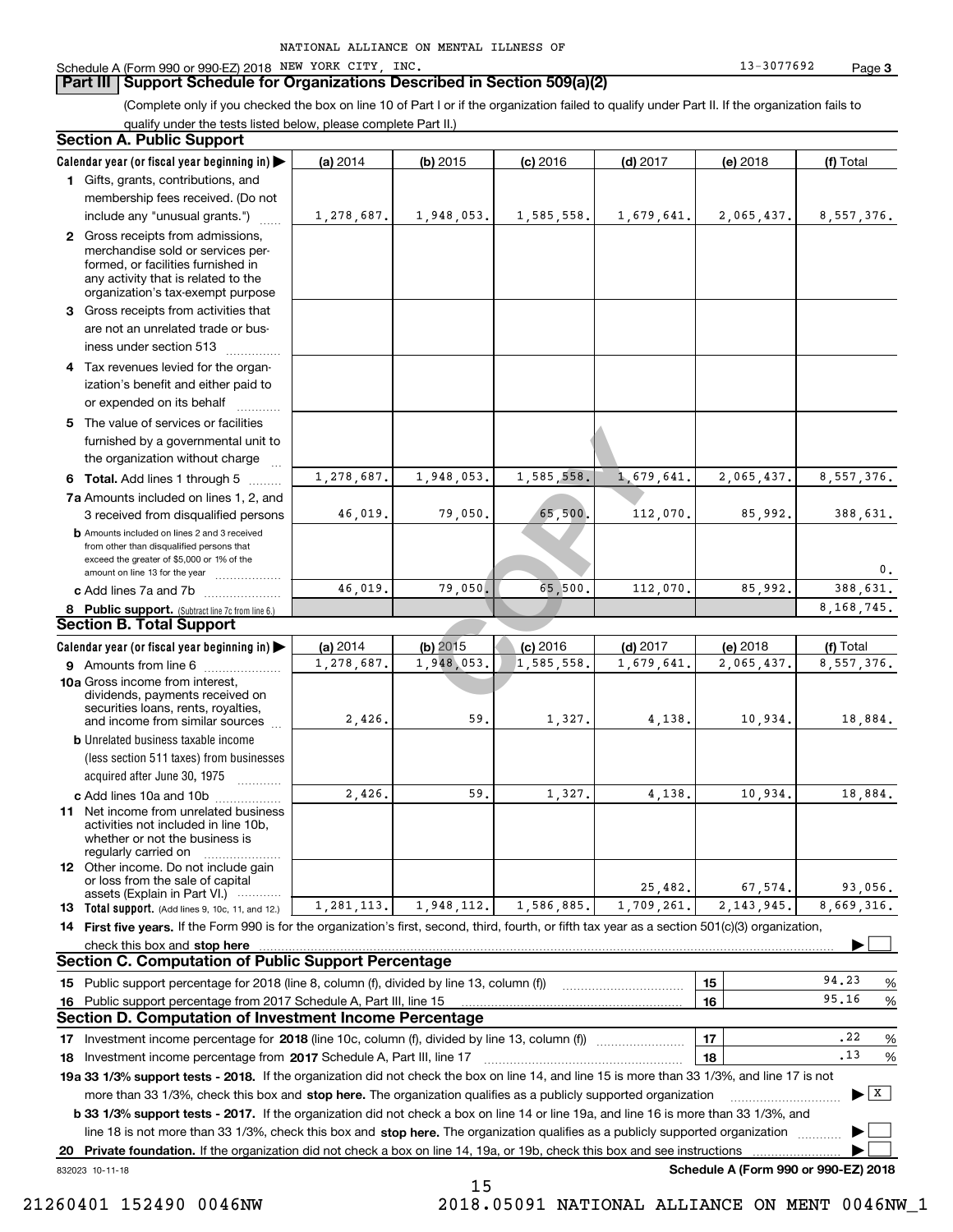#### **Part III Support Schedule for Organizations Described in Section 509(a)(2)**

(Complete only if you checked the box on line 10 of Part I or if the organization failed to qualify under Part II. If the organization fails to qualify under the tests listed below, please complete Part II.)

#### **8 Public support.** (Subtract line 7c from line 6.) **b** Amounts included on lines 2 and 3 received from other than disqualified persons that exceed the greater of \$5,000 or 1% of the amount on line 13 for the year  $\ldots$ ............... **13 Total support.** (Add lines 9, 10c, 11, and 12.) 832023 10-11-18 **Calendar year (or fiscal year beginning in) | Calendar year (or fiscal year beginning in) | (a)** 2014 **| (b)** 2015 **| (c)** 2016 **| (d)** 2017 **| (e)** 2018 **| (f) 1**Gifts, grants, contributions, and **2** Gross receipts from admissions, **3** Gross receipts from activities that **4**Tax revenues levied for the organ-**5** The value of services or facilities **6 Total.** Add lines 1 through 5  $\,\ldots\ldots\,$ **7a**Amounts included on lines 1, 2, and **c** Add lines 7a and 7b  $\ldots$   $\ldots$   $\ldots$  ... **(a)** 2014 **(b)** 2015 **(c)** 2016 **(d)** 2017 **(e)** 2018 **(f) 9** Amounts from line 6  $^{10}$ **10a**Gross income from interest, **b** Unrelated business taxable income **c** Add lines 10a and 10b  $^{100}$ **11** Net income from unrelated business **12** Other income. Do not include gain **14 First five years.** If the Form 990 is for the organization's first, second, third, fourth, or fifth tax year as a section 501(c)(3) organization, **stop here** check this box and | **151615161718 2017** Investment income percentage from Schedule A, Part III, line 17 ~~~~~~~~~~~~~~~~~~**19a 33 1/3% support tests - 2018.** If the organization did not check the box on line 14, and line 15 is more than 33 1/3%, and line 17 is not **20Private foundation.**  If the organization did not check a box on line 14, 19a, or 19b, check this box and see instructions | Investment income percentage for 2018 (line 10c, column (f), divided by line 13, column (f)) **1718b 33 1/3% support tests - 2017.** If the organization did not check a box on line 14 or line 19a, and line 16 is more than 33 1/3%, and more than 33 1/3%, check this box and stop here. The organization qualifies as a publicly supported organization *manimumment* line 18 is not more than 33 1/3%, check this box and stop here. The organization qualifies as a publicly supported organization  $\Box$ **Schedule A (Form 990 or 990-EZ) 2018** (less section 511 taxes) from businesses acquired after June 30, 1975 (a) 2014 14 **| (b)** 2015 **| (c)** 2016 **| (d)** 2017 **| (e)** 2018 **| (f)** Total membership fees received. (Do not include any "unusual grants.") merchandise sold or services performed, or facilities furnished in any activity that is related to the organization's tax-exempt purpose are not an unrelated trade or business under section 513  $\quad$ ization's benefit and either paid to or expended on its behalf  $^{+}_{-}\,$   $^{+}\,$   $^{+}\,$ furnished by a governmental unit to the organization without charge 3 received from disqualified persons (a) 2014 14 **| (b)** 2015 **| (c)** 2016 **| (d)** 2017 **| (e)** 2018 **| (f)** Total dividends, payments received on securities loans, rents, royalties, and income from similar sources activities not included in line 10b, whether or not the business is regularly carried on or loss from the sale of capital assets (Explain in Part VI.) ............ Public support percentage for 2018 (line 8, column (f), divided by line 13, column (f)) Public support percentage from 2017 Schedule A, Part III, line 15 % 94.23 $\ldots$  | 16 |  $\qquad \qquad$  95.16 % %  $\ldots$  | 18 |  $\ldots$   $\ldots$  | 18 | **Section A. Public Support Section B. Total Support Section C. Computation of Public Support Percentage Section D. Computation of Investment Income Percentage**  $\mathcal{L}^{\text{max}}$  $\boxed{\mathbf{X}}$  $\mathcal{L}^{\text{max}}$  $\mathcal{L}^{\text{max}}$ 948,053. 1,585,558. 1,679,<br>
79,050. 65,500. 112,<br>
79,050. 65,500. 112,<br> **COPY** 112,<br> **COPY** 11,585,558. 1,679,<br> **COPY** 1,585,558. 1,679, 1,278,687. 1,948,053. 1,585,558. 1,679,641. 2,065,437. 8,557,376. 1,278,687. 1,948,053. 1,585,558. 1,679,641. 2,065,437. 8,557,376. 1,278,687. 1,948,053. 1,585,558. 1,679,641. 2,065,437. 8,557,376. 46,019. 79,050. 65,500. 112,070. 85,992. 388,631. 0.46,019. 79,050. 65,500. 112,070. 85,992. 388,631. 8,168,745. 2,426. 59. 1,327. 4,138. 10,934. 18,884. 2,426. 59. 1,327. 4,138. 10,934. 18,884. 25,482. 67,574. 93,056. 8,669,316. 95.16.22.131,281,113. 1,948,112. 1,586,885. 1,709,261. 2,143,945.

15

 <sup>21260401 152490 0046</sup>NW 2018.05091 NATIONAL ALLIANCE ON MENT 0046NW\_1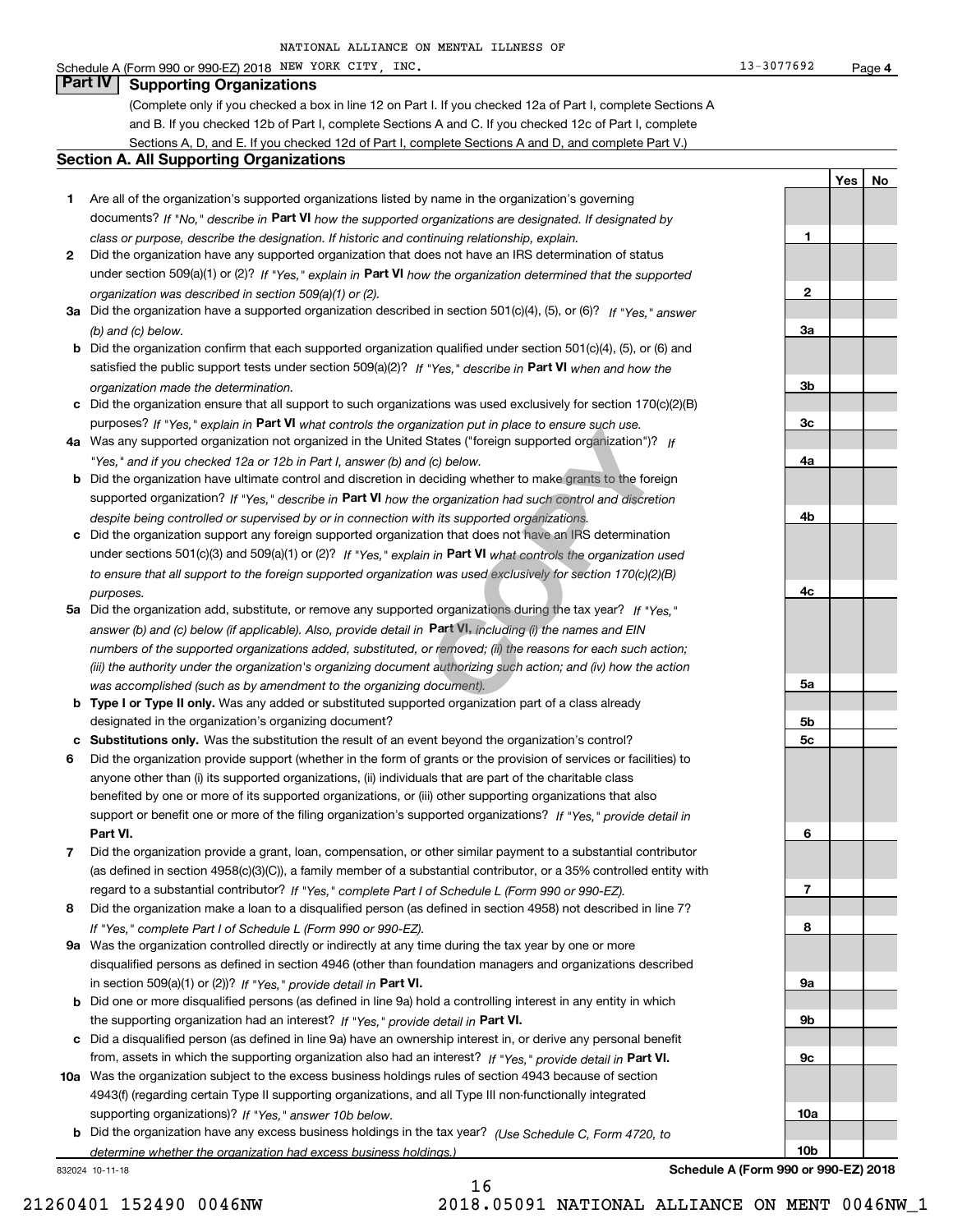### Schedule A (Form 990 or 990-EZ) 2018 Page NEW YORK CITY, INC. 13-3077692

## **Part IV Supporting Organizations**

(Complete only if you checked a box in line 12 on Part I. If you checked 12a of Part I, complete Sections A and B. If you checked 12b of Part I, complete Sections A and C. If you checked 12c of Part I, complete Sections A, D, and E. If you checked 12d of Part I, complete Sections A and D, and complete Part V.)

#### **Section A. All Supporting Organizations**

- **1** Are all of the organization's supported organizations listed by name in the organization's governing documents? If "No," describe in **Part VI** how the supported organizations are designated. If designated by *class or purpose, describe the designation. If historic and continuing relationship, explain.*
- **2** Did the organization have any supported organization that does not have an IRS determination of status under section 509(a)(1) or (2)? If "Yes," explain in Part VI how the organization determined that the supported *organization was described in section 509(a)(1) or (2).*
- **3a** Did the organization have a supported organization described in section 501(c)(4), (5), or (6)? If "Yes," answer *(b) and (c) below.*
- **b** Did the organization confirm that each supported organization qualified under section 501(c)(4), (5), or (6) and satisfied the public support tests under section 509(a)(2)? If "Yes," describe in **Part VI** when and how the *organization made the determination.*
- **c**Did the organization ensure that all support to such organizations was used exclusively for section 170(c)(2)(B) purposes? If "Yes," explain in **Part VI** what controls the organization put in place to ensure such use.
- **4a***If* Was any supported organization not organized in the United States ("foreign supported organization")? *"Yes," and if you checked 12a or 12b in Part I, answer (b) and (c) below.*
- **b** Did the organization have ultimate control and discretion in deciding whether to make grants to the foreign supported organization? If "Yes," describe in **Part VI** how the organization had such control and discretion *despite being controlled or supervised by or in connection with its supported organizations.*
- **c** Did the organization support any foreign supported organization that does not have an IRS determination under sections 501(c)(3) and 509(a)(1) or (2)? If "Yes," explain in **Part VI** what controls the organization used *to ensure that all support to the foreign supported organization was used exclusively for section 170(c)(2)(B) purposes.*
- **5a***If "Yes,"* Did the organization add, substitute, or remove any supported organizations during the tax year? answer (b) and (c) below (if applicable). Also, provide detail in **Part VI,** including (i) the names and EIN *numbers of the supported organizations added, substituted, or removed; (ii) the reasons for each such action; (iii) the authority under the organization's organizing document authorizing such action; and (iv) how the action was accomplished (such as by amendment to the organizing document).* Inization put in place to ensure such use.<br>
States ("foreign supported organization")?<br>
If (c) below.<br>
deciding whether to make grants to the fore<br>
e organization had such control and discreti<br>
th its supported organizatio
- **b** Type I or Type II only. Was any added or substituted supported organization part of a class already designated in the organization's organizing document?
- **cSubstitutions only.**  Was the substitution the result of an event beyond the organization's control?
- **6** Did the organization provide support (whether in the form of grants or the provision of services or facilities) to **Part VI.** *If "Yes," provide detail in* support or benefit one or more of the filing organization's supported organizations? anyone other than (i) its supported organizations, (ii) individuals that are part of the charitable class benefited by one or more of its supported organizations, or (iii) other supporting organizations that also
- **7**Did the organization provide a grant, loan, compensation, or other similar payment to a substantial contributor *If "Yes," complete Part I of Schedule L (Form 990 or 990-EZ).* regard to a substantial contributor? (as defined in section 4958(c)(3)(C)), a family member of a substantial contributor, or a 35% controlled entity with
- **8** Did the organization make a loan to a disqualified person (as defined in section 4958) not described in line 7? *If "Yes," complete Part I of Schedule L (Form 990 or 990-EZ).*
- **9a** Was the organization controlled directly or indirectly at any time during the tax year by one or more in section 509(a)(1) or (2))? If "Yes," *provide detail in* <code>Part VI.</code> disqualified persons as defined in section 4946 (other than foundation managers and organizations described
- **b** Did one or more disqualified persons (as defined in line 9a) hold a controlling interest in any entity in which the supporting organization had an interest? If "Yes," provide detail in P**art VI**.
- **c**Did a disqualified person (as defined in line 9a) have an ownership interest in, or derive any personal benefit from, assets in which the supporting organization also had an interest? If "Yes," provide detail in P**art VI.**
- **10a** Was the organization subject to the excess business holdings rules of section 4943 because of section supporting organizations)? If "Yes," answer 10b below. 4943(f) (regarding certain Type II supporting organizations, and all Type III non-functionally integrated
- **b** Did the organization have any excess business holdings in the tax year? (Use Schedule C, Form 4720, to *determine whether the organization had excess business holdings.)*

16

832024 10-11-18

**10a10b**

**Schedule A (Form 990 or 990-EZ) 2018**

**1**

**2**

**3a**

**3b**

**3c**

**4a**

**4b**

**4c**

**5a**

**5b5c**

**6**

**7**

**8**

**9a**

**9b**

**9c**

**YesNo**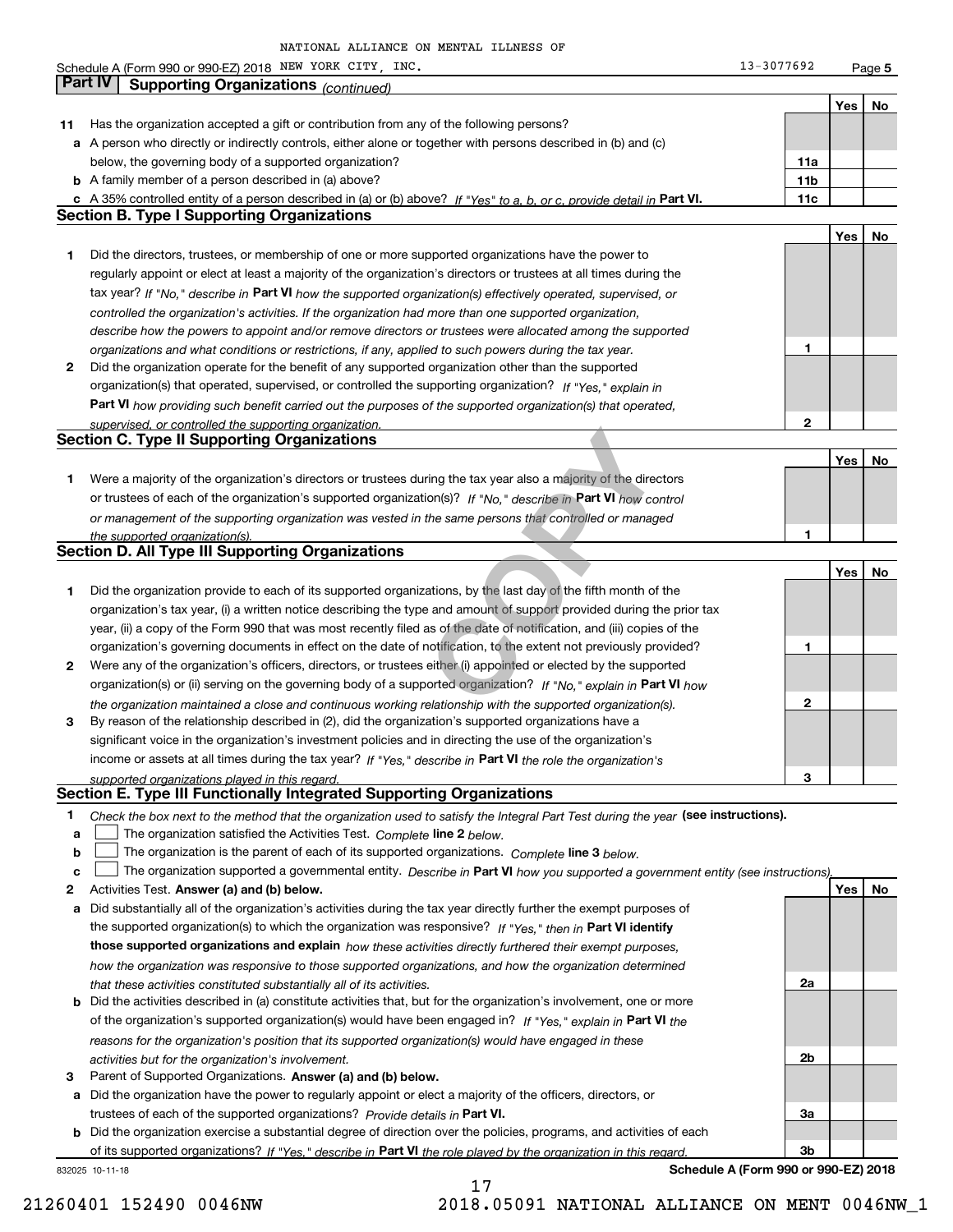**5Yes No 11** Has the organization accepted a gift or contribution from any of the following persons? **a** A person who directly or indirectly controls, either alone or together with persons described in (b) and (c) **b** A family member of a person described in (a) above? **c** A 35% controlled entity of a person described in (a) or (b) above? If "Yes" to a, b, or c, provide detail in Part VI. **11c 11a11bYes No 1** Did the directors, trustees, or membership of one or more supported organizations have the power to **2** Did the organization operate for the benefit of any supported organization other than the supported tax year? If "No," describe in Part VI how the supported organization(s) effectively operated, supervised, or **12Part VI**  *how providing such benefit carried out the purposes of the supported organization(s) that operated,* **Yes No 1** Were a majority of the organization's directors or trustees during the tax year also a majority of the directors or trustees of each of the organization's supported organization(s)? If "No," describe in **Part VI** how control **1Yes No 1** Did the organization provide to each of its supported organizations, by the last day of the fifth month of the **2** Were any of the organization's officers, directors, or trustees either (i) appointed or elected by the supported **3123**organization(s) or (ii) serving on the governing body of a supported organization? If "No," explain in **Part VI** how income or assets at all times during the tax year? If "Yes," describe in **Part VI** the role the organization's **12Answer (a) and (b) below. Yes No** Activities Test. **3** Parent of Supported Organizations. Answer (a) and (b) below. Check the box next to the method that the organization used to satisfy the Integral Part Test during the year (see instructions). **abclinupy** The organization satisfied the Activities Test. Complete line 2 below. The organization is the parent of each of its supported organizations. *Complete* line 3 *below.* The organization supported a governmental entity. *Describe in* Part **VI** how you supported a government entity (see instructions), **a** Did substantially all of the organization's activities during the tax year directly further the exempt purposes of **b** Did the activities described in (a) constitute activities that, but for the organization's involvement, one or more **a** Did the organization have the power to regularly appoint or elect a majority of the officers, directors, or **b** Did the organization exercise a substantial degree of direction over the policies, programs, and activities of each the supported organization(s) to which the organization was responsive? If "Yes," then in **Part VI identify those supported organizations and explain**  *how these activities directly furthered their exempt purposes,* **2a 2b3a3b**of the organization's supported organization(s) would have been engaged in? If "Yes," explain in **Part VI** the trustees of each of the supported organizations? *Provide details in* Part VI. *controlled the organization's activities. If the organization had more than one supported organization, describe how the powers to appoint and/or remove directors or trustees were allocated among the supported organizations and what conditions or restrictions, if any, applied to such powers during the tax year. If "Yes," explain in* organization(s) that operated, supervised, or controlled the supporting organization? *supervised, or controlled the supporting organization. or management of the supporting organization was vested in the same persons that controlled or managed the supported organization(s). the organization maintained a close and continuous working relationship with the supported organization(s). supported organizations played in this regard. how the organization was responsive to those supported organizations, and how the organization determined that these activities constituted substantially all of its activities. reasons for the organization's position that its supported organization(s) would have engaged in these activities but for the organization's involvement.* Schedule A (Form 990 or 990-EZ) 2018 Page NEW YORK CITY, INC. 13-3077692 below, the governing body of a supported organization? regularly appoint or elect at least a majority of the organization's directors or trustees at all times during the organization's tax year, (i) a written notice describing the type and amount of support provided during the prior tax year, (ii) a copy of the Form 990 that was most recently filed as of the date of notification, and (iii) copies of the organization's governing documents in effect on the date of notification, to the extent not previously provided? By reason of the relationship described in (2), did the organization's supported organizations have a significant voice in the organization's investment policies and in directing the use of the organization's **Part IV Supporting Organizations** *(continued)* **Section B. Type I Supporting Organizations Section C. Type II Supporting Organizations Section D. All Type III Supporting Organizations Section E. Type III Functionally Integrated Supporting Organizations**  $\mathcal{L}^{\text{max}}$  $\mathcal{L}^{\text{max}}$ Tring the tax year also a majority of the direction(s)? If "No," describe in **Part VI** how complement the same persons that controlled or managentles and amount of support provided during the and amount of support provided

17

832025 10-11-18 of its supported organizations? If "Yes," describe in Part VI the role played by the organization in this regard.

**Schedule A (Form 990 or 990-EZ) 2018**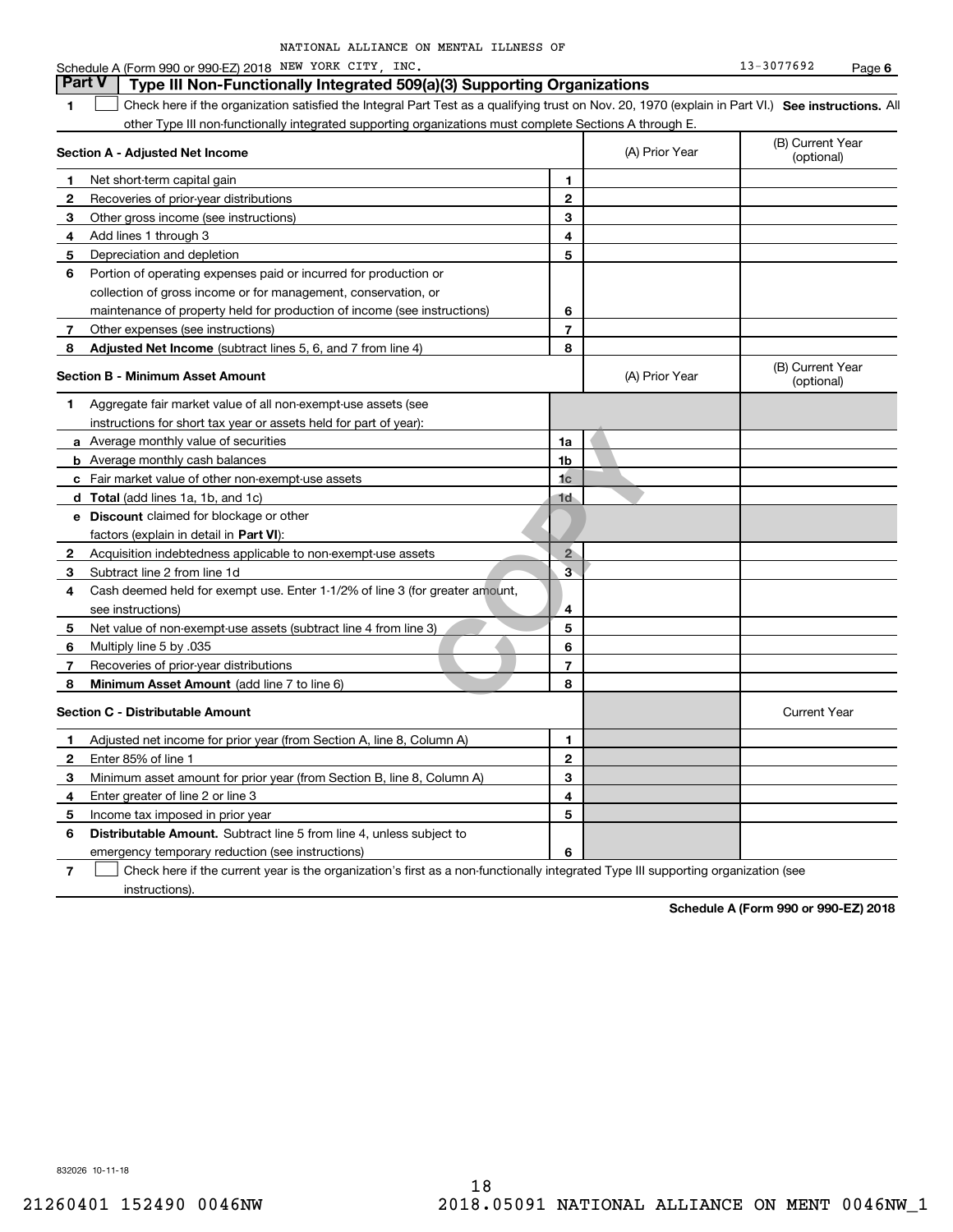| NATIONAL ALLIANCE ON MENTAL ILLNESS OF |  |
|----------------------------------------|--|
|----------------------------------------|--|

| <b>Part V</b> | Type III Non-Functionally Integrated 509(a)(3) Supporting Organizations                                                                           |                         |                |                                |
|---------------|---------------------------------------------------------------------------------------------------------------------------------------------------|-------------------------|----------------|--------------------------------|
| 1             | Check here if the organization satisfied the Integral Part Test as a qualifying trust on Nov. 20, 1970 (explain in Part VI.) See instructions. Al |                         |                |                                |
|               | other Type III non-functionally integrated supporting organizations must complete Sections A through E.                                           |                         |                |                                |
|               | Section A - Adjusted Net Income                                                                                                                   |                         | (A) Prior Year | (B) Current Year<br>(optional) |
| 1             | Net short-term capital gain                                                                                                                       | 1                       |                |                                |
| 2             | Recoveries of prior-year distributions                                                                                                            | $\mathbf{2}$            |                |                                |
| 3             | Other gross income (see instructions)                                                                                                             | 3                       |                |                                |
| 4             | Add lines 1 through 3                                                                                                                             | 4                       |                |                                |
| 5             | Depreciation and depletion                                                                                                                        | 5                       |                |                                |
| 6             | Portion of operating expenses paid or incurred for production or                                                                                  |                         |                |                                |
|               | collection of gross income or for management, conservation, or                                                                                    |                         |                |                                |
|               | maintenance of property held for production of income (see instructions)                                                                          | 6                       |                |                                |
| 7             | Other expenses (see instructions)                                                                                                                 | $\overline{7}$          |                |                                |
| 8             | Adjusted Net Income (subtract lines 5, 6, and 7 from line 4)                                                                                      | 8                       |                |                                |
|               | <b>Section B - Minimum Asset Amount</b>                                                                                                           |                         | (A) Prior Year | (B) Current Year<br>(optional) |
| 1             | Aggregate fair market value of all non-exempt-use assets (see                                                                                     |                         |                |                                |
|               | instructions for short tax year or assets held for part of year):                                                                                 |                         |                |                                |
|               | <b>a</b> Average monthly value of securities                                                                                                      | 1a                      |                |                                |
|               | <b>b</b> Average monthly cash balances                                                                                                            | 1 <sub>b</sub>          |                |                                |
|               | c Fair market value of other non-exempt-use assets                                                                                                | 1 <sub>c</sub>          |                |                                |
|               | d Total (add lines 1a, 1b, and 1c)                                                                                                                | 1d                      |                |                                |
|               | e Discount claimed for blockage or other                                                                                                          |                         |                |                                |
|               | factors (explain in detail in <b>Part VI</b> ):                                                                                                   |                         |                |                                |
| $\mathbf{2}$  | Acquisition indebtedness applicable to non-exempt-use assets                                                                                      | $2^{\circ}$             |                |                                |
| 3             | Subtract line 2 from line 1d                                                                                                                      | $\overline{\mathbf{3}}$ |                |                                |
| 4             | Cash deemed held for exempt use. Enter 1-1/2% of line 3 (for greater amount,                                                                      |                         |                |                                |
|               | see instructions)                                                                                                                                 | 4                       |                |                                |
| 5             | Net value of non-exempt-use assets (subtract line 4 from line 3)                                                                                  | 5                       |                |                                |
| 6             | Multiply line 5 by .035                                                                                                                           | 6                       |                |                                |
| 7             | Recoveries of prior-year distributions                                                                                                            | $\overline{7}$          |                |                                |
| 8             | Minimum Asset Amount (add line 7 to line 6)                                                                                                       | 8                       |                |                                |
|               | <b>Section C - Distributable Amount</b>                                                                                                           |                         |                | <b>Current Year</b>            |
| 1             | Adjusted net income for prior year (from Section A, line 8, Column A)                                                                             | 1                       |                |                                |
| 2             | Enter 85% of line 1                                                                                                                               | $\mathbf{2}$            |                |                                |
| з             | Minimum asset amount for prior year (from Section B, line 8, Column A)                                                                            | 3                       |                |                                |
| 4             | Enter greater of line 2 or line 3                                                                                                                 | 4                       |                |                                |
| 5             | Income tax imposed in prior year                                                                                                                  | 5                       |                |                                |
| 6             | <b>Distributable Amount.</b> Subtract line 5 from line 4, unless subject to                                                                       |                         |                |                                |
|               | emergency temporary reduction (see instructions)                                                                                                  | 6                       |                |                                |

**7**Check here if the current year is the organization's first as a non-functionally integrated Type III supporting organization (see instructions).

**Schedule A (Form 990 or 990-EZ) 2018**

832026 10-11-18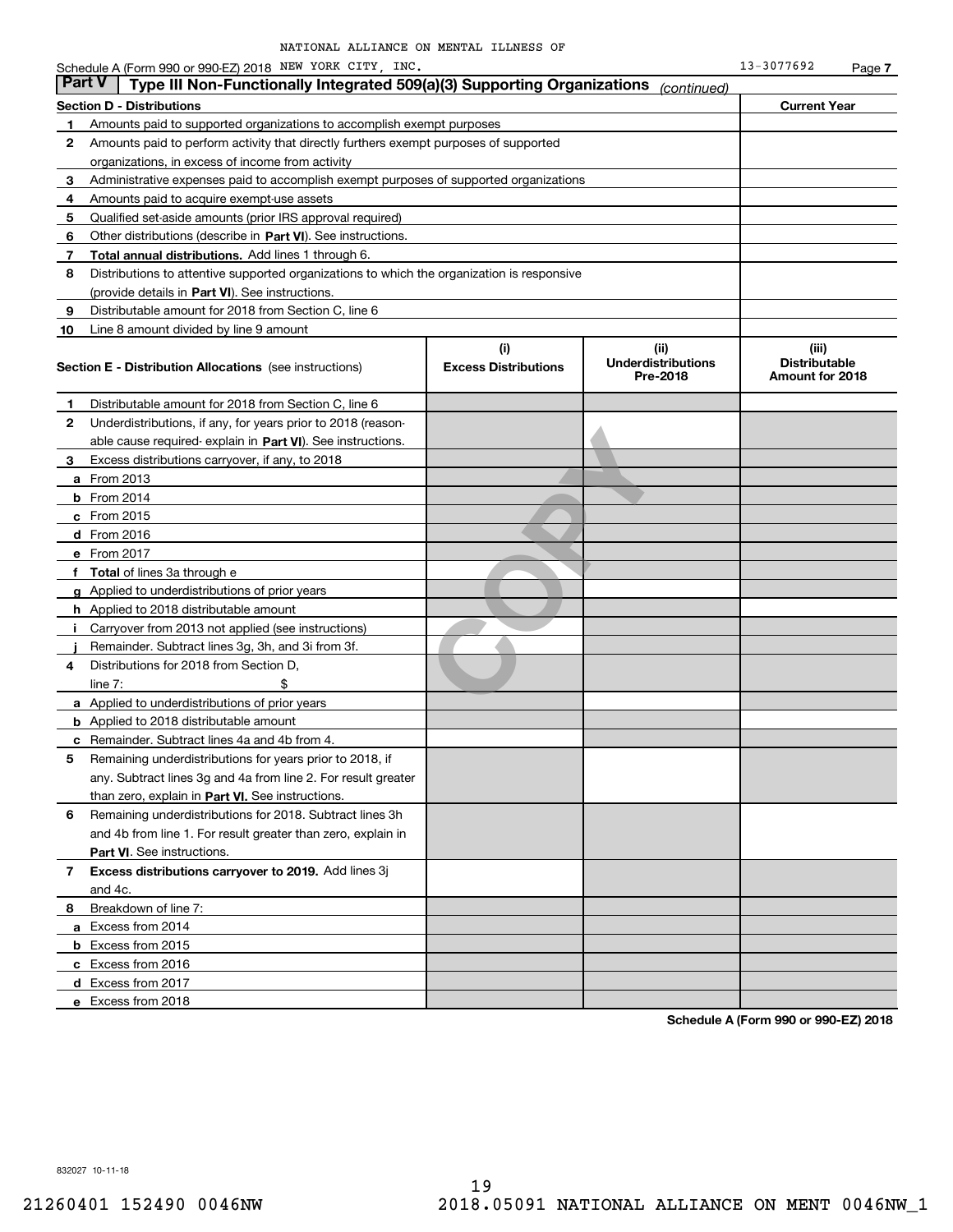|        | Schedule A (Form 990 or 990-EZ) 2018 NEW YORK CITY, INC.                                   |                                    |                                               | 13-3077692                                       | Page 7 |
|--------|--------------------------------------------------------------------------------------------|------------------------------------|-----------------------------------------------|--------------------------------------------------|--------|
| Part V | Type III Non-Functionally Integrated 509(a)(3) Supporting Organizations                    |                                    | (continued)                                   |                                                  |        |
|        | <b>Section D - Distributions</b>                                                           |                                    |                                               | <b>Current Year</b>                              |        |
| 1      | Amounts paid to supported organizations to accomplish exempt purposes                      |                                    |                                               |                                                  |        |
| 2      | Amounts paid to perform activity that directly furthers exempt purposes of supported       |                                    |                                               |                                                  |        |
|        | organizations, in excess of income from activity                                           |                                    |                                               |                                                  |        |
| 3      | Administrative expenses paid to accomplish exempt purposes of supported organizations      |                                    |                                               |                                                  |        |
| 4      | Amounts paid to acquire exempt-use assets                                                  |                                    |                                               |                                                  |        |
| 5      | Qualified set-aside amounts (prior IRS approval required)                                  |                                    |                                               |                                                  |        |
| 6      | Other distributions (describe in Part VI). See instructions.                               |                                    |                                               |                                                  |        |
| 7      | Total annual distributions. Add lines 1 through 6.                                         |                                    |                                               |                                                  |        |
| 8      | Distributions to attentive supported organizations to which the organization is responsive |                                    |                                               |                                                  |        |
|        | (provide details in Part VI). See instructions.                                            |                                    |                                               |                                                  |        |
| 9      | Distributable amount for 2018 from Section C, line 6                                       |                                    |                                               |                                                  |        |
| 10     | Line 8 amount divided by line 9 amount                                                     |                                    |                                               |                                                  |        |
|        | <b>Section E - Distribution Allocations</b> (see instructions)                             | (i)<br><b>Excess Distributions</b> | (ii)<br><b>Underdistributions</b><br>Pre-2018 | (iii)<br><b>Distributable</b><br>Amount for 2018 |        |
| 1      | Distributable amount for 2018 from Section C, line 6                                       |                                    |                                               |                                                  |        |
| 2      | Underdistributions, if any, for years prior to 2018 (reason-                               |                                    |                                               |                                                  |        |
|        | able cause required- explain in Part VI). See instructions.                                |                                    |                                               |                                                  |        |
| 3      | Excess distributions carryover, if any, to 2018                                            |                                    |                                               |                                                  |        |
|        | <b>a</b> From 2013                                                                         |                                    |                                               |                                                  |        |
|        | <b>b</b> From $2014$                                                                       |                                    |                                               |                                                  |        |
|        | $c$ From 2015                                                                              |                                    |                                               |                                                  |        |
|        | $d$ From 2016                                                                              |                                    |                                               |                                                  |        |
|        | e From 2017                                                                                |                                    |                                               |                                                  |        |
|        | f Total of lines 3a through e                                                              |                                    |                                               |                                                  |        |
|        | g Applied to underdistributions of prior years                                             |                                    |                                               |                                                  |        |
|        | <b>h</b> Applied to 2018 distributable amount                                              |                                    |                                               |                                                  |        |
| j.     | Carryover from 2013 not applied (see instructions)                                         |                                    |                                               |                                                  |        |
|        | Remainder. Subtract lines 3g, 3h, and 3i from 3f.                                          |                                    |                                               |                                                  |        |
| 4      | Distributions for 2018 from Section D,                                                     |                                    |                                               |                                                  |        |
|        | \$<br>line $7:$                                                                            |                                    |                                               |                                                  |        |
|        | <b>a</b> Applied to underdistributions of prior years                                      |                                    |                                               |                                                  |        |
|        | <b>b</b> Applied to 2018 distributable amount                                              |                                    |                                               |                                                  |        |
|        | c Remainder. Subtract lines 4a and 4b from 4.                                              |                                    |                                               |                                                  |        |
|        | Remaining underdistributions for years prior to 2018, if                                   |                                    |                                               |                                                  |        |
|        | any. Subtract lines 3g and 4a from line 2. For result greater                              |                                    |                                               |                                                  |        |
|        | than zero, explain in Part VI. See instructions.                                           |                                    |                                               |                                                  |        |
| 6      | Remaining underdistributions for 2018. Subtract lines 3h                                   |                                    |                                               |                                                  |        |
|        | and 4b from line 1. For result greater than zero, explain in                               |                                    |                                               |                                                  |        |
|        | Part VI. See instructions.                                                                 |                                    |                                               |                                                  |        |
| 7      | Excess distributions carryover to 2019. Add lines 3j                                       |                                    |                                               |                                                  |        |
|        | and 4c.                                                                                    |                                    |                                               |                                                  |        |
| 8      | Breakdown of line 7:                                                                       |                                    |                                               |                                                  |        |
|        | a Excess from 2014                                                                         |                                    |                                               |                                                  |        |
|        | <b>b</b> Excess from 2015                                                                  |                                    |                                               |                                                  |        |
|        | c Excess from 2016                                                                         |                                    |                                               |                                                  |        |
|        | d Excess from 2017                                                                         |                                    |                                               |                                                  |        |
|        | e Excess from 2018                                                                         |                                    |                                               |                                                  |        |
|        |                                                                                            |                                    |                                               |                                                  |        |

**Schedule A (Form 990 or 990-EZ) 2018**

832027 10-11-18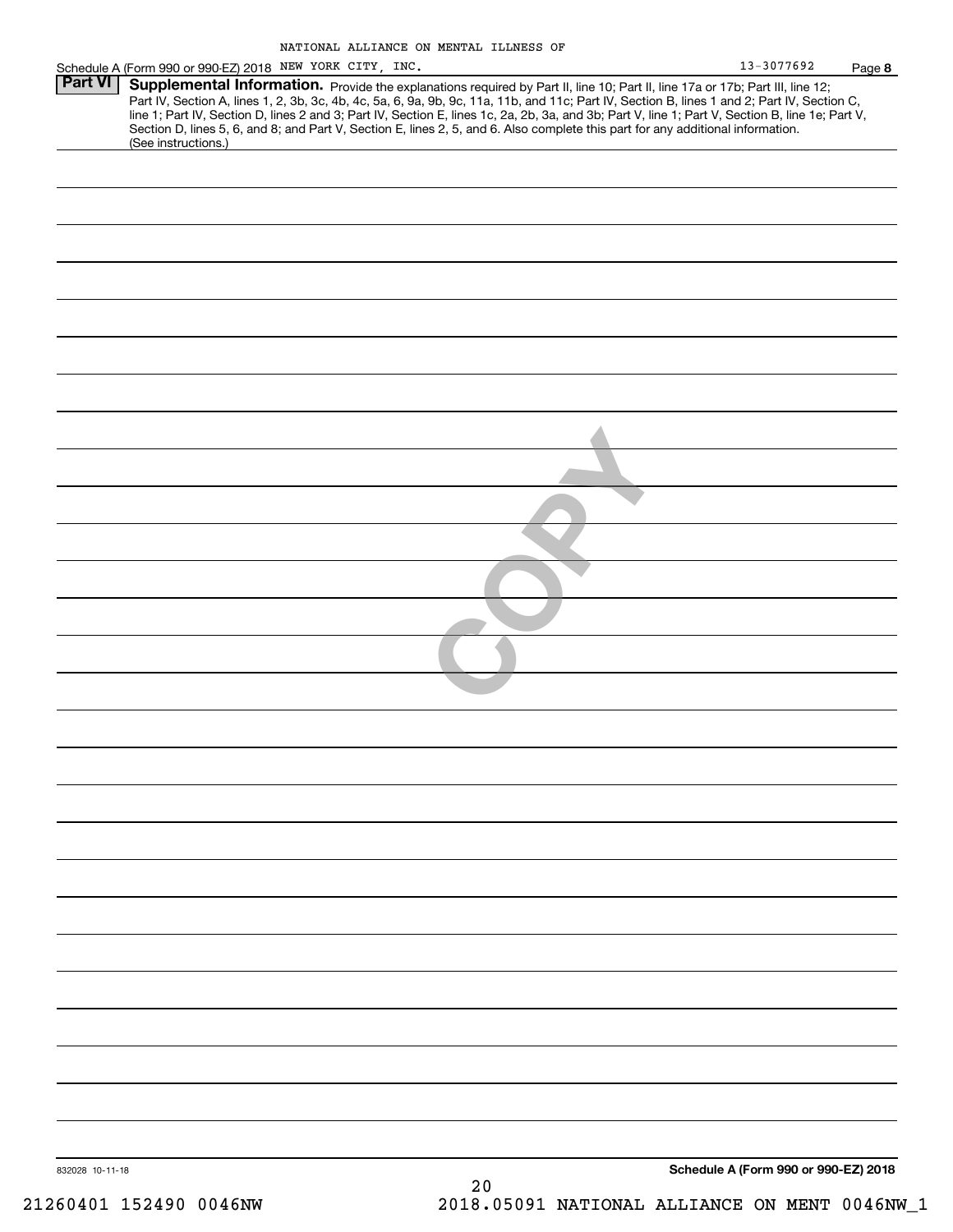| Schedule A (Form 990 or 990-EZ) 2018 NEW YORK CITY, INC. | 13-3077692                             | Page 8                                                                                                                                                                                                                                                                                                                                                                                                                                                                                                                                                                                                       |
|----------------------------------------------------------|----------------------------------------|--------------------------------------------------------------------------------------------------------------------------------------------------------------------------------------------------------------------------------------------------------------------------------------------------------------------------------------------------------------------------------------------------------------------------------------------------------------------------------------------------------------------------------------------------------------------------------------------------------------|
|                                                          |                                        |                                                                                                                                                                                                                                                                                                                                                                                                                                                                                                                                                                                                              |
|                                                          |                                        |                                                                                                                                                                                                                                                                                                                                                                                                                                                                                                                                                                                                              |
|                                                          |                                        |                                                                                                                                                                                                                                                                                                                                                                                                                                                                                                                                                                                                              |
|                                                          |                                        |                                                                                                                                                                                                                                                                                                                                                                                                                                                                                                                                                                                                              |
|                                                          |                                        |                                                                                                                                                                                                                                                                                                                                                                                                                                                                                                                                                                                                              |
|                                                          |                                        |                                                                                                                                                                                                                                                                                                                                                                                                                                                                                                                                                                                                              |
|                                                          |                                        |                                                                                                                                                                                                                                                                                                                                                                                                                                                                                                                                                                                                              |
|                                                          |                                        |                                                                                                                                                                                                                                                                                                                                                                                                                                                                                                                                                                                                              |
|                                                          |                                        |                                                                                                                                                                                                                                                                                                                                                                                                                                                                                                                                                                                                              |
|                                                          |                                        |                                                                                                                                                                                                                                                                                                                                                                                                                                                                                                                                                                                                              |
|                                                          |                                        |                                                                                                                                                                                                                                                                                                                                                                                                                                                                                                                                                                                                              |
|                                                          |                                        |                                                                                                                                                                                                                                                                                                                                                                                                                                                                                                                                                                                                              |
|                                                          |                                        |                                                                                                                                                                                                                                                                                                                                                                                                                                                                                                                                                                                                              |
|                                                          |                                        |                                                                                                                                                                                                                                                                                                                                                                                                                                                                                                                                                                                                              |
|                                                          |                                        |                                                                                                                                                                                                                                                                                                                                                                                                                                                                                                                                                                                                              |
|                                                          |                                        |                                                                                                                                                                                                                                                                                                                                                                                                                                                                                                                                                                                                              |
|                                                          |                                        |                                                                                                                                                                                                                                                                                                                                                                                                                                                                                                                                                                                                              |
|                                                          |                                        |                                                                                                                                                                                                                                                                                                                                                                                                                                                                                                                                                                                                              |
|                                                          |                                        |                                                                                                                                                                                                                                                                                                                                                                                                                                                                                                                                                                                                              |
|                                                          |                                        |                                                                                                                                                                                                                                                                                                                                                                                                                                                                                                                                                                                                              |
|                                                          |                                        |                                                                                                                                                                                                                                                                                                                                                                                                                                                                                                                                                                                                              |
|                                                          |                                        |                                                                                                                                                                                                                                                                                                                                                                                                                                                                                                                                                                                                              |
|                                                          |                                        |                                                                                                                                                                                                                                                                                                                                                                                                                                                                                                                                                                                                              |
|                                                          |                                        |                                                                                                                                                                                                                                                                                                                                                                                                                                                                                                                                                                                                              |
|                                                          |                                        |                                                                                                                                                                                                                                                                                                                                                                                                                                                                                                                                                                                                              |
|                                                          |                                        |                                                                                                                                                                                                                                                                                                                                                                                                                                                                                                                                                                                                              |
|                                                          |                                        |                                                                                                                                                                                                                                                                                                                                                                                                                                                                                                                                                                                                              |
|                                                          |                                        |                                                                                                                                                                                                                                                                                                                                                                                                                                                                                                                                                                                                              |
|                                                          |                                        |                                                                                                                                                                                                                                                                                                                                                                                                                                                                                                                                                                                                              |
|                                                          |                                        |                                                                                                                                                                                                                                                                                                                                                                                                                                                                                                                                                                                                              |
|                                                          |                                        |                                                                                                                                                                                                                                                                                                                                                                                                                                                                                                                                                                                                              |
|                                                          |                                        |                                                                                                                                                                                                                                                                                                                                                                                                                                                                                                                                                                                                              |
| 20                                                       |                                        |                                                                                                                                                                                                                                                                                                                                                                                                                                                                                                                                                                                                              |
|                                                          | (See instructions.)<br>832028 10-11-18 | Supplemental Information. Provide the explanations required by Part II, line 10; Part II, line 17a or 17b; Part III, line 12;<br>Part IV, Section A, lines 1, 2, 3b, 3c, 4b, 4c, 5a, 6, 9a, 9b, 9c, 11a, 11b, and 11c; Part IV, Section B, lines 1 and 2; Part IV, Section C,<br>line 1; Part IV, Section D, lines 2 and 3; Part IV, Section E, lines 1c, 2a, 2b, 3a, and 3b; Part V, line 1; Part V, Section B, line 1e; Part V,<br>Section D, lines 5, 6, and 8; and Part V, Section E, lines 2, 5, and 6. Also complete this part for any additional information.<br>Schedule A (Form 990 or 990-EZ) 2018 |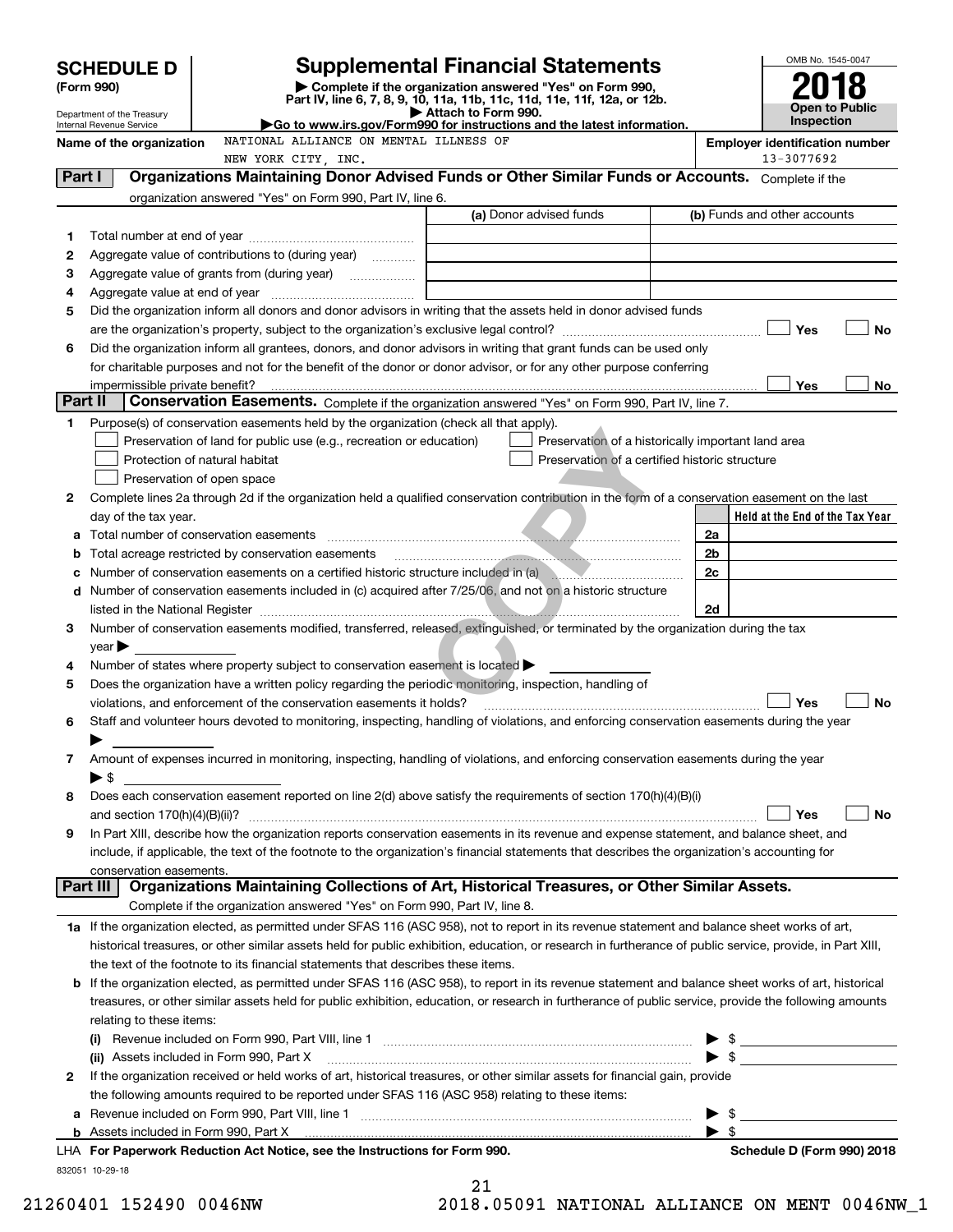|          |                                                        |                                                                                                                                                           |                     | <b>Supplemental Financial Statements</b>           |                                      | OMB No. 1545-0047                     |
|----------|--------------------------------------------------------|-----------------------------------------------------------------------------------------------------------------------------------------------------------|---------------------|----------------------------------------------------|--------------------------------------|---------------------------------------|
|          | <b>SCHEDULE D</b><br>(Form 990)                        | Complete if the organization answered "Yes" on Form 990,                                                                                                  |                     |                                                    |                                      |                                       |
|          |                                                        | Part IV, line 6, 7, 8, 9, 10, 11a, 11b, 11c, 11d, 11e, 11f, 12a, or 12b.                                                                                  | Attach to Form 990. |                                                    |                                      | Open to Public                        |
|          | Department of the Treasury<br>Internal Revenue Service | Go to www.irs.gov/Form990 for instructions and the latest information.                                                                                    |                     |                                                    |                                      | <b>Inspection</b>                     |
|          | Name of the organization                               | NATIONAL ALLIANCE ON MENTAL ILLNESS OF                                                                                                                    |                     |                                                    |                                      | <b>Employer identification number</b> |
|          |                                                        | NEW YORK CITY, INC.                                                                                                                                       |                     |                                                    |                                      | 13-3077692                            |
| Part I   |                                                        | Organizations Maintaining Donor Advised Funds or Other Similar Funds or Accounts. Complete if the                                                         |                     |                                                    |                                      |                                       |
|          |                                                        | organization answered "Yes" on Form 990, Part IV, line 6.                                                                                                 |                     | (a) Donor advised funds                            |                                      | (b) Funds and other accounts          |
|          |                                                        |                                                                                                                                                           |                     |                                                    |                                      |                                       |
| 1<br>2   |                                                        | Aggregate value of contributions to (during year)                                                                                                         |                     |                                                    |                                      |                                       |
| З        |                                                        |                                                                                                                                                           |                     |                                                    |                                      |                                       |
| 4        |                                                        |                                                                                                                                                           |                     |                                                    |                                      |                                       |
| 5        |                                                        | Did the organization inform all donors and donor advisors in writing that the assets held in donor advised funds                                          |                     |                                                    |                                      |                                       |
|          |                                                        |                                                                                                                                                           |                     |                                                    |                                      | Yes<br>No                             |
| 6        |                                                        | Did the organization inform all grantees, donors, and donor advisors in writing that grant funds can be used only                                         |                     |                                                    |                                      |                                       |
|          |                                                        | for charitable purposes and not for the benefit of the donor or donor advisor, or for any other purpose conferring                                        |                     |                                                    |                                      |                                       |
|          | impermissible private benefit?                         |                                                                                                                                                           |                     |                                                    |                                      | Yes<br>No.                            |
| Part II  |                                                        | Conservation Easements. Complete if the organization answered "Yes" on Form 990, Part IV, line 7.                                                         |                     |                                                    |                                      |                                       |
| 1        |                                                        | Purpose(s) of conservation easements held by the organization (check all that apply).                                                                     |                     |                                                    |                                      |                                       |
|          |                                                        | Preservation of land for public use (e.g., recreation or education)                                                                                       |                     | Preservation of a historically important land area |                                      |                                       |
|          |                                                        | Protection of natural habitat                                                                                                                             |                     | Preservation of a certified historic structure     |                                      |                                       |
|          |                                                        | Preservation of open space                                                                                                                                |                     |                                                    |                                      |                                       |
| 2        |                                                        | Complete lines 2a through 2d if the organization held a qualified conservation contribution in the form of a conservation easement on the last            |                     |                                                    |                                      | Held at the End of the Tax Year       |
| а        | day of the tax year.                                   |                                                                                                                                                           |                     |                                                    | 2a                                   |                                       |
| b        |                                                        | Total acreage restricted by conservation easements                                                                                                        |                     |                                                    | 2 <sub>b</sub>                       |                                       |
| с        |                                                        | Number of conservation easements on a certified historic structure included in (a)                                                                        |                     |                                                    | 2c                                   |                                       |
| d        |                                                        | Number of conservation easements included in (c) acquired after 7/25/06, and not on a historic structure                                                  |                     |                                                    |                                      |                                       |
|          |                                                        | listed in the National Register <b>communications</b> and the National Property of the National Property of the National                                  |                     |                                                    | 2d                                   |                                       |
| 3        |                                                        | Number of conservation easements modified, transferred, released, extinguished, or terminated by the organization during the tax                          |                     |                                                    |                                      |                                       |
|          | $\vee$ ear $\blacktriangleright$                       |                                                                                                                                                           |                     |                                                    |                                      |                                       |
| 4        |                                                        | Number of states where property subject to conservation easement is located $\blacktriangleright$                                                         |                     |                                                    |                                      |                                       |
| 5        |                                                        | Does the organization have a written policy regarding the periodic monitoring, inspection, handling of                                                    |                     |                                                    |                                      |                                       |
|          |                                                        | violations, and enforcement of the conservation easements it holds?                                                                                       |                     |                                                    |                                      | Yes<br>No                             |
| 6        |                                                        | Staff and volunteer hours devoted to monitoring, inspecting, handling of violations, and enforcing conservation easements during the year                 |                     |                                                    |                                      |                                       |
|          |                                                        |                                                                                                                                                           |                     |                                                    |                                      |                                       |
| 7        |                                                        | Amount of expenses incurred in monitoring, inspecting, handling of violations, and enforcing conservation easements during the year                       |                     |                                                    |                                      |                                       |
| 8        | $\blacktriangleright$ \$                               | Does each conservation easement reported on line 2(d) above satisfy the requirements of section 170(h)(4)(B)(i)                                           |                     |                                                    |                                      |                                       |
|          | and section $170(h)(4)(B)(ii)?$                        |                                                                                                                                                           |                     |                                                    |                                      | Yes<br>No                             |
| 9        |                                                        | In Part XIII, describe how the organization reports conservation easements in its revenue and expense statement, and balance sheet, and                   |                     |                                                    |                                      |                                       |
|          |                                                        | include, if applicable, the text of the footnote to the organization's financial statements that describes the organization's accounting for              |                     |                                                    |                                      |                                       |
|          | conservation easements.                                |                                                                                                                                                           |                     |                                                    |                                      |                                       |
| Part III |                                                        | Organizations Maintaining Collections of Art, Historical Treasures, or Other Similar Assets.                                                              |                     |                                                    |                                      |                                       |
|          |                                                        | Complete if the organization answered "Yes" on Form 990, Part IV, line 8.                                                                                 |                     |                                                    |                                      |                                       |
|          |                                                        | 1a If the organization elected, as permitted under SFAS 116 (ASC 958), not to report in its revenue statement and balance sheet works of art,             |                     |                                                    |                                      |                                       |
|          |                                                        | historical treasures, or other similar assets held for public exhibition, education, or research in furtherance of public service, provide, in Part XIII, |                     |                                                    |                                      |                                       |
|          |                                                        | the text of the footnote to its financial statements that describes these items.                                                                          |                     |                                                    |                                      |                                       |
| b        |                                                        | If the organization elected, as permitted under SFAS 116 (ASC 958), to report in its revenue statement and balance sheet works of art, historical         |                     |                                                    |                                      |                                       |
|          |                                                        | treasures, or other similar assets held for public exhibition, education, or research in furtherance of public service, provide the following amounts     |                     |                                                    |                                      |                                       |
|          | relating to these items:                               |                                                                                                                                                           |                     |                                                    |                                      |                                       |
|          |                                                        |                                                                                                                                                           |                     |                                                    |                                      | $\triangleright$ \$                   |
|          |                                                        | (ii) Assets included in Form 990, Part X                                                                                                                  |                     |                                                    |                                      | $\triangleright$ \$                   |
| 2        |                                                        | If the organization received or held works of art, historical treasures, or other similar assets for financial gain, provide                              |                     |                                                    |                                      |                                       |
|          |                                                        | the following amounts required to be reported under SFAS 116 (ASC 958) relating to these items:                                                           |                     |                                                    |                                      |                                       |
| а        |                                                        |                                                                                                                                                           |                     |                                                    | - \$<br>▶<br>$\blacktriangleright$ s |                                       |
|          |                                                        | LHA For Paperwork Reduction Act Notice, see the Instructions for Form 990.                                                                                |                     |                                                    |                                      | Schedule D (Form 990) 2018            |
|          | 832051 10-29-18                                        |                                                                                                                                                           |                     |                                                    |                                      |                                       |
|          |                                                        |                                                                                                                                                           | $\sim$              |                                                    |                                      |                                       |

| ∠ ⊥ |  |                        |  |  |  |  |  |
|-----|--|------------------------|--|--|--|--|--|
|     |  | 0 05001 <b>1115701</b> |  |  |  |  |  |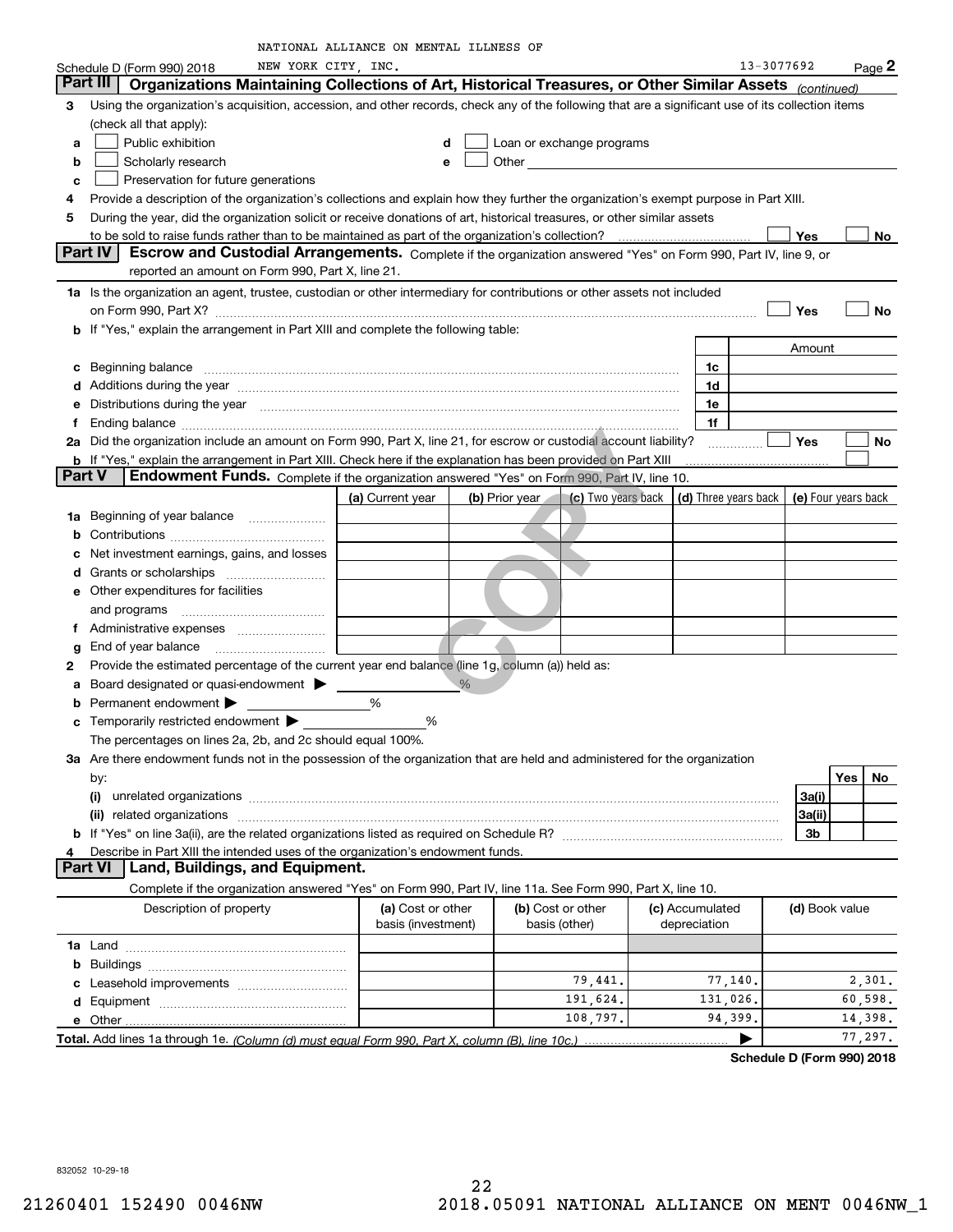|               |                                                                                                                                                                                                                                | NATIONAL ALLIANCE ON MENTAL ILLNESS OF |                |                           |                      |                     |     |                    |
|---------------|--------------------------------------------------------------------------------------------------------------------------------------------------------------------------------------------------------------------------------|----------------------------------------|----------------|---------------------------|----------------------|---------------------|-----|--------------------|
|               | NEW YORK CITY, INC.<br>Schedule D (Form 990) 2018                                                                                                                                                                              |                                        |                |                           |                      | 13-3077692          |     | $_{\text{Page}}$ 2 |
|               | Part III<br>Organizations Maintaining Collections of Art, Historical Treasures, or Other Similar Assets (continued)                                                                                                            |                                        |                |                           |                      |                     |     |                    |
| 3             | Using the organization's acquisition, accession, and other records, check any of the following that are a significant use of its collection items                                                                              |                                        |                |                           |                      |                     |     |                    |
|               | (check all that apply):                                                                                                                                                                                                        |                                        |                |                           |                      |                     |     |                    |
| а             | Public exhibition                                                                                                                                                                                                              | d                                      |                | Loan or exchange programs |                      |                     |     |                    |
| b             | Scholarly research                                                                                                                                                                                                             | e                                      |                |                           |                      |                     |     |                    |
| с             | Preservation for future generations                                                                                                                                                                                            |                                        |                |                           |                      |                     |     |                    |
| 4             | Provide a description of the organization's collections and explain how they further the organization's exempt purpose in Part XIII.                                                                                           |                                        |                |                           |                      |                     |     |                    |
| 5             | During the year, did the organization solicit or receive donations of art, historical treasures, or other similar assets                                                                                                       |                                        |                |                           |                      |                     |     |                    |
|               |                                                                                                                                                                                                                                |                                        |                |                           |                      | <b>Yes</b>          |     | No                 |
|               | Part IV<br>Escrow and Custodial Arrangements. Complete if the organization answered "Yes" on Form 990, Part IV, line 9, or                                                                                                     |                                        |                |                           |                      |                     |     |                    |
|               | reported an amount on Form 990, Part X, line 21.                                                                                                                                                                               |                                        |                |                           |                      |                     |     |                    |
|               | 1a Is the organization an agent, trustee, custodian or other intermediary for contributions or other assets not included                                                                                                       |                                        |                |                           |                      |                     |     |                    |
|               | on Form 990, Part X? [11] matter and the contract of the contract of the contract of the contract of the contract of the contract of the contract of the contract of the contract of the contract of the contract of the contr |                                        |                |                           |                      | Yes                 |     | No                 |
|               | <b>b</b> If "Yes," explain the arrangement in Part XIII and complete the following table:                                                                                                                                      |                                        |                |                           |                      |                     |     |                    |
|               |                                                                                                                                                                                                                                |                                        |                |                           |                      |                     |     |                    |
|               |                                                                                                                                                                                                                                |                                        |                |                           |                      | Amount              |     |                    |
| c             | Beginning balance material contracts and contracts and contracts and contracts and contracts and contracts and                                                                                                                 |                                        |                |                           | 1c                   |                     |     |                    |
|               | d Additions during the year measurements are all an according to the year.                                                                                                                                                     |                                        |                |                           | 1d                   |                     |     |                    |
| е             | Distributions during the year manufactured and an according to the state of the state of the state of the state of the state of the state of the state of the state of the state of the state of the state of the state of the |                                        |                |                           | 1e                   |                     |     |                    |
|               |                                                                                                                                                                                                                                |                                        |                |                           | 1f                   |                     |     |                    |
|               | 2a Did the organization include an amount on Form 990, Part X, line 21, for escrow or custodial account liability?                                                                                                             |                                        |                |                           |                      | Yes                 |     | No                 |
|               | <b>b</b> If "Yes," explain the arrangement in Part XIII. Check here if the explanation has been provided on Part XIII                                                                                                          |                                        |                |                           |                      |                     |     |                    |
| <b>Part V</b> | Endowment Funds. Complete if the organization answered "Yes" on Form 990, Part IV, line 10.                                                                                                                                    |                                        |                |                           |                      |                     |     |                    |
|               |                                                                                                                                                                                                                                | (a) Current year                       | (b) Prior year | <b>c)</b> Two years back  | (d) Three years back | (e) Four years back |     |                    |
|               | <b>1a</b> Beginning of year balance                                                                                                                                                                                            |                                        |                |                           |                      |                     |     |                    |
| b             |                                                                                                                                                                                                                                |                                        |                |                           |                      |                     |     |                    |
| c             | Net investment earnings, gains, and losses                                                                                                                                                                                     |                                        |                |                           |                      |                     |     |                    |
|               |                                                                                                                                                                                                                                |                                        |                |                           |                      |                     |     |                    |
|               | e Other expenditures for facilities                                                                                                                                                                                            |                                        |                |                           |                      |                     |     |                    |
|               | and programs                                                                                                                                                                                                                   |                                        |                |                           |                      |                     |     |                    |
|               | f Administrative expenses                                                                                                                                                                                                      |                                        |                |                           |                      |                     |     |                    |
| g             |                                                                                                                                                                                                                                |                                        |                |                           |                      |                     |     |                    |
| 2             | Provide the estimated percentage of the current year end balance (line 1g, column (a)) held as:                                                                                                                                |                                        |                |                           |                      |                     |     |                    |
| а             | Board designated or quasi-endowment > _____                                                                                                                                                                                    |                                        | $\frac{0}{0}$  |                           |                      |                     |     |                    |
|               | Permanent endowment >                                                                                                                                                                                                          | %                                      |                |                           |                      |                     |     |                    |
|               | c Temporarily restricted endowment > __________                                                                                                                                                                                | %                                      |                |                           |                      |                     |     |                    |
|               | The percentages on lines 2a, 2b, and 2c should equal 100%.                                                                                                                                                                     |                                        |                |                           |                      |                     |     |                    |
|               | 3a Are there endowment funds not in the possession of the organization that are held and administered for the organization                                                                                                     |                                        |                |                           |                      |                     |     |                    |
|               | by:                                                                                                                                                                                                                            |                                        |                |                           |                      |                     | Yes | No                 |
|               |                                                                                                                                                                                                                                |                                        |                |                           |                      | 3a(i)               |     |                    |
|               |                                                                                                                                                                                                                                |                                        |                |                           |                      | 3a(ii)              |     |                    |
|               |                                                                                                                                                                                                                                |                                        |                |                           |                      | 3b                  |     |                    |
| 4             | Describe in Part XIII the intended uses of the organization's endowment funds.                                                                                                                                                 |                                        |                |                           |                      |                     |     |                    |
|               | <b>Part VI</b><br>Land, Buildings, and Equipment.                                                                                                                                                                              |                                        |                |                           |                      |                     |     |                    |
|               | Complete if the organization answered "Yes" on Form 990, Part IV, line 11a. See Form 990, Part X, line 10.                                                                                                                     |                                        |                |                           |                      |                     |     |                    |
|               | Description of property                                                                                                                                                                                                        | (a) Cost or other                      |                | (b) Cost or other         | (c) Accumulated      | (d) Book value      |     |                    |
|               |                                                                                                                                                                                                                                | basis (investment)                     |                | basis (other)             | depreciation         |                     |     |                    |
|               |                                                                                                                                                                                                                                |                                        |                |                           |                      |                     |     |                    |
|               |                                                                                                                                                                                                                                |                                        |                |                           |                      |                     |     |                    |
|               |                                                                                                                                                                                                                                |                                        |                | 79,441.                   | 77,140.              |                     |     | 2,301.             |
|               |                                                                                                                                                                                                                                |                                        |                | 191,624.                  | 131,026.             |                     |     | 60,598.            |
|               |                                                                                                                                                                                                                                |                                        |                | 108,797.                  | 94,399.              |                     |     | 14,398.            |
|               |                                                                                                                                                                                                                                |                                        |                |                           |                      |                     |     |                    |

 **Total.**  *(Column (d) must equal Form 990, Part X, column (B), line 10c.)* Add lines 1a through 1e.  $\blacktriangleright$   $\vdash$ 

**Schedule D (Form 990) 2018**

77,297.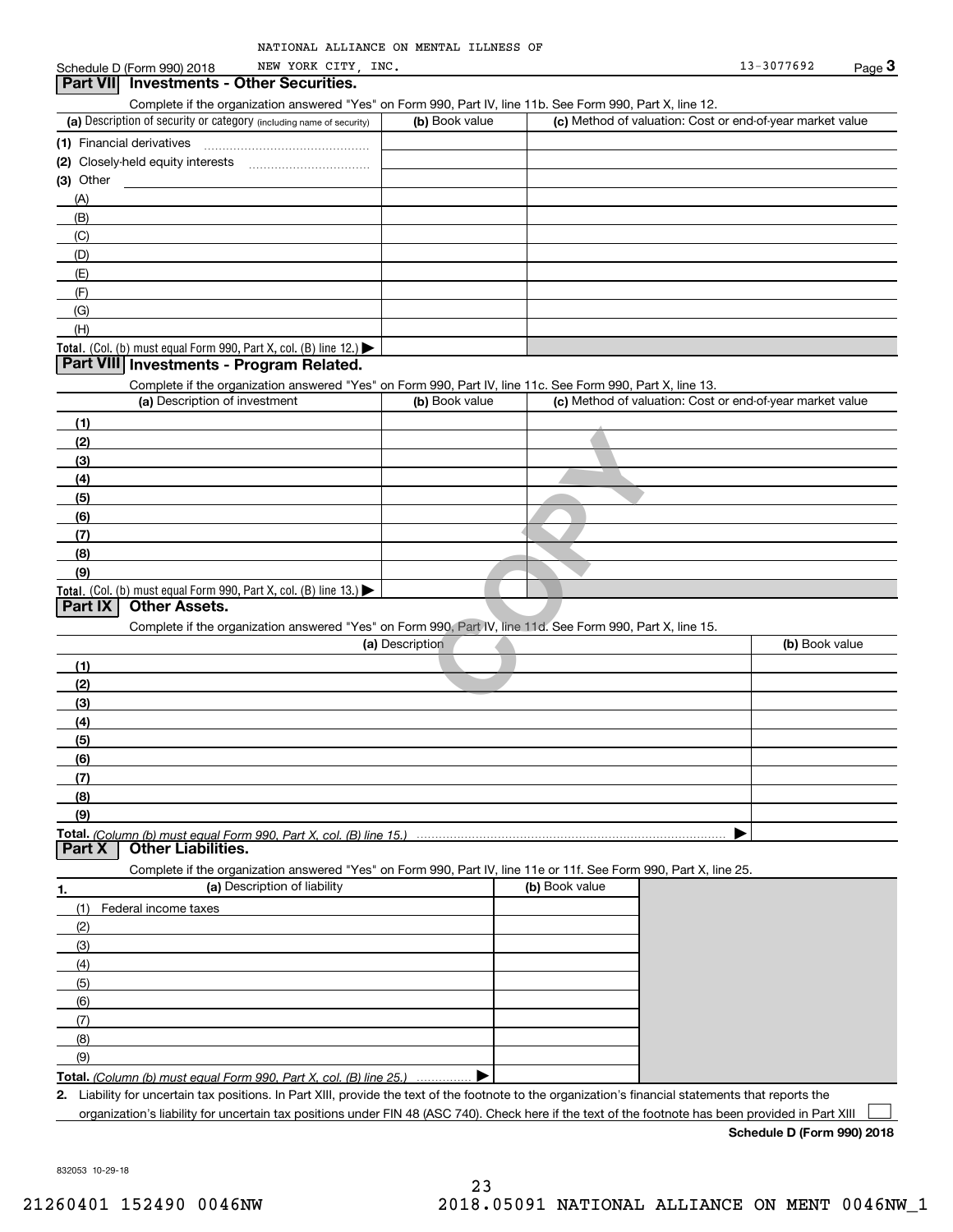| NATIONAL ALLIANCE ON MENTAL ILLNESS OF |  |  |  |
|----------------------------------------|--|--|--|
|----------------------------------------|--|--|--|

#### (a) Description of security or category (including name of security)  $\vert$  (b) Book value  $\vert$  (c) Total. (Col. (b) must equal Form 990, Part X, col. (B) line 12.) Total. (Col. (b) must equal Form 990, Part X, col. (B) line 13.) **(1)**Financial derivatives **(2)** Closely-held equity interests **(3)** Other (a) Description of investment **b (b)** Book value **(1)(2) (3)(4) (5)(6)(7) (8)(9)(a) (b)**  Description**(1)(2) (3)(4)(5) (6)(7) (8)(9)Total.**  *(Column (b) must equal Form 990, Part X, col. (B) line 15.)* **1.(a)** Description of liability **Book value (b)** Book value **Total.**  *(Column (b) must equal Form 990, Part X, col. (B) line 25.)* **2.**Schedule D (Form 990) 2018 MEW YORK CITY, INC. 2010 13-3077692 Page 3 Complete if the organization answered "Yes" on Form 990, Part IV, line 11b. See Form 990, Part X, line 12.  $(b)$  Book value  $\vert$  (c) Method of valuation: Cost or end-of-year market value ~~~~~~~~~~~~~~~(A)(B)(C)(D)(E)(F)(G)(H)Complete if the organization answered "Yes" on Form 990, Part IV, line 11c. See Form 990, Part X, line 13. (c) Method of valuation: Cost or end-of-year market value Complete if the organization answered "Yes" on Form 990, Part IV, line 11d. See Form 990, Part X, line 15. (b) Book value  $\blacktriangleright$ Complete if the organization answered "Yes" on Form 990, Part IV, line 11e or 11f. See Form 990, Part X, line 25. (1)Federal income taxes (2)(3)(4)(5)(6)(7)(8)(9). . . . . . . . . . . . . . .  $\blacktriangleright$ Liability for uncertain tax positions. In Part XIII, provide the text of the footnote to the organization's financial statements that reports the organization's liability for uncertain tax positions under FIN 48 (ASC 740). Check here if the text of the footnote has been provided in Part XIII **Part VII Investments - Other Securities. Part VIII Investments - Program Related. Part IX Other Assets. Part X Other Liabilities.**  $\mathcal{L}^{\text{max}}$ 1 990, Part IV, line 11d. See Form 990, Part<br>tion<br>**COPY** NEW YORK CITY,

**Schedule D (Form 990) 2018**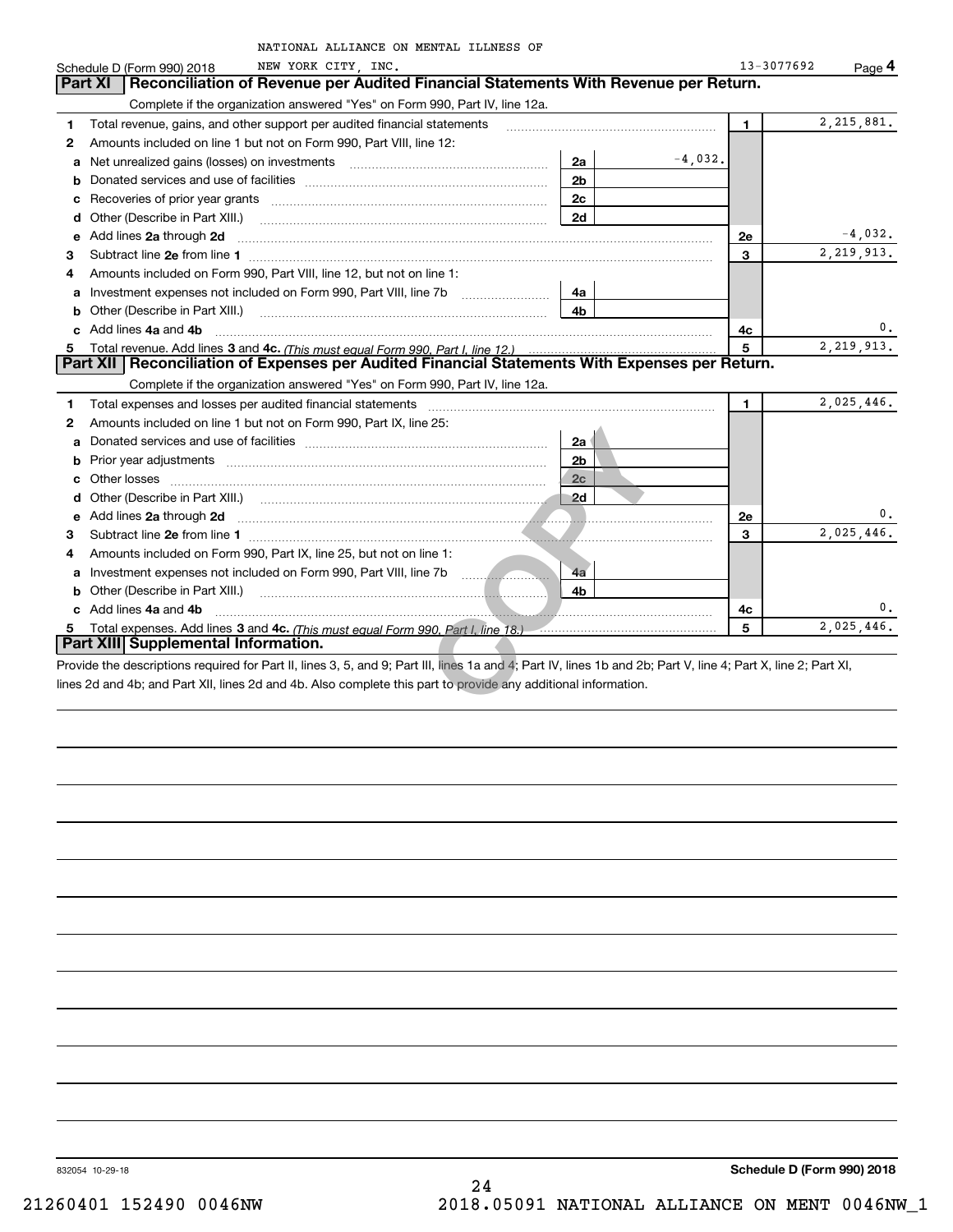|    | NATIONAL ALLIANCE ON MENTAL ILLNESS OF                                                                                                                         |                |           |            |              |
|----|----------------------------------------------------------------------------------------------------------------------------------------------------------------|----------------|-----------|------------|--------------|
|    | NEW YORK CITY, INC.<br>Schedule D (Form 990) 2018                                                                                                              |                |           | 13-3077692 | Page 4       |
|    | Reconciliation of Revenue per Audited Financial Statements With Revenue per Return.<br>Part XI                                                                 |                |           |            |              |
|    | Complete if the organization answered "Yes" on Form 990, Part IV, line 12a.                                                                                    |                |           |            |              |
| 1. | Total revenue, gains, and other support per audited financial statements                                                                                       |                |           | 1.         | 2, 215, 881. |
| 2  | Amounts included on line 1 but not on Form 990, Part VIII, line 12:                                                                                            |                |           |            |              |
|    | <b>a</b> Net unrealized gains (losses) on investments                                                                                                          | 2a             | $-4,032.$ |            |              |
| b  |                                                                                                                                                                | 2 <sub>b</sub> |           |            |              |
|    |                                                                                                                                                                | 2 <sub>c</sub> |           |            |              |
| d  | Other (Describe in Part XIII.)                                                                                                                                 | 2d             |           |            |              |
| е  | Add lines 2a through 2d                                                                                                                                        |                |           | 2e         | $-4,032.$    |
| 3  |                                                                                                                                                                |                |           | 3          | 2, 219, 913. |
| 4  | Amounts included on Form 990, Part VIII, line 12, but not on line 1:                                                                                           |                |           |            |              |
| a  | Investment expenses not included on Form 990, Part VIII, line 7b                                                                                               | 4a             |           |            |              |
|    | <b>b</b> Other (Describe in Part XIII.)                                                                                                                        | 4b             |           |            |              |
|    | c Add lines 4a and 4b                                                                                                                                          |                |           | 4с         | 0.           |
| 5. |                                                                                                                                                                |                |           | 5          | 2, 219, 913. |
|    | Part XII   Reconciliation of Expenses per Audited Financial Statements With Expenses per Return.                                                               |                |           |            |              |
|    | Complete if the organization answered "Yes" on Form 990, Part IV, line 12a.                                                                                    |                |           |            |              |
| 1. | Total expenses and losses per audited financial statements                                                                                                     |                |           | 1.         | 2,025,446.   |
| 2  | Amounts included on line 1 but not on Form 990, Part IX, line 25:                                                                                              |                |           |            |              |
|    |                                                                                                                                                                | 2a             |           |            |              |
|    |                                                                                                                                                                | 2 <sub>b</sub> |           |            |              |
|    | Other losses                                                                                                                                                   | 2c             |           |            |              |
|    |                                                                                                                                                                | 2d             |           |            |              |
|    | e Add lines 2a through 2d <b>minimum contracts and the Add lines</b> 2a through 2d minimum contracts and the Add lines                                         |                |           | 2e         | 0.           |
| 3  |                                                                                                                                                                |                |           | 3          | 2,025,446.   |
| 4  | Amounts included on Form 990, Part IX, line 25, but not on line 1:                                                                                             |                |           |            |              |
|    | a Investment expenses not included on Form 990, Part VIII, line 7b                                                                                             | 4a             |           |            |              |
|    | <b>b</b> Other (Describe in Part XIII.)                                                                                                                        | 4b             |           |            |              |
|    | c Add lines 4a and 4b                                                                                                                                          |                |           | 4c         |              |
|    | Total expenses. Add lines 3 and 4c. (This must equal Form 990, Part I, line 18.) [100] The subsequence of the S                                                |                |           | 5          | 2,025,446.   |
|    | Part XIII Supplemental Information.                                                                                                                            |                |           |            |              |
|    | Provide the descriptions required for Part II, lines 3, 5, and 9; Part III, lines 1a and 4; Part IV, lines 1b and 2b; Part V, line 4; Part X, line 2; Part XI, |                |           |            |              |
|    | lines 2d and 4b; and Part XII, lines 2d and 4b. Also complete this part to provide any additional information.                                                 |                |           |            |              |
|    |                                                                                                                                                                |                |           |            |              |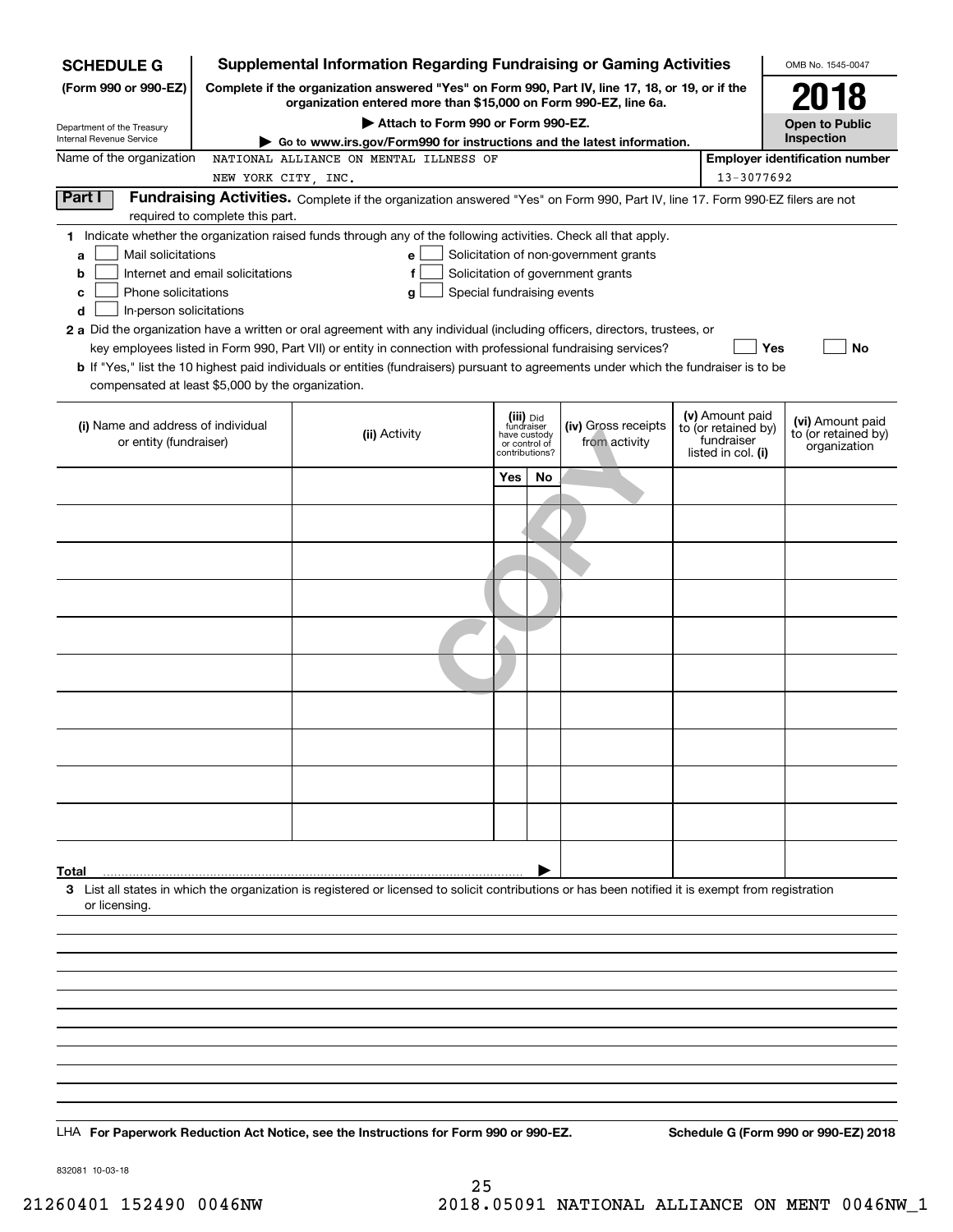| <b>SCHEDULE G</b>                                                                                                                                                                 | <b>Supplemental Information Regarding Fundraising or Gaming Activities</b>                                                                                                                                                                                                                                                                                                                                                                                                                                                  |                                             |                             |                                                                            |                                                                            | OMB No. 1545-0047                                       |
|-----------------------------------------------------------------------------------------------------------------------------------------------------------------------------------|-----------------------------------------------------------------------------------------------------------------------------------------------------------------------------------------------------------------------------------------------------------------------------------------------------------------------------------------------------------------------------------------------------------------------------------------------------------------------------------------------------------------------------|---------------------------------------------|-----------------------------|----------------------------------------------------------------------------|----------------------------------------------------------------------------|---------------------------------------------------------|
| (Form 990 or 990-EZ)                                                                                                                                                              | Complete if the organization answered "Yes" on Form 990, Part IV, line 17, 18, or 19, or if the<br>organization entered more than \$15,000 on Form 990-EZ, line 6a.                                                                                                                                                                                                                                                                                                                                                         |                                             |                             |                                                                            |                                                                            | 2018                                                    |
| Department of the Treasury                                                                                                                                                        | Attach to Form 990 or Form 990-EZ.                                                                                                                                                                                                                                                                                                                                                                                                                                                                                          |                                             |                             |                                                                            |                                                                            | <b>Open to Public</b>                                   |
| Internal Revenue Service                                                                                                                                                          | Go to www.irs.gov/Form990 for instructions and the latest information.                                                                                                                                                                                                                                                                                                                                                                                                                                                      |                                             |                             |                                                                            |                                                                            | Inspection                                              |
| Name of the organization                                                                                                                                                          | NATIONAL ALLIANCE ON MENTAL ILLNESS OF                                                                                                                                                                                                                                                                                                                                                                                                                                                                                      |                                             |                             |                                                                            |                                                                            | <b>Employer identification number</b>                   |
| Part I                                                                                                                                                                            | NEW YORK CITY, INC.<br>Fundraising Activities. Complete if the organization answered "Yes" on Form 990, Part IV, line 17. Form 990-EZ filers are not                                                                                                                                                                                                                                                                                                                                                                        |                                             |                             |                                                                            | 13-3077692                                                                 |                                                         |
| required to complete this part.                                                                                                                                                   |                                                                                                                                                                                                                                                                                                                                                                                                                                                                                                                             |                                             |                             |                                                                            |                                                                            |                                                         |
| Mail solicitations<br>a<br>Internet and email solicitations<br>b<br>Phone solicitations<br>с<br>In-person solicitations<br>d<br>compensated at least \$5,000 by the organization. | 1 Indicate whether the organization raised funds through any of the following activities. Check all that apply.<br>е<br>f<br>g<br>2 a Did the organization have a written or oral agreement with any individual (including officers, directors, trustees, or<br>key employees listed in Form 990, Part VII) or entity in connection with professional fundraising services?<br><b>b</b> If "Yes," list the 10 highest paid individuals or entities (fundraisers) pursuant to agreements under which the fundraiser is to be | Special fundraising events                  |                             | Solicitation of non-government grants<br>Solicitation of government grants | <b>Yes</b>                                                                 | <b>No</b>                                               |
|                                                                                                                                                                                   |                                                                                                                                                                                                                                                                                                                                                                                                                                                                                                                             |                                             |                             |                                                                            |                                                                            |                                                         |
| (i) Name and address of individual<br>or entity (fundraiser)                                                                                                                      | (ii) Activity                                                                                                                                                                                                                                                                                                                                                                                                                                                                                                               | fundraiser<br>have custody<br>or control of | (iii) Did<br>contributions? | (iv) Gross receipts<br>from activity                                       | (v) Amount paid<br>to (or retained by)<br>fundraiser<br>listed in col. (i) | (vi) Amount paid<br>to (or retained by)<br>organization |
|                                                                                                                                                                                   |                                                                                                                                                                                                                                                                                                                                                                                                                                                                                                                             | Yes                                         | No                          |                                                                            |                                                                            |                                                         |
|                                                                                                                                                                                   |                                                                                                                                                                                                                                                                                                                                                                                                                                                                                                                             |                                             |                             |                                                                            |                                                                            |                                                         |
|                                                                                                                                                                                   |                                                                                                                                                                                                                                                                                                                                                                                                                                                                                                                             |                                             |                             |                                                                            |                                                                            |                                                         |
|                                                                                                                                                                                   |                                                                                                                                                                                                                                                                                                                                                                                                                                                                                                                             |                                             |                             |                                                                            |                                                                            |                                                         |
|                                                                                                                                                                                   |                                                                                                                                                                                                                                                                                                                                                                                                                                                                                                                             |                                             |                             |                                                                            |                                                                            |                                                         |
|                                                                                                                                                                                   |                                                                                                                                                                                                                                                                                                                                                                                                                                                                                                                             |                                             |                             |                                                                            |                                                                            |                                                         |
|                                                                                                                                                                                   |                                                                                                                                                                                                                                                                                                                                                                                                                                                                                                                             |                                             |                             |                                                                            |                                                                            |                                                         |
|                                                                                                                                                                                   |                                                                                                                                                                                                                                                                                                                                                                                                                                                                                                                             |                                             |                             |                                                                            |                                                                            |                                                         |
|                                                                                                                                                                                   |                                                                                                                                                                                                                                                                                                                                                                                                                                                                                                                             |                                             |                             |                                                                            |                                                                            |                                                         |
|                                                                                                                                                                                   |                                                                                                                                                                                                                                                                                                                                                                                                                                                                                                                             |                                             |                             |                                                                            |                                                                            |                                                         |
|                                                                                                                                                                                   |                                                                                                                                                                                                                                                                                                                                                                                                                                                                                                                             |                                             |                             |                                                                            |                                                                            |                                                         |
|                                                                                                                                                                                   |                                                                                                                                                                                                                                                                                                                                                                                                                                                                                                                             |                                             |                             |                                                                            |                                                                            |                                                         |
|                                                                                                                                                                                   |                                                                                                                                                                                                                                                                                                                                                                                                                                                                                                                             |                                             |                             |                                                                            |                                                                            |                                                         |
|                                                                                                                                                                                   |                                                                                                                                                                                                                                                                                                                                                                                                                                                                                                                             |                                             |                             |                                                                            |                                                                            |                                                         |
|                                                                                                                                                                                   |                                                                                                                                                                                                                                                                                                                                                                                                                                                                                                                             |                                             |                             |                                                                            |                                                                            |                                                         |
| Total                                                                                                                                                                             |                                                                                                                                                                                                                                                                                                                                                                                                                                                                                                                             |                                             |                             |                                                                            |                                                                            |                                                         |
| or licensing.                                                                                                                                                                     | 3 List all states in which the organization is registered or licensed to solicit contributions or has been notified it is exempt from registration                                                                                                                                                                                                                                                                                                                                                                          |                                             |                             |                                                                            |                                                                            |                                                         |
|                                                                                                                                                                                   |                                                                                                                                                                                                                                                                                                                                                                                                                                                                                                                             |                                             |                             |                                                                            |                                                                            |                                                         |
|                                                                                                                                                                                   |                                                                                                                                                                                                                                                                                                                                                                                                                                                                                                                             |                                             |                             |                                                                            |                                                                            |                                                         |
|                                                                                                                                                                                   |                                                                                                                                                                                                                                                                                                                                                                                                                                                                                                                             |                                             |                             |                                                                            |                                                                            |                                                         |
|                                                                                                                                                                                   |                                                                                                                                                                                                                                                                                                                                                                                                                                                                                                                             |                                             |                             |                                                                            |                                                                            |                                                         |
|                                                                                                                                                                                   |                                                                                                                                                                                                                                                                                                                                                                                                                                                                                                                             |                                             |                             |                                                                            |                                                                            |                                                         |
|                                                                                                                                                                                   |                                                                                                                                                                                                                                                                                                                                                                                                                                                                                                                             |                                             |                             |                                                                            |                                                                            |                                                         |
|                                                                                                                                                                                   |                                                                                                                                                                                                                                                                                                                                                                                                                                                                                                                             |                                             |                             |                                                                            |                                                                            |                                                         |
|                                                                                                                                                                                   | LHA For Paperwork Reduction Act Notice, see the Instructions for Form 990 or 990-EZ.                                                                                                                                                                                                                                                                                                                                                                                                                                        |                                             |                             |                                                                            |                                                                            | Schedule G (Form 990 or 990-EZ) 2018                    |

832081 10-03-18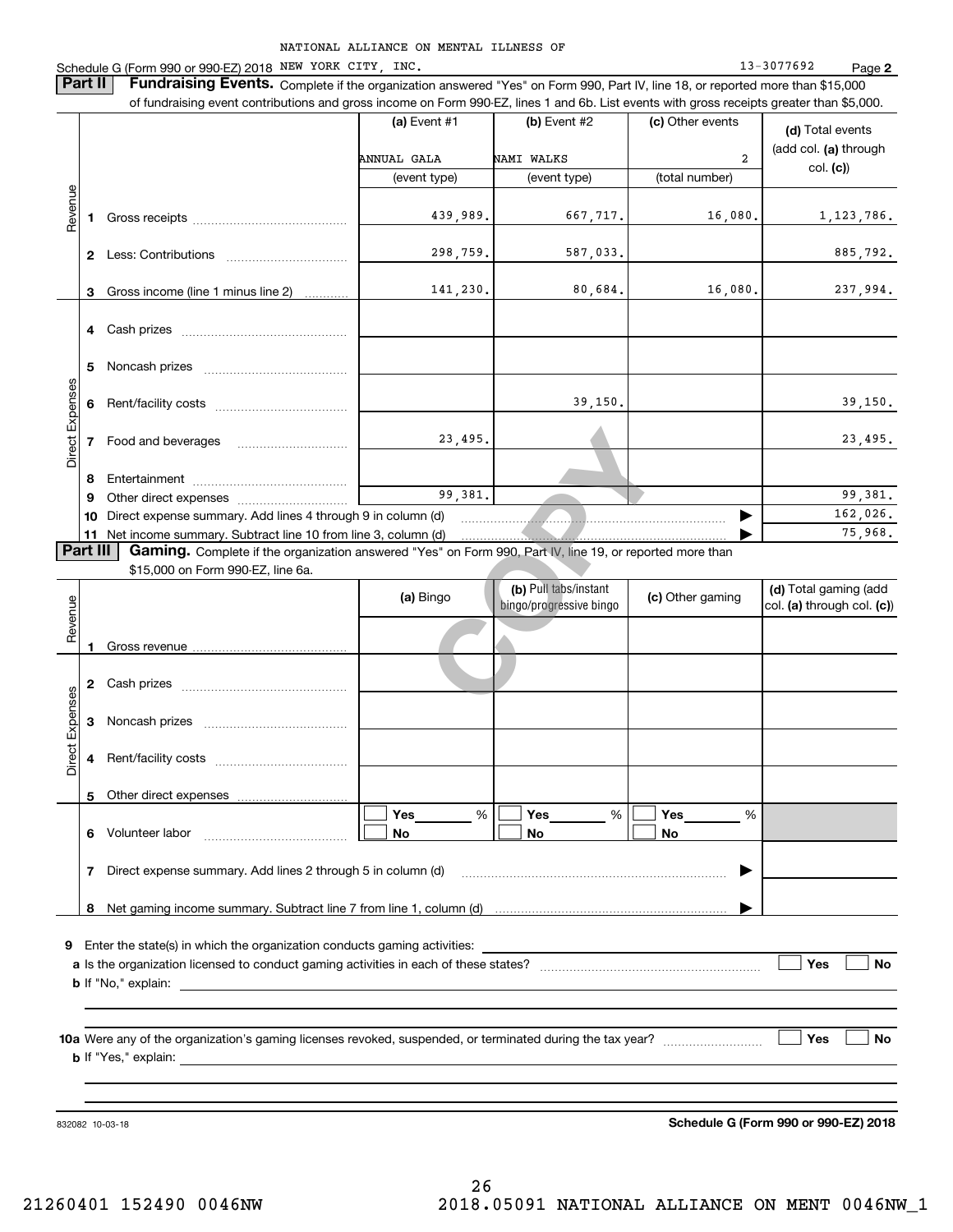**2**

NATIONAL ALLIANCE ON MENTAL ILLNESS OF Schedule G (Form 990 or 990-EZ) 2018 Page NEW YORK CITY, INC. 13-3077692 **Part II** | Fundraising Events. Complete if the organization answered "Yes" on Form 990, Part IV, line 18, or reported more than \$15,000 of fundraising event contributions and gross income on Form 990-EZ, lines 1 and 6b. List events with gross receipts greater than \$5,000. **(a)** Event #1  $\vert$  **(b)** Event #2 (c) Other events **(d)**  Total events (add col. **(a)** through ANNUAL GALA NAMI WALKS 2 col. **(c)**) (event type) (event type) (total number) Revenue Revenue 439,989. 667,717. 16,080. 1,123,786. **1**Gross receipts ~~~~~~~~~~~~~~298,759. 587,033. 885,792. **2** Less: Contributions ................................ 141,230. 80,684. 16,080. 237,994. Gross income (line 1 minus line 2) **3**. . . . . . . . . . . . **4** Cash prizes <sub>……………………………………</sub> **5**Noncash prizes ~~~~~~~~~~~~~ Direct Expenses Direct Expense 39,150. 39,150. **6**Rent/facility costs ~~~~~~~~~~~~23, 495.<br>
99, 381.<br>
1 (d)<br>
m (d)<br>
es" on Form 990, Part IV, line 19, or reporte<br>
3ingo<br> **COPY** (b) Pull tabs/instant<br>
bingo/progressive bingo<br>
(c) 23,495. 23,495. **7**Food and beverages **8**Entertainment ~~~~~~~~~~~~~~ Other direct expenses ~~~~~~~~~~ 99,381. 99,381. **9**162,026.  $\blacktriangleright$ **10** Direct expense summary. Add lines 4 through 9 in column (d) ~~~~~~~~~~~~~~~~~~~~~~~~75,968. …… ▶ **11** Net income summary. Subtract line 10 from line 3, column (d)  $\sqrt{P}$ art III **Part III | Gaming.** Complete if the organization answered "Yes" on Form 990, Part IV, line 19, or reported more than \$15,000 on Form 990-EZ, line 6a. **(b)**  Pull tabs/instant **(d)**  Total gaming (add **(a)**  Revenue Bingo **Dividends** of the **C** Other gaming Revenue bingo/progressive bingo col. **(a)** through col. **(c)**) Gross revenue **12** Cash prizes \_\_\_\_\_\_\_\_\_\_\_\_\_\_\_\_\_\_\_\_\_\_\_\_\_\_\_\_\_\_\_\_ Direct Expenses Direct Expenses **3**Noncash prizes **4**Rent/facility costs ~~~~~~~~~~~~**5**Other direct expenses  $\boxed{\Box}$  Yes \_\_\_\_\_\_\_ %  $\boxed{\Box}$  Yes \_\_\_\_\_\_\_ %  $\boxed{\Box}$  $\mathcal{L}^{\text{max}}$ %**Yes Yes Yes** % %  $\mathcal{L}^{\text{max}}$ **No6** Volunteer labor  $\ldots$   $\ldots$   $\ldots$   $\ldots$   $\ldots$   $\ldots$   $\ldots$   $\ldots$  **No No** Direct expense summary. Add lines 2 through 5 in column (d) **7**~~~~~~~~~~~~~~~~~~~~~~~~ | Net gaming income summary. Subtract line 7 from line 1, column (d) **8**…… ▶ **9**Enter the state(s) in which the organization conducts gaming activities: **Yes**  $\mathcal{L}^{\text{max}}$ **a**Is the organization licensed to conduct gaming activities in each of these states? ~~~~~~~~~~~~~~~~~~~~ **No b**If "No," explain: **Yes No 10a**Were any of the organization's gaming licenses revoked, suspended, or terminated during the tax year? **b** If "Yes," explain:

832082 10-03-18

**Schedule G (Form 990 or 990-EZ) 2018**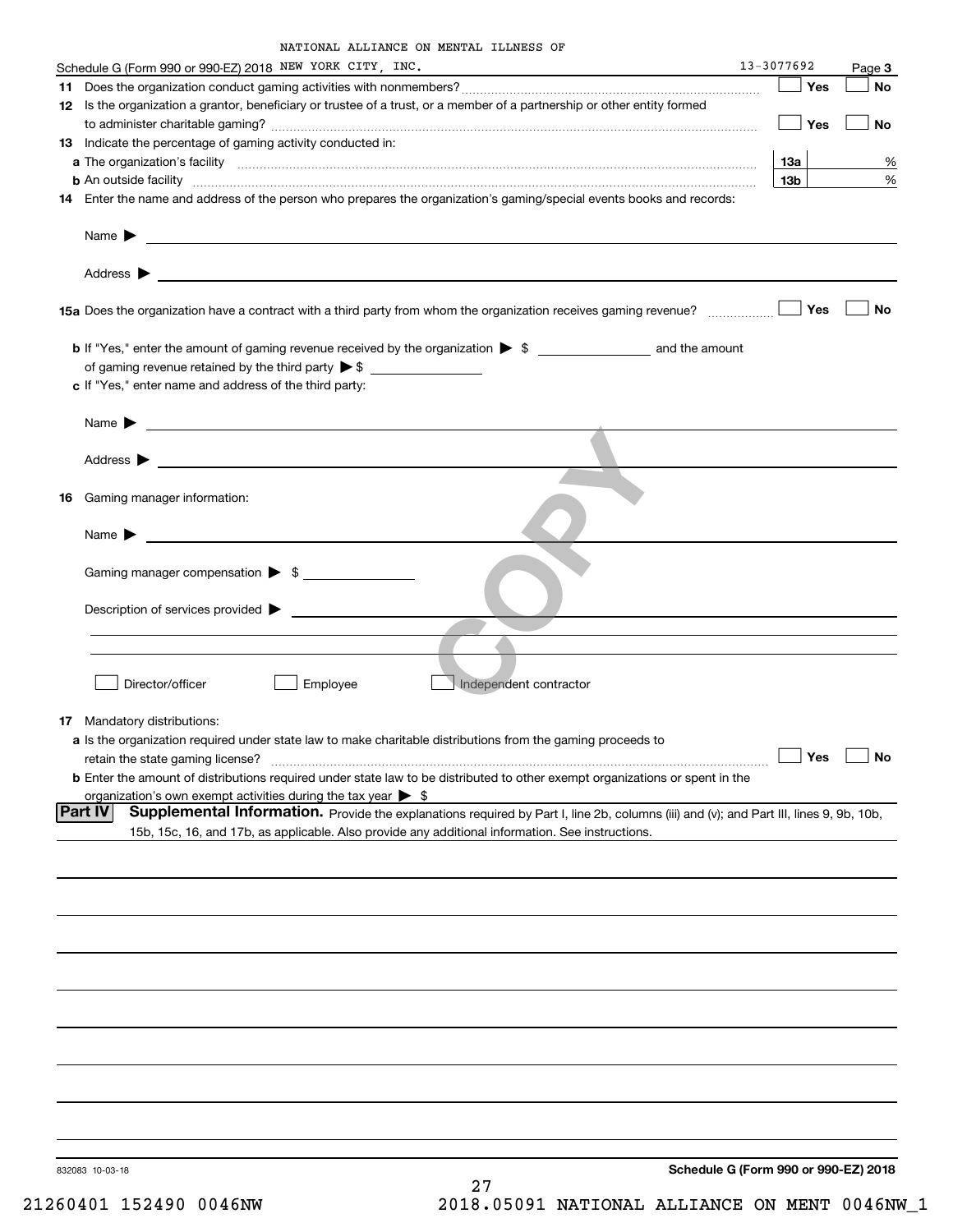| NATIONAL ALLIANCE ON MENTAL ILLNESS OF |  |  |
|----------------------------------------|--|--|
|                                        |  |  |

|    | Schedule G (Form 990 or 990-EZ) 2018 NEW YORK CITY, INC.                                                                                                                                                                                                           | 13-3077692                           | Page 3    |
|----|--------------------------------------------------------------------------------------------------------------------------------------------------------------------------------------------------------------------------------------------------------------------|--------------------------------------|-----------|
|    |                                                                                                                                                                                                                                                                    | Yes                                  | No        |
|    | 12 Is the organization a grantor, beneficiary or trustee of a trust, or a member of a partnership or other entity formed                                                                                                                                           | Yes                                  | No        |
|    | <b>13</b> Indicate the percentage of gaming activity conducted in:                                                                                                                                                                                                 |                                      |           |
|    |                                                                                                                                                                                                                                                                    | <b>13a</b>                           | %         |
|    | <b>b</b> An outside facility <b>contained an according to the contract of the contract of the contract of the contract of the contract of the contract of the contract of the contract of the contract of the contract of the contrac</b>                          | 13 <sub>b</sub>                      | %         |
|    | 14 Enter the name and address of the person who prepares the organization's gaming/special events books and records:                                                                                                                                               |                                      |           |
|    | Name $\blacktriangleright$<br><u>and the state of the state of the state of the state of the state of the state of the state of the state of the state of the state of the state of the state of the state of the state of the state of the state of the state</u> |                                      |           |
|    | Address $\blacktriangleright$<br><u>some started and the started and the started and the started and the started and the started and the started and</u>                                                                                                           |                                      |           |
|    |                                                                                                                                                                                                                                                                    | Yes                                  | No        |
|    |                                                                                                                                                                                                                                                                    |                                      |           |
|    |                                                                                                                                                                                                                                                                    |                                      |           |
|    | c If "Yes," enter name and address of the third party:                                                                                                                                                                                                             |                                      |           |
|    | <u> 1989 - Johann Barbara, martin amerikan basal dan berasal dalam basal dalam basal dalam basal dalam basal dala</u><br>Name $\blacktriangleright$                                                                                                                |                                      |           |
|    | Address $\blacktriangleright$                                                                                                                                                                                                                                      |                                      |           |
|    |                                                                                                                                                                                                                                                                    |                                      |           |
| 16 | Gaming manager information:                                                                                                                                                                                                                                        |                                      |           |
|    | Name $\blacktriangleright$                                                                                                                                                                                                                                         |                                      |           |
|    | Gaming manager compensation > \$                                                                                                                                                                                                                                   |                                      |           |
|    |                                                                                                                                                                                                                                                                    |                                      |           |
|    | Description of services provided >                                                                                                                                                                                                                                 |                                      |           |
|    |                                                                                                                                                                                                                                                                    |                                      |           |
|    | Director/officer<br>Employee<br>Independent contractor                                                                                                                                                                                                             |                                      |           |
|    | <b>17</b> Mandatory distributions:                                                                                                                                                                                                                                 |                                      |           |
|    | a Is the organization required under state law to make charitable distributions from the gaming proceeds to                                                                                                                                                        |                                      |           |
|    | retain the state gaming license?                                                                                                                                                                                                                                   | $\Box$ Yes                           | $\Box$ No |
|    | <b>b</b> Enter the amount of distributions required under state law to be distributed to other exempt organizations or spent in the                                                                                                                                |                                      |           |
|    | organization's own exempt activities during the tax year $\triangleright$ \$                                                                                                                                                                                       |                                      |           |
|    | <b>Part IV</b><br>Supplemental Information. Provide the explanations required by Part I, line 2b, columns (iii) and (v); and Part III, lines 9, 9b, 10b,<br>15b, 15c, 16, and 17b, as applicable. Also provide any additional information. See instructions.       |                                      |           |
|    |                                                                                                                                                                                                                                                                    |                                      |           |
|    |                                                                                                                                                                                                                                                                    |                                      |           |
|    |                                                                                                                                                                                                                                                                    |                                      |           |
|    |                                                                                                                                                                                                                                                                    |                                      |           |
|    |                                                                                                                                                                                                                                                                    |                                      |           |
|    |                                                                                                                                                                                                                                                                    |                                      |           |
|    |                                                                                                                                                                                                                                                                    |                                      |           |
|    |                                                                                                                                                                                                                                                                    |                                      |           |
|    |                                                                                                                                                                                                                                                                    |                                      |           |
|    | 832083 10-03-18                                                                                                                                                                                                                                                    | Schedule G (Form 990 or 990-EZ) 2018 |           |
|    | 27                                                                                                                                                                                                                                                                 |                                      |           |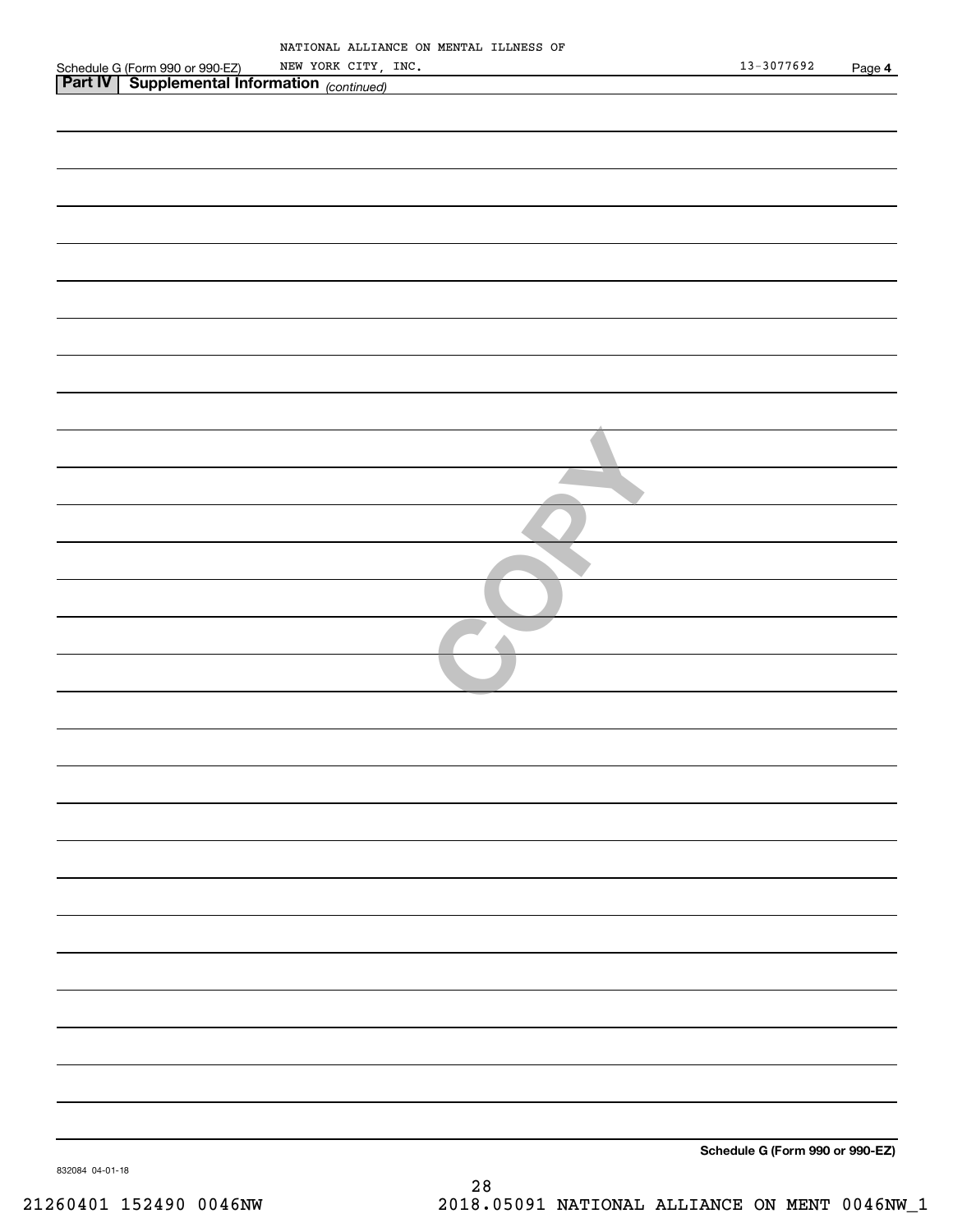|                                                                                                         |                     | NATIONAL ALLIANCE ON MENTAL ILLNESS OF |  |                                 |        |
|---------------------------------------------------------------------------------------------------------|---------------------|----------------------------------------|--|---------------------------------|--------|
|                                                                                                         | NEW YORK CITY, INC. |                                        |  | $13 - 3077692$                  | Page 4 |
| Schedule G (Form 990 or 990-EZ) NEW YORK CITY,<br><b>Part IV   Supplemental Information</b> (continued) |                     |                                        |  |                                 |        |
|                                                                                                         |                     |                                        |  |                                 |        |
|                                                                                                         |                     |                                        |  |                                 |        |
|                                                                                                         |                     |                                        |  |                                 |        |
|                                                                                                         |                     |                                        |  |                                 |        |
|                                                                                                         |                     |                                        |  |                                 |        |
|                                                                                                         |                     |                                        |  |                                 |        |
|                                                                                                         |                     |                                        |  |                                 |        |
|                                                                                                         |                     |                                        |  |                                 |        |
|                                                                                                         |                     |                                        |  |                                 |        |
|                                                                                                         |                     |                                        |  |                                 |        |
|                                                                                                         |                     |                                        |  |                                 |        |
|                                                                                                         |                     |                                        |  |                                 |        |
|                                                                                                         |                     |                                        |  |                                 |        |
|                                                                                                         |                     |                                        |  |                                 |        |
|                                                                                                         |                     |                                        |  |                                 |        |
|                                                                                                         |                     |                                        |  |                                 |        |
|                                                                                                         |                     |                                        |  |                                 |        |
|                                                                                                         |                     |                                        |  |                                 |        |
|                                                                                                         |                     |                                        |  |                                 |        |
|                                                                                                         |                     |                                        |  |                                 |        |
|                                                                                                         |                     |                                        |  |                                 |        |
|                                                                                                         |                     |                                        |  |                                 |        |
|                                                                                                         |                     |                                        |  |                                 |        |
|                                                                                                         |                     |                                        |  |                                 |        |
|                                                                                                         |                     |                                        |  |                                 |        |
|                                                                                                         |                     |                                        |  |                                 |        |
|                                                                                                         |                     |                                        |  |                                 |        |
|                                                                                                         |                     |                                        |  |                                 |        |
|                                                                                                         |                     |                                        |  |                                 |        |
|                                                                                                         |                     |                                        |  |                                 |        |
|                                                                                                         |                     |                                        |  |                                 |        |
|                                                                                                         |                     |                                        |  |                                 |        |
|                                                                                                         |                     |                                        |  |                                 |        |
|                                                                                                         |                     |                                        |  |                                 |        |
|                                                                                                         |                     |                                        |  |                                 |        |
|                                                                                                         |                     |                                        |  |                                 |        |
|                                                                                                         |                     |                                        |  |                                 |        |
|                                                                                                         |                     |                                        |  |                                 |        |
|                                                                                                         |                     |                                        |  |                                 |        |
|                                                                                                         |                     |                                        |  |                                 |        |
|                                                                                                         |                     |                                        |  |                                 |        |
|                                                                                                         |                     |                                        |  |                                 |        |
|                                                                                                         |                     |                                        |  |                                 |        |
|                                                                                                         |                     |                                        |  |                                 |        |
|                                                                                                         |                     |                                        |  |                                 |        |
|                                                                                                         |                     |                                        |  |                                 |        |
|                                                                                                         |                     |                                        |  |                                 |        |
|                                                                                                         |                     |                                        |  |                                 |        |
|                                                                                                         |                     |                                        |  |                                 |        |
|                                                                                                         |                     |                                        |  |                                 |        |
|                                                                                                         |                     |                                        |  |                                 |        |
|                                                                                                         |                     |                                        |  |                                 |        |
|                                                                                                         |                     |                                        |  |                                 |        |
|                                                                                                         |                     |                                        |  |                                 |        |
|                                                                                                         |                     |                                        |  |                                 |        |
|                                                                                                         |                     |                                        |  |                                 |        |
|                                                                                                         |                     |                                        |  |                                 |        |
|                                                                                                         |                     |                                        |  |                                 |        |
|                                                                                                         |                     |                                        |  |                                 |        |
|                                                                                                         |                     |                                        |  |                                 |        |
|                                                                                                         |                     |                                        |  |                                 |        |
|                                                                                                         |                     |                                        |  |                                 |        |
|                                                                                                         |                     |                                        |  |                                 |        |
|                                                                                                         |                     |                                        |  | Schedule G (Form 990 or 990-EZ) |        |
|                                                                                                         |                     |                                        |  |                                 |        |

832084 04-01-18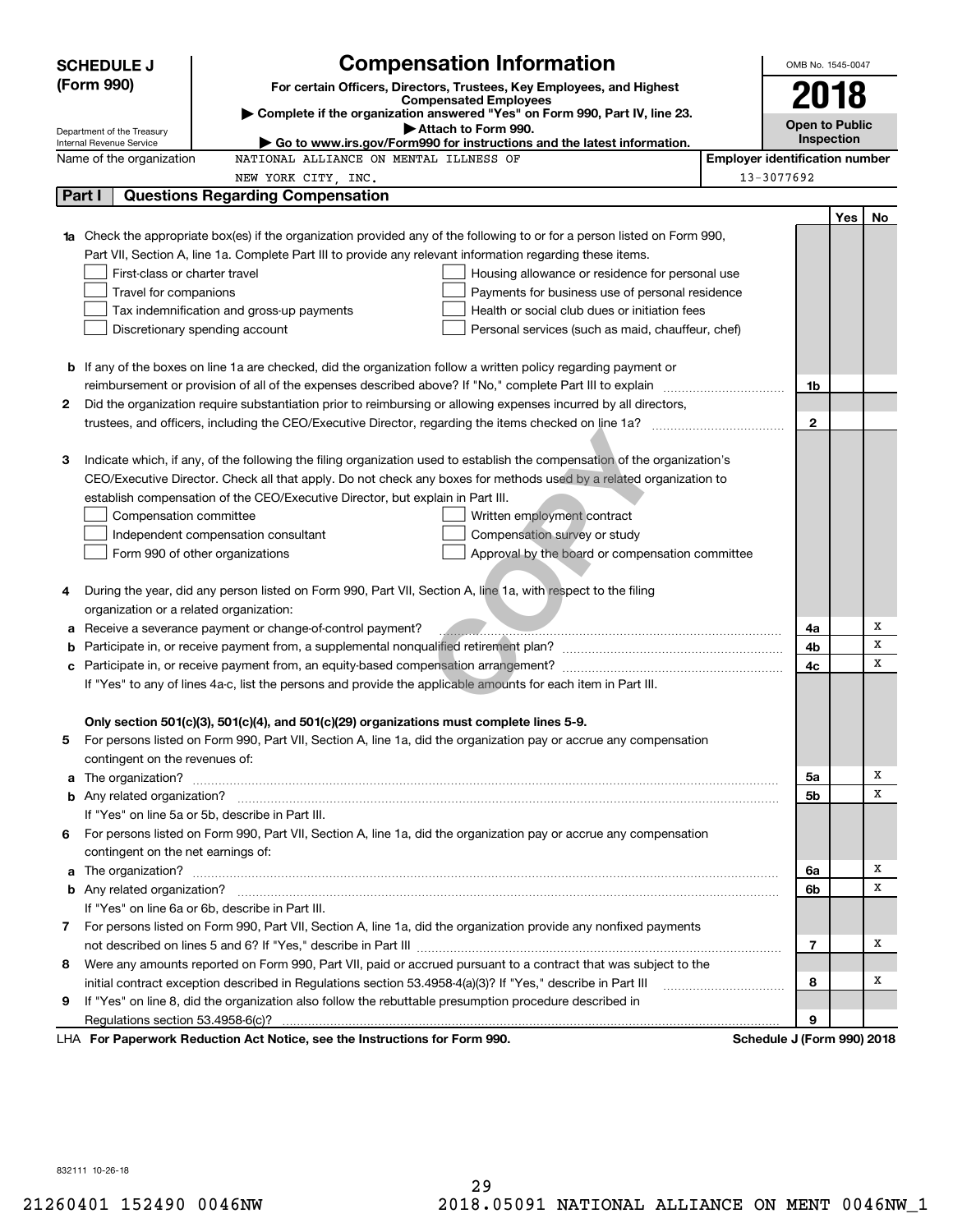|    | <b>SCHEDULE J</b>                                      | <b>Compensation Information</b>                                                                                                                                                                               |                                       | OMB No. 1545-0047          |     |        |
|----|--------------------------------------------------------|---------------------------------------------------------------------------------------------------------------------------------------------------------------------------------------------------------------|---------------------------------------|----------------------------|-----|--------|
|    | (Form 990)                                             | For certain Officers, Directors, Trustees, Key Employees, and Highest                                                                                                                                         |                                       |                            |     |        |
|    |                                                        | <b>Compensated Employees</b>                                                                                                                                                                                  |                                       | 2018                       |     |        |
|    |                                                        | Complete if the organization answered "Yes" on Form 990, Part IV, line 23.<br>Attach to Form 990.                                                                                                             |                                       | <b>Open to Public</b>      |     |        |
|    | Department of the Treasury<br>Internal Revenue Service | $\blacktriangleright$ Go to www.irs.gov/Form990 for instructions and the latest information.                                                                                                                  |                                       | Inspection                 |     |        |
|    | Name of the organization                               | NATIONAL ALLIANCE ON MENTAL ILLNESS OF                                                                                                                                                                        | <b>Employer identification number</b> |                            |     |        |
|    |                                                        | NEW YORK CITY, INC.                                                                                                                                                                                           |                                       | 13-3077692                 |     |        |
|    | Part I                                                 | <b>Questions Regarding Compensation</b>                                                                                                                                                                       |                                       |                            |     |        |
|    |                                                        |                                                                                                                                                                                                               |                                       |                            | Yes | No     |
| 1a |                                                        | Check the appropriate box(es) if the organization provided any of the following to or for a person listed on Form 990,                                                                                        |                                       |                            |     |        |
|    |                                                        | Part VII, Section A, line 1a. Complete Part III to provide any relevant information regarding these items.                                                                                                    |                                       |                            |     |        |
|    | First-class or charter travel                          | Housing allowance or residence for personal use                                                                                                                                                               |                                       |                            |     |        |
|    | Travel for companions                                  | Payments for business use of personal residence                                                                                                                                                               |                                       |                            |     |        |
|    |                                                        | Tax indemnification and gross-up payments<br>Health or social club dues or initiation fees                                                                                                                    |                                       |                            |     |        |
|    |                                                        | Discretionary spending account<br>Personal services (such as maid, chauffeur, chef)                                                                                                                           |                                       |                            |     |        |
|    |                                                        |                                                                                                                                                                                                               |                                       |                            |     |        |
| b  |                                                        | If any of the boxes on line 1a are checked, did the organization follow a written policy regarding payment or                                                                                                 |                                       |                            |     |        |
|    |                                                        |                                                                                                                                                                                                               |                                       | 1b                         |     |        |
| 2  |                                                        | Did the organization require substantiation prior to reimbursing or allowing expenses incurred by all directors,                                                                                              |                                       |                            |     |        |
|    |                                                        |                                                                                                                                                                                                               |                                       | $\mathbf{2}$               |     |        |
|    |                                                        |                                                                                                                                                                                                               |                                       |                            |     |        |
| З  |                                                        | Indicate which, if any, of the following the filing organization used to establish the compensation of the organization's                                                                                     |                                       |                            |     |        |
|    |                                                        | CEO/Executive Director. Check all that apply. Do not check any boxes for methods used by a related organization to                                                                                            |                                       |                            |     |        |
|    |                                                        | establish compensation of the CEO/Executive Director, but explain in Part III.                                                                                                                                |                                       |                            |     |        |
|    | Compensation committee                                 | Written employment contract                                                                                                                                                                                   |                                       |                            |     |        |
|    |                                                        | Compensation survey or study<br>Independent compensation consultant                                                                                                                                           |                                       |                            |     |        |
|    |                                                        | Approval by the board or compensation committee<br>Form 990 of other organizations                                                                                                                            |                                       |                            |     |        |
|    |                                                        |                                                                                                                                                                                                               |                                       |                            |     |        |
| 4  |                                                        | During the year, did any person listed on Form 990, Part VII, Section A, line 1a, with respect to the filing                                                                                                  |                                       |                            |     |        |
|    | organization or a related organization:                |                                                                                                                                                                                                               |                                       |                            |     |        |
| а  |                                                        | Receive a severance payment or change-of-control payment?                                                                                                                                                     |                                       | 4a                         |     | Х<br>х |
| b  |                                                        |                                                                                                                                                                                                               |                                       | 4b                         |     | X      |
| с  |                                                        |                                                                                                                                                                                                               |                                       | 4c                         |     |        |
|    |                                                        | If "Yes" to any of lines 4a-c, list the persons and provide the applicable amounts for each item in Part III.                                                                                                 |                                       |                            |     |        |
|    |                                                        |                                                                                                                                                                                                               |                                       |                            |     |        |
| 5  |                                                        | Only section 501(c)(3), 501(c)(4), and 501(c)(29) organizations must complete lines 5-9.<br>For persons listed on Form 990, Part VII, Section A, line 1a, did the organization pay or accrue any compensation |                                       |                            |     |        |
|    | contingent on the revenues of:                         |                                                                                                                                                                                                               |                                       |                            |     |        |
| a  |                                                        |                                                                                                                                                                                                               |                                       | 5a                         |     | х      |
|    |                                                        |                                                                                                                                                                                                               |                                       | 5b                         |     | x      |
|    |                                                        | If "Yes" on line 5a or 5b, describe in Part III.                                                                                                                                                              |                                       |                            |     |        |
|    |                                                        | 6 For persons listed on Form 990, Part VII, Section A, line 1a, did the organization pay or accrue any compensation                                                                                           |                                       |                            |     |        |
|    | contingent on the net earnings of:                     |                                                                                                                                                                                                               |                                       |                            |     |        |
| a  |                                                        |                                                                                                                                                                                                               |                                       | 6a                         |     | x      |
|    |                                                        |                                                                                                                                                                                                               |                                       | 6b                         |     | x      |
|    |                                                        | If "Yes" on line 6a or 6b, describe in Part III.                                                                                                                                                              |                                       |                            |     |        |
|    |                                                        | 7 For persons listed on Form 990, Part VII, Section A, line 1a, did the organization provide any nonfixed payments                                                                                            |                                       |                            |     |        |
|    |                                                        |                                                                                                                                                                                                               |                                       | $\overline{7}$             |     | х      |
| 8  |                                                        | Were any amounts reported on Form 990, Part VII, paid or accrued pursuant to a contract that was subject to the                                                                                               |                                       |                            |     |        |
|    |                                                        | initial contract exception described in Regulations section 53.4958-4(a)(3)? If "Yes," describe in Part III                                                                                                   |                                       | 8                          |     | х      |
| 9  |                                                        | If "Yes" on line 8, did the organization also follow the rebuttable presumption procedure described in                                                                                                        |                                       |                            |     |        |
|    | Regulations section 53.4958-6(c)?                      |                                                                                                                                                                                                               |                                       | 9                          |     |        |
|    |                                                        | LHA For Paperwork Reduction Act Notice, see the Instructions for Form 990.                                                                                                                                    |                                       | Schedule J (Form 990) 2018 |     |        |

832111 10-26-18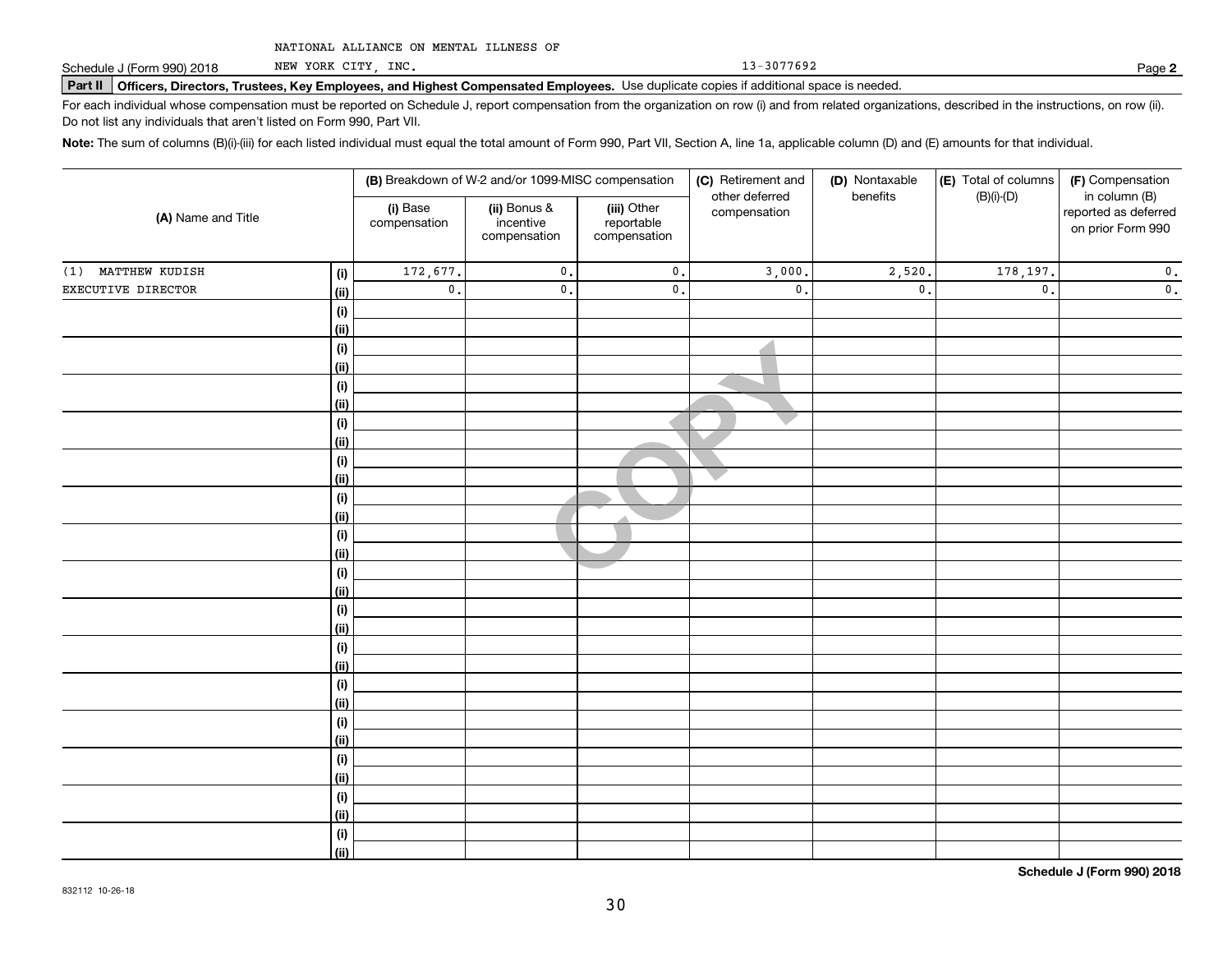NEW YORK CITY, INC.

13-3077692

**2**

# **Part II Officers, Directors, Trustees, Key Employees, and Highest Compensated Employees.**  Schedule J (Form 990) 2018 Page Use duplicate copies if additional space is needed.

For each individual whose compensation must be reported on Schedule J, report compensation from the organization on row (i) and from related organizations, described in the instructions, on row (ii). Do not list any individuals that aren't listed on Form 990, Part VII.

**Note:**  The sum of columns (B)(i)-(iii) for each listed individual must equal the total amount of Form 990, Part VII, Section A, line 1a, applicable column (D) and (E) amounts for that individual.

|                       |                              |                          | (B) Breakdown of W-2 and/or 1099-MISC compensation                                                                       |               | (C) Retirement and | (D) Nontaxable  | (E) Total of columns                      | (F) Compensation<br>in column (B) |
|-----------------------|------------------------------|--------------------------|--------------------------------------------------------------------------------------------------------------------------|---------------|--------------------|-----------------|-------------------------------------------|-----------------------------------|
| (A) Name and Title    |                              | (i) Base<br>compensation | other deferred<br>(ii) Bonus &<br>(iii) Other<br>compensation<br>incentive<br>reportable<br>compensation<br>compensation |               | benefits           | $(B)(i)-(D)$    | reported as deferred<br>on prior Form 990 |                                   |
| MATTHEW KUDISH<br>(1) | (i)                          | 172,677.                 | $\mathsf{0}$ .                                                                                                           | $\mathbf 0$ . | 3,000.             | 2,520.          | 178,197.                                  | $\mathbf 0$ .                     |
| EXECUTIVE DIRECTOR    | <u>(ii)</u>                  | $\mathbf 0$ .            | $\mathsf{0}$ .                                                                                                           | 0.            | $\mathfrak o$ .    | $\mathfrak o$ . | $\mathfrak o$ .                           | $\mathbf 0$ .                     |
|                       | $\qquad \qquad \textbf{(i)}$ |                          |                                                                                                                          |               |                    |                 |                                           |                                   |
|                       | <u>(ii)</u>                  |                          |                                                                                                                          |               |                    |                 |                                           |                                   |
|                       | (i)                          |                          |                                                                                                                          |               |                    |                 |                                           |                                   |
|                       | <u>(ii)</u>                  |                          |                                                                                                                          |               |                    |                 |                                           |                                   |
|                       | (i)                          |                          |                                                                                                                          |               |                    |                 |                                           |                                   |
|                       | <u>(ii)</u>                  |                          |                                                                                                                          |               |                    |                 |                                           |                                   |
|                       | (i)                          |                          |                                                                                                                          |               |                    |                 |                                           |                                   |
|                       | <u>(ii)</u>                  |                          |                                                                                                                          |               |                    |                 |                                           |                                   |
|                       | (i)                          |                          |                                                                                                                          |               |                    |                 |                                           |                                   |
|                       | <u>(ii)</u>                  |                          |                                                                                                                          |               |                    |                 |                                           |                                   |
|                       | (i)                          |                          |                                                                                                                          |               |                    |                 |                                           |                                   |
|                       | <u>(ii)</u>                  |                          |                                                                                                                          |               |                    |                 |                                           |                                   |
|                       | (i)<br><u>(ii)</u>           |                          |                                                                                                                          |               |                    |                 |                                           |                                   |
|                       | (i)                          |                          |                                                                                                                          |               |                    |                 |                                           |                                   |
|                       | <u>(ii)</u>                  |                          |                                                                                                                          |               |                    |                 |                                           |                                   |
|                       | (i)                          |                          |                                                                                                                          |               |                    |                 |                                           |                                   |
|                       | <u>(ii)</u>                  |                          |                                                                                                                          |               |                    |                 |                                           |                                   |
|                       | (i)                          |                          |                                                                                                                          |               |                    |                 |                                           |                                   |
|                       | <u>(ii)</u>                  |                          |                                                                                                                          |               |                    |                 |                                           |                                   |
|                       | (i)                          |                          |                                                                                                                          |               |                    |                 |                                           |                                   |
|                       | <u>(ii)</u>                  |                          |                                                                                                                          |               |                    |                 |                                           |                                   |
|                       | (i)                          |                          |                                                                                                                          |               |                    |                 |                                           |                                   |
|                       | <u>(ii)</u>                  |                          |                                                                                                                          |               |                    |                 |                                           |                                   |
|                       | (i)                          |                          |                                                                                                                          |               |                    |                 |                                           |                                   |
|                       | <u>(ii)</u>                  |                          |                                                                                                                          |               |                    |                 |                                           |                                   |
|                       | (i)                          |                          |                                                                                                                          |               |                    |                 |                                           |                                   |
|                       | <u>(ii)</u>                  |                          |                                                                                                                          |               |                    |                 |                                           |                                   |
|                       | (i)                          |                          |                                                                                                                          |               |                    |                 |                                           |                                   |
|                       | $\overline{}}$               |                          |                                                                                                                          |               |                    |                 |                                           |                                   |

**Schedule J (Form 990) 2018**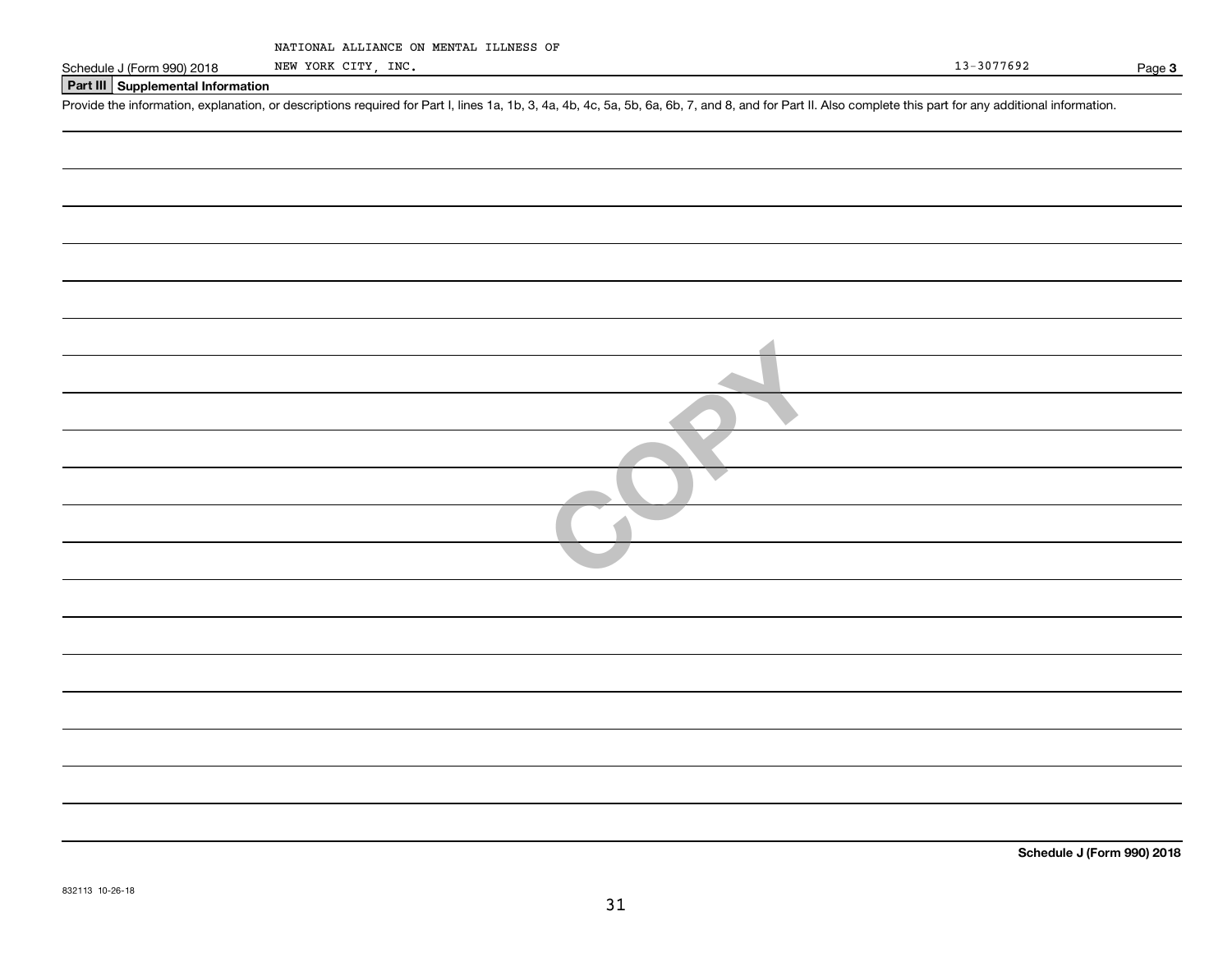|  | NATIONAL ALLIANCE ON MENTAL ILLNESS OF |  |  |  |  |
|--|----------------------------------------|--|--|--|--|
|--|----------------------------------------|--|--|--|--|

NEW YORK CITY, INC.

**3**

### **Part III Supplemental Information**

Schedule J (Form 990) 2018 NEW YORK CITY, INC.<br>
Part III Supplemental Information<br>
Provide the information, explanation, or descriptions required for Part I, lines 1a, 1b, 3, 4a, 4b, 4c, 5a, 5b, 6a, 6b, 7, and 8, and for P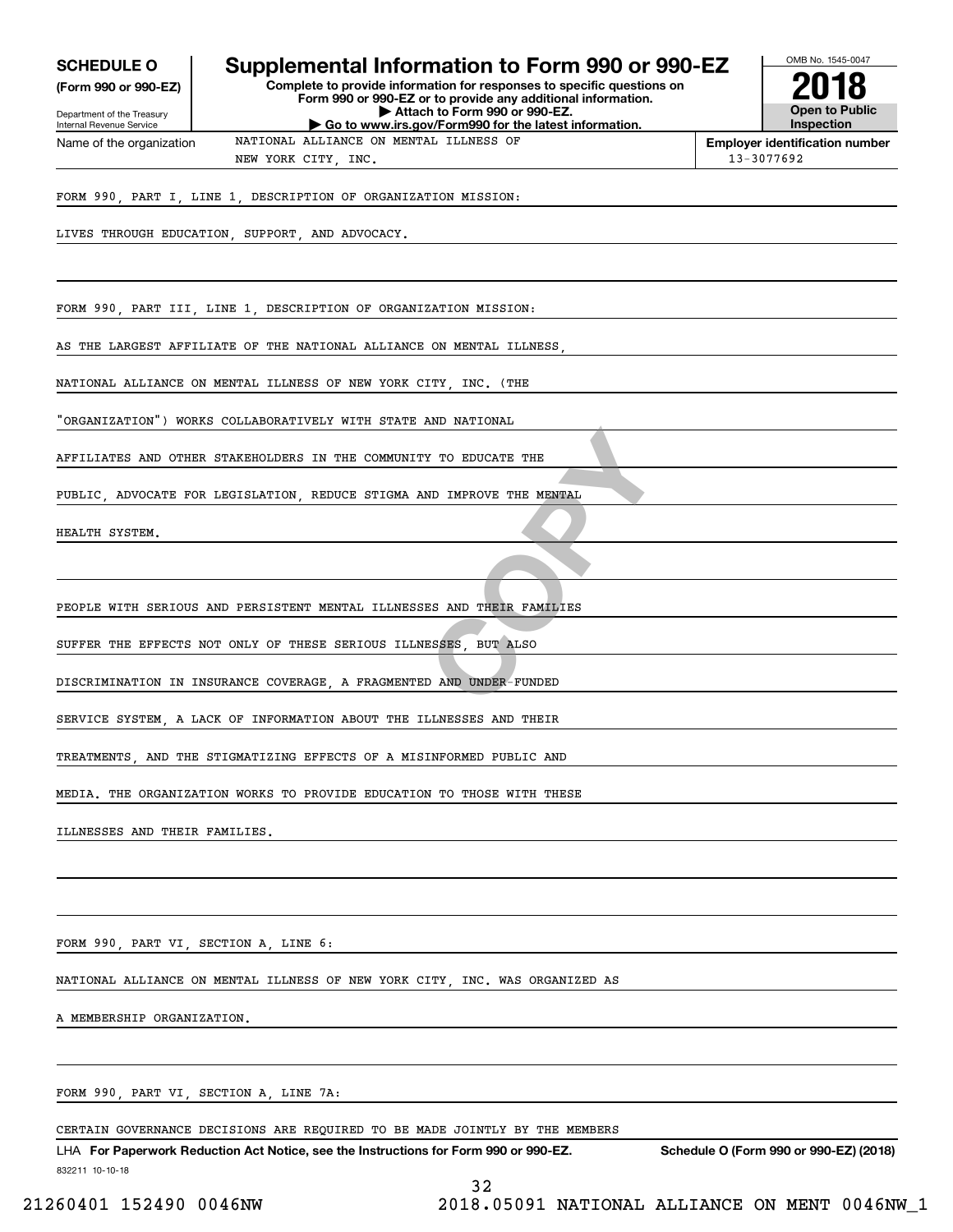| <b>SCHEDULE O</b>                                      | Supplemental Information to Form 990 or 990-EZ                                                                                         | OMB No. 1545-0047                          |
|--------------------------------------------------------|----------------------------------------------------------------------------------------------------------------------------------------|--------------------------------------------|
| (Form 990 or 990-EZ)                                   | Complete to provide information for responses to specific questions on<br>Form 990 or 990-EZ or to provide any additional information. |                                            |
| Department of the Treasury<br>Internal Revenue Service | Attach to Form 990 or 990-EZ.<br>Go to www.irs.gov/Form990 for the latest information.                                                 | <b>Open to Public</b><br><b>Inspection</b> |
| Name of the organization                               | NATIONAL ALLIANCE ON MENTAL ILLNESS OF                                                                                                 | <b>Employer identification number</b>      |
|                                                        | NEW YORK CITY, INC.                                                                                                                    | 13-3077692                                 |
|                                                        | FORM 990, PART I, LINE 1, DESCRIPTION OF ORGANIZATION MISSION:                                                                         |                                            |
|                                                        | LIVES THROUGH EDUCATION, SUPPORT, AND ADVOCACY.                                                                                        |                                            |
|                                                        |                                                                                                                                        |                                            |
|                                                        |                                                                                                                                        |                                            |
|                                                        | FORM 990, PART III, LINE 1, DESCRIPTION OF ORGANIZATION MISSION:                                                                       |                                            |
|                                                        | AS THE LARGEST AFFILIATE OF THE NATIONAL ALLIANCE ON MENTAL ILLNESS,                                                                   |                                            |
|                                                        | NATIONAL ALLIANCE ON MENTAL ILLNESS OF NEW YORK CITY, INC. (THE                                                                        |                                            |
|                                                        | "ORGANIZATION") WORKS COLLABORATIVELY WITH STATE AND NATIONAL                                                                          |                                            |
|                                                        | AFFILIATES AND OTHER STAKEHOLDERS IN THE COMMUNITY TO EDUCATE THE                                                                      |                                            |
|                                                        | PUBLIC, ADVOCATE FOR LEGISLATION, REDUCE STIGMA AND IMPROVE THE MENTAL                                                                 |                                            |
| HEALTH SYSTEM.                                         |                                                                                                                                        |                                            |
|                                                        |                                                                                                                                        |                                            |
|                                                        |                                                                                                                                        |                                            |
|                                                        | PEOPLE WITH SERIOUS AND PERSISTENT MENTAL ILLNESSES AND THEIR FAMILIES                                                                 |                                            |
|                                                        | SUFFER THE EFFECTS NOT ONLY OF THESE SERIOUS ILLNESSES, BUT ALSO                                                                       |                                            |
|                                                        | DISCRIMINATION IN INSURANCE COVERAGE, A FRAGMENTED AND UNDER-FUNDED                                                                    |                                            |
|                                                        | SERVICE SYSTEM A LACK OF INFORMATION ABOUT THE ILLNESSES AND THEIR                                                                     |                                            |
|                                                        |                                                                                                                                        |                                            |
|                                                        | MEDIA. THE ORGANIZATION WORKS TO PROVIDE EDUCATION TO THOSE WITH THESE                                                                 |                                            |
| ILLNESSES AND THEIR FAMILIES.                          |                                                                                                                                        |                                            |
|                                                        |                                                                                                                                        |                                            |
|                                                        |                                                                                                                                        |                                            |
|                                                        | FORM 990, PART VI, SECTION A, LINE 6:                                                                                                  |                                            |
|                                                        | NATIONAL ALLIANCE ON MENTAL ILLNESS OF NEW YORK CITY, INC. WAS ORGANIZED AS                                                            |                                            |
| A MEMBERSHIP ORGANIZATION.                             |                                                                                                                                        |                                            |
|                                                        |                                                                                                                                        |                                            |
|                                                        | FORM 990, PART VI, SECTION A, LINE 7A:                                                                                                 |                                            |
|                                                        |                                                                                                                                        |                                            |

CERTAIN GOVERNANCE DECISIONS ARE REQUIRED TO BE MADE JOINTLY BY THE MEMBERS

832211 10-10-18 LHA For Paperwork Reduction Act Notice, see the Instructions for Form 990 or 990-EZ. Schedule O (Form 990 or 990-EZ) (2018) 32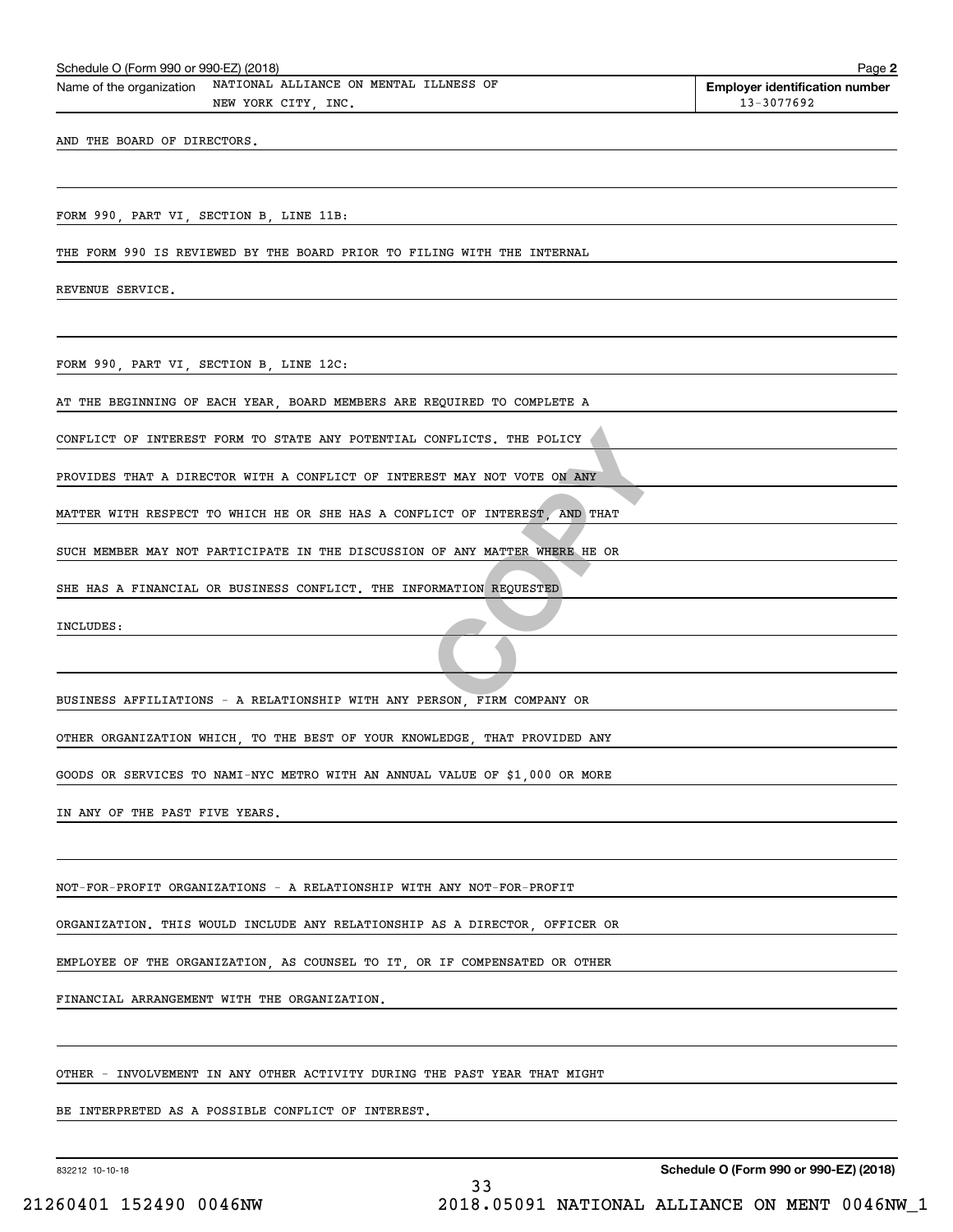| NATIONAL ALLIANCE ON MENTAL ILLNESS OF<br>Name of the organization<br>NEW YORK CITY, INC. | <b>Employer identification number</b><br>13-3077692 |
|-------------------------------------------------------------------------------------------|-----------------------------------------------------|
| AND THE BOARD OF DIRECTORS.                                                               |                                                     |
|                                                                                           |                                                     |
| FORM 990, PART VI, SECTION B, LINE 11B:                                                   |                                                     |
| THE FORM 990 IS REVIEWED BY THE BOARD PRIOR TO FILING WITH THE INTERNAL                   |                                                     |
| REVENUE SERVICE.                                                                          |                                                     |
|                                                                                           |                                                     |
| FORM 990, PART VI, SECTION B, LINE 12C:                                                   |                                                     |
| AT THE BEGINNING OF EACH YEAR, BOARD MEMBERS ARE REQUIRED TO COMPLETE A                   |                                                     |
| CONFLICT OF INTEREST FORM TO STATE ANY POTENTIAL CONFLICTS. THE POLICY                    |                                                     |
| PROVIDES THAT A DIRECTOR WITH A CONFLICT OF INTEREST MAY NOT VOTE ON ANY                  |                                                     |
| MATTER WITH RESPECT TO WHICH HE OR SHE HAS A CONFLICT OF INTEREST, AND THAT               |                                                     |
| SUCH MEMBER MAY NOT PARTICIPATE IN THE DISCUSSION OF ANY MATTER WHERE HE OR               |                                                     |
| SHE HAS A FINANCIAL OR BUSINESS CONFLICT. THE INFORMATION REQUESTED                       |                                                     |
| INCLUDES:                                                                                 |                                                     |
|                                                                                           |                                                     |
| BUSINESS AFFILIATIONS - A RELATIONSHIP WITH ANY PERSON, FIRM COMPANY OR                   |                                                     |
| OTHER ORGANIZATION WHICH, TO THE BEST OF YOUR KNOWLEDGE, THAT PROVIDED ANY                |                                                     |
| GOODS OR SERVICES TO NAMI-NYC METRO WITH AN ANNUAL VALUE OF \$1,000 OR MORE               |                                                     |
| IN ANY OF THE PAST FIVE YEARS.                                                            |                                                     |
|                                                                                           |                                                     |
| NOT-FOR-PROFIT ORGANIZATIONS - A RELATIONSHIP WITH ANY NOT-FOR-PROFIT                     |                                                     |
| ORGANIZATION. THIS WOULD INCLUDE ANY RELATIONSHIP AS A DIRECTOR, OFFICER OR               |                                                     |
| EMPLOYEE OF THE ORGANIZATION, AS COUNSEL TO IT, OR IF COMPENSATED OR OTHER                |                                                     |
| FINANCIAL ARRANGEMENT WITH THE ORGANIZATION.                                              |                                                     |
|                                                                                           |                                                     |
| OTHER - INVOLVEMENT IN ANY OTHER ACTIVITY DURING THE PAST YEAR THAT MIGHT                 |                                                     |
| BE INTERPRETED AS A POSSIBLE CONFLICT OF INTEREST.                                        |                                                     |

Schedule O (Form 990 or 990-EZ) (2018) Page Name of the organization NATIONAL ALLIANCE ON MENTAL ILLNESS OF

832212 10-10-18

**Schedule O (Form 990 or 990-EZ) (2018)**

**2**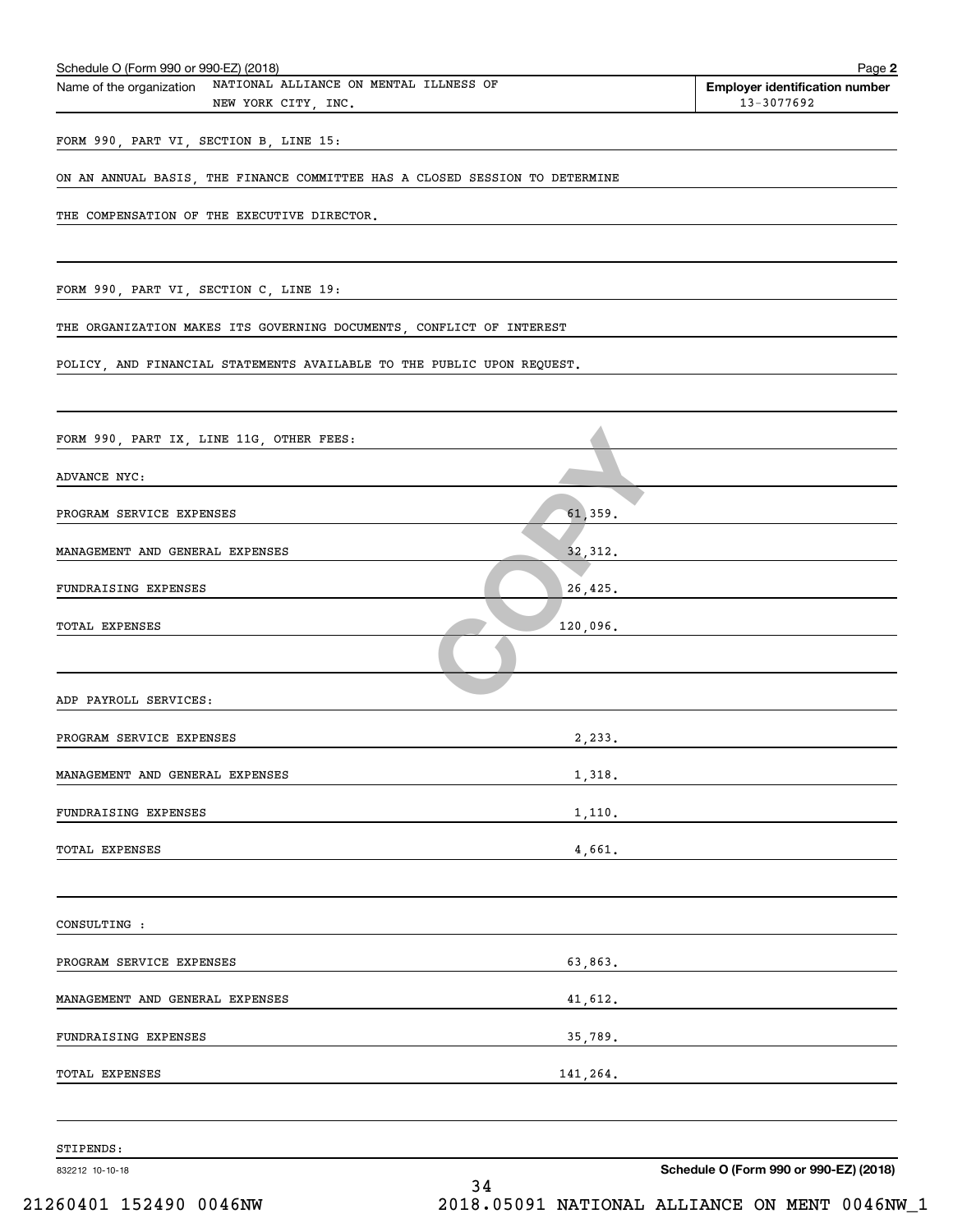| FORM 990, PART VI, SECTION B, LINE 15:<br>ON AN ANNUAL BASIS, THE FINANCE COMMITTEE HAS A CLOSED SESSION TO DETERMINE<br>THE COMPENSATION OF THE EXECUTIVE DIRECTOR.<br>FORM 990, PART VI, SECTION C, LINE 19:<br>THE ORGANIZATION MAKES ITS GOVERNING DOCUMENTS, CONFLICT OF INTEREST<br>POLICY, AND FINANCIAL STATEMENTS AVAILABLE TO THE PUBLIC UPON REQUEST.<br>FORM 990, PART IX, LINE 11G, OTHER FEES:<br>ADVANCE NYC:<br>61,359.<br>PROGRAM SERVICE EXPENSES<br>MANAGEMENT AND GENERAL EXPENSES<br>32, 312.<br>FUNDRAISING EXPENSES<br>26,425.<br>120,096.<br>TOTAL EXPENSES<br>ADP PAYROLL SERVICES:<br>2,233.<br>PROGRAM SERVICE EXPENSES<br>MANAGEMENT AND GENERAL EXPENSES<br>1,318.<br>1,110.<br>FUNDRAISING EXPENSES<br>4,661.<br>TOTAL EXPENSES<br>CONSULTING :<br>63,863.<br>PROGRAM SERVICE EXPENSES<br>MANAGEMENT AND GENERAL EXPENSES<br>41,612.<br>FUNDRAISING EXPENSES<br>141,264.<br>TOTAL EXPENSES | 832212 10-10-18<br>34 | Schedule O (Form 990 or 990-EZ) (2018)                                                                                 |
|--------------------------------------------------------------------------------------------------------------------------------------------------------------------------------------------------------------------------------------------------------------------------------------------------------------------------------------------------------------------------------------------------------------------------------------------------------------------------------------------------------------------------------------------------------------------------------------------------------------------------------------------------------------------------------------------------------------------------------------------------------------------------------------------------------------------------------------------------------------------------------------------------------------------------|-----------------------|------------------------------------------------------------------------------------------------------------------------|
|                                                                                                                                                                                                                                                                                                                                                                                                                                                                                                                                                                                                                                                                                                                                                                                                                                                                                                                          | STIPENDS:             |                                                                                                                        |
|                                                                                                                                                                                                                                                                                                                                                                                                                                                                                                                                                                                                                                                                                                                                                                                                                                                                                                                          |                       |                                                                                                                        |
|                                                                                                                                                                                                                                                                                                                                                                                                                                                                                                                                                                                                                                                                                                                                                                                                                                                                                                                          |                       |                                                                                                                        |
|                                                                                                                                                                                                                                                                                                                                                                                                                                                                                                                                                                                                                                                                                                                                                                                                                                                                                                                          |                       |                                                                                                                        |
|                                                                                                                                                                                                                                                                                                                                                                                                                                                                                                                                                                                                                                                                                                                                                                                                                                                                                                                          |                       | <u> 1989 - Johann John Stone, meil in der Stone besteht der Stone besteht der Stone besteht der Stone besteht der</u>  |
|                                                                                                                                                                                                                                                                                                                                                                                                                                                                                                                                                                                                                                                                                                                                                                                                                                                                                                                          |                       |                                                                                                                        |
|                                                                                                                                                                                                                                                                                                                                                                                                                                                                                                                                                                                                                                                                                                                                                                                                                                                                                                                          |                       |                                                                                                                        |
|                                                                                                                                                                                                                                                                                                                                                                                                                                                                                                                                                                                                                                                                                                                                                                                                                                                                                                                          |                       | <u> 1989 - Johann Stoff, deutscher Stoffen und der Stoffen und der Stoffen und der Stoffen und der Stoffen und der</u> |
|                                                                                                                                                                                                                                                                                                                                                                                                                                                                                                                                                                                                                                                                                                                                                                                                                                                                                                                          |                       |                                                                                                                        |
|                                                                                                                                                                                                                                                                                                                                                                                                                                                                                                                                                                                                                                                                                                                                                                                                                                                                                                                          |                       |                                                                                                                        |
|                                                                                                                                                                                                                                                                                                                                                                                                                                                                                                                                                                                                                                                                                                                                                                                                                                                                                                                          |                       |                                                                                                                        |
|                                                                                                                                                                                                                                                                                                                                                                                                                                                                                                                                                                                                                                                                                                                                                                                                                                                                                                                          |                       |                                                                                                                        |
|                                                                                                                                                                                                                                                                                                                                                                                                                                                                                                                                                                                                                                                                                                                                                                                                                                                                                                                          |                       |                                                                                                                        |
|                                                                                                                                                                                                                                                                                                                                                                                                                                                                                                                                                                                                                                                                                                                                                                                                                                                                                                                          |                       |                                                                                                                        |
|                                                                                                                                                                                                                                                                                                                                                                                                                                                                                                                                                                                                                                                                                                                                                                                                                                                                                                                          |                       |                                                                                                                        |
|                                                                                                                                                                                                                                                                                                                                                                                                                                                                                                                                                                                                                                                                                                                                                                                                                                                                                                                          |                       |                                                                                                                        |
|                                                                                                                                                                                                                                                                                                                                                                                                                                                                                                                                                                                                                                                                                                                                                                                                                                                                                                                          |                       |                                                                                                                        |
|                                                                                                                                                                                                                                                                                                                                                                                                                                                                                                                                                                                                                                                                                                                                                                                                                                                                                                                          |                       |                                                                                                                        |
|                                                                                                                                                                                                                                                                                                                                                                                                                                                                                                                                                                                                                                                                                                                                                                                                                                                                                                                          |                       |                                                                                                                        |
|                                                                                                                                                                                                                                                                                                                                                                                                                                                                                                                                                                                                                                                                                                                                                                                                                                                                                                                          |                       |                                                                                                                        |
|                                                                                                                                                                                                                                                                                                                                                                                                                                                                                                                                                                                                                                                                                                                                                                                                                                                                                                                          |                       |                                                                                                                        |
|                                                                                                                                                                                                                                                                                                                                                                                                                                                                                                                                                                                                                                                                                                                                                                                                                                                                                                                          |                       |                                                                                                                        |
|                                                                                                                                                                                                                                                                                                                                                                                                                                                                                                                                                                                                                                                                                                                                                                                                                                                                                                                          |                       |                                                                                                                        |
|                                                                                                                                                                                                                                                                                                                                                                                                                                                                                                                                                                                                                                                                                                                                                                                                                                                                                                                          |                       |                                                                                                                        |
| NEW YORK CITY, INC.<br>13-3077692                                                                                                                                                                                                                                                                                                                                                                                                                                                                                                                                                                                                                                                                                                                                                                                                                                                                                        |                       |                                                                                                                        |

Schedule O (Form 990 or 990-EZ) (2018) Page Name of the organization NATIONAL ALLIANCE ON MENTAL ILLNESS OF

**2**

**Employer identification number**